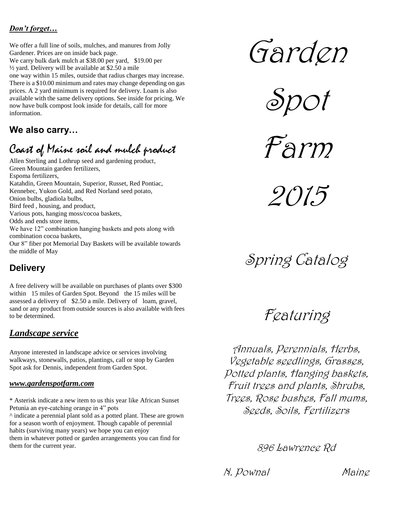### *Don't forget…*

We offer a full line of soils, mulches, and manures from Jolly Gardener. Prices are on inside back page.

We carry bulk dark mulch at \$38.00 per yard, \$19.00 per ½ yard. Delivery will be available at \$2.50 a mile one way within 15 miles, outside that radius charges may increase. There is a \$10.00 minimum and rates may change depending on gas prices. A 2 yard minimum is required for delivery. Loam is also available with the same delivery options. See inside for pricing. We now have bulk compost look inside for details, call for more information.

# **We also carry…**

# Coast of Maine soil and mulch product

Allen Sterling and Lothrup seed and gardening product, Green Mountain garden fertilizers, Espoma fertilizers, Katahdin, Green Mountain, Superior, Russet, Red Pontiac, Kennebec, Yukon Gold, and Red Norland seed potato, Onion bulbs, gladiola bulbs, Bird feed , housing, and product, Various pots, hanging moss/cocoa baskets, Odds and ends store items, We have 12" combination hanging baskets and pots along with combination cocoa baskets, Our 8" fiber pot Memorial Day Baskets will be available towards the middle of May

# **Delivery**

A free delivery will be available on purchases of plants over \$300 within 15 miles of Garden Spot. Beyond the 15 miles will be assessed a delivery of \$2.50 a mile. Delivery of loam, gravel, sand or any product from outside sources is also available with fees to be determined.

## *Landscape service*

Anyone interested in landscape advice or services involving walkways, stonewalls, patios, plantings, call or stop by Garden Spot ask for Dennis, independent from Garden Spot.

### *www.gardenspotfarm.com*

\* Asterisk indicate a new item to us this year like African Sunset Petunia an eye-catching orange in 4" pots

^ indicate a perennial plant sold as a potted plant. These are grown for a season worth of enjoyment. Though capable of perennial habits (surviving many years) we hope you can enjoy them in whatever potted or garden arrangements you can find for them for the current year.

Garden



Farm

2015

Spring Catalog

Featuring

Annuals, Perennials, Herbs, Vegetable seedlings, Grasses, Potted plants, Hanging baskets, Fruit trees and plants, Shrubs, Trees, Rose bushes, Fall mums, Seeds, Soils, Fertilizers

896 Lawrence Rd

N. Pownal Maine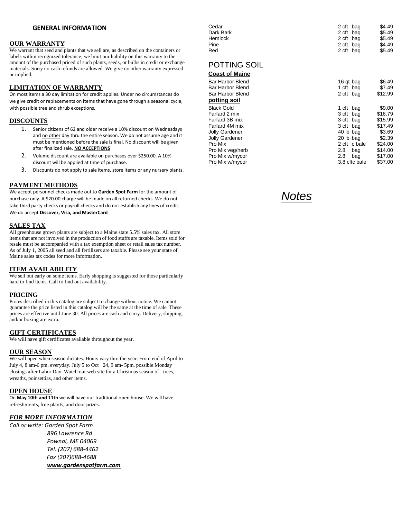### **GENERAL INFORMATION**

### **OUR WARRANTY**

We warrant that seed and plants that we sell are, as described on the containers or labels within recognized tolerance; we limit our liability on this warranty to the amount of the purchased priced of such plants, seeds, or bulbs in credit or exchange materials. Sorry no cash refunds are allowed. We give no other warranty expressed or implied.

### **LIMITATION OF WARRANTY**

On most items a 30 day limitation for credit applies. Under no circumstances do we give credit or replacements on items that have gone through a seasonal cycle, with possible tree and shrub exceptions.

#### **DISCOUNTS**

- 1. Senior citizens of 62 and older receive a 10% discount on Wednesdays and no other day thru the entire season. We do not assume age and it must be mentioned before the sale is final. No discount will be given after finalized sale. **NO ACCEPTIONS**
- 2. Volume discount are available on purchases over \$250.00. A 10% discount will be applied at time of purchase.
- 3. Discounts do not apply to sale items, store items or any nursery plants.

#### **PAYMENT METHODS**

We accept personnel checks made out to **Garden Spot Farm** for the amount of purchase only. A \$20.00 charge will be made on all returned checks. We do not take third party checks or payroll checks and do not establish any lines of credit. We do accept **Discover, Visa, and MasterCard**

### **SALES TAX**

All greenhouse grown plants are subject to a Maine state 5.5% sales tax. All store items that are not involved in the production of food stuffs are taxable. Items sold for resale must be accompanied with a tax exemption sheet or retail sales tax number. As of July 1, 2005 all seed and all fertilizers are taxable. Please see your state of Maine sales tax codes for more information.

#### **ITEM AVAILABILITY**

We sell out early on some items. Early shopping is suggested for those particularly hard to find items. Call to find out availability.

### **PRICING**

Prices described in this catalog are subject to change without notice. We cannot guarantee the price listed in this catalog will be the same at the time of sale. These prices are effective until June 30. All prices are cash and carry. Delivery, shipping, and/or boxing are extra.

### **GIFT CERTIFICATES**

We will have gift certificates available throughout the year.

#### **OUR SEASON**

We will open when season dictates. Hours vary thru the year. From end of April to July 4, 8 am-6 pm, everyday. July 5 to Oct 24, 9 am- 5pm, possible Monday closings after Labor Day. Watch our web site for a Christmas season of trees, wreaths, poinsettias, and other items.

### **OPEN HOUSE**

On **May 10th and 11th** we will have our traditional open house. We will have refreshments, free plants, and door prizes.

### *FOR MORE INFORMATION*

*Call or write: Garden Spot Farm 896 Lawrence Rd Pownal, ME 04069 Tel. (207) 688-4462 Fax (207)688-4688 www.gardenspotfarm.com*

| Cedar                 | 2 cft bag | \$4.49  |
|-----------------------|-----------|---------|
| Dark Bark             | 2 cft bag | \$5.49  |
| <b>Hemlock</b>        | 2 cft bag | \$5.49  |
| Pine                  | 2 cft bag | \$4.49  |
| Red                   | 2 cft bag | \$5.49  |
| <b>POTTING SOIL</b>   |           |         |
| <b>Coast of Maine</b> |           |         |
| Bar Harbor Blend      | 16 gt bag | \$6.49  |
| Bar Harbor Blend      | 1 cft bag | \$7.49  |
| Bar Harbor Blend      | 2 cft bag | \$12.99 |
| potting soil          |           |         |

| potting son       |               |         |
|-------------------|---------------|---------|
| <b>Black Gold</b> | 1 cft bag     | \$9.00  |
| Farfard 2 mix     | 3 cft bag     | \$16.79 |
| Farfard 3B mix    | 3 cft bag     | \$15.99 |
| Farfard 4M mix    | 3 cft bag     | \$17.49 |
| Jolly Gardener    | 40 lb bag     | \$3.69  |
| Jolly Gardener    | 20 lb bag     | \$2.39  |
| Pro Mix           | 2 cft c bale  | \$24.00 |
| Pro Mix veg/herb  | 2.8<br>bag    | \$14.00 |
| Pro Mix w/mycor   | bag<br>2.8    | \$17.00 |
| Pro Mix w/mycor   | 3.8 cftc bale | \$37.00 |
|                   |               |         |

*Notes*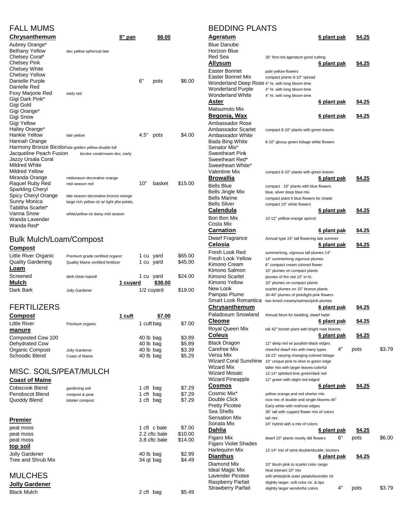|  | <b>FALL MUMS</b> |
|--|------------------|
|--|------------------|

| Chrysanthemum                                        |                                             | 8" pan |      | \$8.00 |         |
|------------------------------------------------------|---------------------------------------------|--------|------|--------|---------|
| Aubrey Orange*                                       |                                             |        |      |        |         |
| <b>Bethany Yellow</b>                                | dec yellow spherical late                   |        |      |        |         |
| Chelsey Coral*                                       |                                             |        |      |        |         |
| <b>Chelsey Pink</b>                                  |                                             |        |      |        |         |
| <b>Chelsey White</b>                                 |                                             |        |      |        |         |
| <b>Chelsey Yellow</b>                                |                                             |        |      |        |         |
| Danielle Purple                                      |                                             |        | 6"   | pots   | \$6.00  |
| Danielle Red                                         |                                             |        |      |        |         |
| Foxy Marjorie Red                                    | early red                                   |        |      |        |         |
| Gigi Dark Pink*                                      |                                             |        |      |        |         |
| Gigi Gold                                            |                                             |        |      |        |         |
| Gigi Orange*                                         |                                             |        |      |        |         |
| Gigi Snow                                            |                                             |        |      |        |         |
| Gigi Yellow                                          |                                             |        |      |        |         |
| Hailey Orange*                                       |                                             |        |      |        |         |
| Hankie Yellow                                        | late yellow                                 |        | 4.5" | pots   | \$4.00  |
| Hannah Orange                                        |                                             |        |      |        |         |
| Harmony Bronze Bicolorlate golden yellow double full |                                             |        |      |        |         |
| Jacqueline Peach Fusion                              | bicolor coral/cream dec, early              |        |      |        |         |
| Jazzy Ursala Coral                                   |                                             |        |      |        |         |
| Mildred White                                        |                                             |        |      |        |         |
| <b>Mildred Yellow</b>                                |                                             |        |      |        |         |
| Miranda Orange                                       | midseason decorative orange                 |        |      |        |         |
| Raquel Ruby Red                                      | mid-season red                              |        | 10"  | basket | \$15.00 |
| Sparkling Cheryl                                     |                                             |        |      |        |         |
| Spicy Cheryl Orange                                  | late season decorative bronze orange        |        |      |        |         |
| Sunny Monica                                         | large rich yellow ctr w/ light yllw petals, |        |      |        |         |
| Tabiltha Scarlet*                                    |                                             |        |      |        |         |
| Vanna Snow                                           | white/yellow ctr daisy mid season           |        |      |        |         |
| Wanda Lavender                                       |                                             |        |      |        |         |
| Wanda Red*                                           |                                             |        |      |        |         |

# Bulk Mulch/Loam/Compost

### **Compost**

| Little River Organic     | Premium grade certified organic    |          | 1 cu yard    | \$65.00 |
|--------------------------|------------------------------------|----------|--------------|---------|
| <b>Quality Gardening</b> | Quality Maine certified fertilizer |          | 1 cu yard    | \$45.00 |
| Loam                     |                                    |          |              |         |
| Screened                 | dark clean topsoil                 |          | 1 cu vard    | \$24.00 |
| Mulch                    |                                    | 1 cuyard | \$38.00      |         |
| Dark Bark                | Jolly Gardener                     |          | $1/2$ cuvard | \$19.00 |

## FERTILIZERS

|                 | 1 cuft | \$7.00     |        |
|-----------------|--------|------------|--------|
| Premium organic |        | 1 cuft bag | \$7.00 |
|                 |        |            |        |
|                 |        | 40 lb bag  | \$3.89 |
|                 |        | 40 lb bag  | \$5.89 |
| Jolly Gardener  |        | 40 lb bag  | \$3.39 |
| Coast of Maine  |        | 40 lb bag  | \$5.29 |
|                 |        |            |        |

# MISC. SOILS/PEAT/MULCH

| <b>Coast of Maine</b> |                 |               |         |
|-----------------------|-----------------|---------------|---------|
| Cobscook Blend        | gardening soil  | 1 cft bag     | \$7.29  |
| Penobscot Blend       | compost & peat  | 1 cft bag     | \$7.29  |
| Quoddy Blend          | lobster compost | 1 cft bag     | \$7.29  |
|                       |                 |               |         |
| Premier               |                 |               |         |
| peat moss             |                 | 1 cft c bale  | \$7.00  |
| peat moss             |                 | 2.2 cftc bale | \$10.00 |
| peat moss             |                 | 3.8 cftc bale | \$14.00 |
| top soil              |                 |               |         |
| <b>Jolly Gardener</b> |                 | 40 lb bag     | \$2.99  |
| Tree and Shrub Mix    |                 | 34 qt bag     | \$4.49  |
|                       |                 |               |         |
| <b>MULCHES</b>        |                 |               |         |
| <b>Jolly Gardener</b> |                 |               |         |
| <b>Black Mulch</b>    |                 | 2 cft bag     | \$5.49  |

# BEDDING PLANTS

| <b>Ageratum</b>                                  | <u>6 plant pak</u>                                                            |    | \$4.25        |        |
|--------------------------------------------------|-------------------------------------------------------------------------------|----|---------------|--------|
| <b>Blue Danube</b>                               |                                                                               |    |               |        |
| Horizon Blue                                     |                                                                               |    |               |        |
| Red Sea<br><b>Allysum</b>                        | 26" first red ageratum good cutting<br>6 plant pak                            |    | \$4.25        |        |
| Easter Bonnet                                    |                                                                               |    |               |        |
| Easter Bonnet Mix                                | pale yellow flowers<br>compact plants 8-10" spread                            |    |               |        |
| Wonderland Deep Rose 4" ht. with long bloom time |                                                                               |    |               |        |
| <b>Wonderland Purple</b>                         | 4" ht. with long bloom time                                                   |    |               |        |
| Wonderland White                                 | 4" ht. with long bloom time                                                   |    |               |        |
| Aster                                            | 6 plant pak                                                                   |    | \$4.25        |        |
| Matsumoto Mix                                    |                                                                               |    |               |        |
| Begonia, Wax                                     | <u>6 plant pak</u>                                                            |    | \$4.25        |        |
| Ambassador Rose                                  |                                                                               |    |               |        |
| Ambassador Scarlet                               | compact 8-10" plants with green leaves                                        |    |               |        |
| Ambassador White<br>Bada Bing White              |                                                                               |    |               |        |
| Senator Mix*                                     | 8-10" glossy green foliage white flowers                                      |    |               |        |
| <b>Sweetheart Pink</b>                           |                                                                               |    |               |        |
| Sweetheart Red*                                  |                                                                               |    |               |        |
| Sweetheart White*                                |                                                                               |    |               |        |
| Valentine Mix                                    | compact 8-10" plants with green leaves                                        |    |               |        |
| <b>Browallia</b>                                 | <u>6 plant pak</u>                                                            |    | \$4.25        |        |
| <b>Bells Blue</b>                                | compact 10" plants with blue flowers                                          |    |               |        |
| Bells Jingle Mix                                 | blue, silver deep blue mix                                                    |    |               |        |
| <b>Bells Marine</b><br><b>Bells Silver</b>       | compact plant It blue flowers for shade                                       |    |               |        |
| Calendula                                        | compact 10" white flowers<br>6 plant pak                                      |    |               |        |
|                                                  |                                                                               |    | \$4.25        |        |
| Bon Bon Mix<br>Costa Mix                         | 10-12" yelllow orange apricot                                                 |    |               |        |
| <b>Carnation</b>                                 | <u>6 plant pak</u>                                                            |    | <u>\$4.25</u> |        |
| Dwarf Fragrance                                  |                                                                               |    |               |        |
| Celosia                                          | Annual type 24" tall flowering late summer<br>6 plant pak                     |    | \$4.25        |        |
| Fresh Look Red                                   |                                                                               |    |               |        |
| Fresh Look Yellow                                | summerlong, vigorous tall plumes 14"<br>14" summerlong vigorous plumes        |    |               |        |
| Kimono Cream                                     | 8" compact cream colored flower                                               |    |               |        |
| Kimono Salmon                                    | 10" plumes on compact plants                                                  |    |               |        |
| Kimono Scarlet                                   | plumes of fire red 10" in ht.                                                 |    |               |        |
| Kimono Yellow                                    | 10" plumes on compact plants                                                  |    |               |        |
| New Look                                         | scarlet plumes on 15" bronze plants                                           |    |               |        |
| Pampas Plume                                     | 30-40" plumes of pink/light pink flowers                                      |    |               |        |
| Smart Look Romantica<br><u>Chrysanthemum</u>     | two toned creamy/salmon/pink plumes                                           |    |               |        |
|                                                  | <u>6 plant pak</u>                                                            |    | \$4.25        |        |
| Paladosum Snowland                               | Annual Mum for bedding, dwarf habit                                           |    |               |        |
| Cleome                                           | 6 plant pak                                                                   |    | \$4.25        |        |
| Royal Queen Mix                                  | tall 42" border plant with bright rose blooms                                 |    |               |        |
| <b>Coleus</b>                                    | <u>6 plant pak</u>                                                            |    | \$4.25        |        |
| <b>Black Dragon</b>                              | 12" deep red w/ purplish-black edges                                          | 4" |               |        |
| Carefree Mix<br>Versa Mix                        | cheerful dwarf mix with many types<br>18-22" varying changing colored foliage |    | pots          | \$3.79 |
| Wizard Coral Sunshine                            | 10" unique pink to olive to green edge                                        |    |               |        |
| <b>Wizard Mix</b>                                | taller mix with larger leaves-colorful                                        |    |               |        |
| <b>Wizard Mosaic</b>                             | 12-14" splotted lime green/dark red                                           |    |               |        |
| <b>Wizard Pineapple</b>                          | 12" green with slight red edged                                               |    |               |        |
| <u>Cosmos</u>                                    | <u>6 plant pak</u>                                                            |    | \$4.25        |        |
| Cosmic Mix*                                      | yellow orange and red shorter mix                                             |    |               |        |
| Double Click                                     | nice mix of double and single blooms 46"                                      |    |               |        |
| <b>Pretty Picotee</b>                            | Early white with red/rose edges                                               |    |               |        |
| Sea Shells<br>Sensation Mix                      | 36" tall with cupped flower mix of colors<br>tall mix                         |    |               |        |
| Sonata Mix                                       | 24" hybrid with a mix of colors                                               |    |               |        |
| Dahlia                                           | <u>6 plant pak</u>                                                            |    | <u>\$4.25</u> |        |
| Figaro Mix                                       | dwarf 10" plants mostly dbl flowers                                           | 6" | pots          | \$6.00 |
| Figaro Violet Shades                             |                                                                               |    |               |        |
| Harlequinn Mix                                   | 12-14" mix of semi double/double, bicolors                                    |    |               |        |
| <b>Dianthus</b>                                  | <u>6 plant pak</u>                                                            |    | \$4.25        |        |
| Diamond Mix                                      | 10" blush pink to scarlet color range                                         |    |               |        |
| <b>Ideal Magic Mix</b>                           | heat tolerant 10" mix                                                         |    |               |        |
| Lavender Picotee                                 | soft white/pink outer petals/lavender ctr                                     |    |               |        |
| Raspberry Parfait                                | slightly larger, soft color ctr. & tips                                       | 4" |               |        |
| Strawberry Parfait                               | slightly larger wonderful colors                                              |    | pots          | \$3.79 |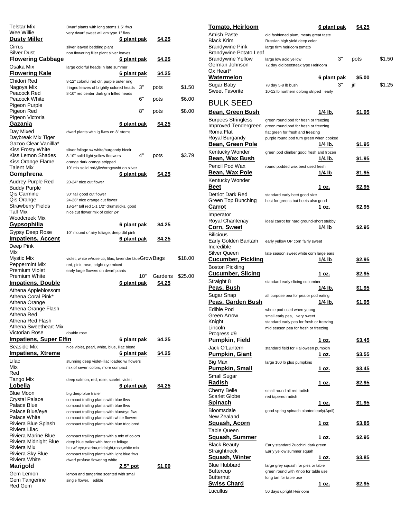| Telstar Mix                             | Dwarf plants with long stems 1.5" flws                                                   |               |         |
|-----------------------------------------|------------------------------------------------------------------------------------------|---------------|---------|
| Wee Willie<br><u>Dusty Miller</u>       | very dwarf sweet william type 1" flws<br><u>6 plant pak</u>                              | \$4.25        |         |
| Cirrus                                  | silver leaved bedding plant                                                              |               |         |
| Silver Dust                             | non flowering filler plant silver leaves                                                 |               |         |
| <b>Flowering Cabbage</b><br>Osaka Mix   | 6 plant pak                                                                              | <u>\$4.25</u> |         |
| <u>Flowering Kale</u>                   | large colorful heads in late summer<br><u>6 plant pak</u>                                | <u>\$4.25</u> |         |
| Chidori Red                             | 8-12" colorful red ctr, purple outer ring                                                |               |         |
| Nagoya Mix                              | 3"<br>fringed leaves of brightly colored heads                                           | pots          | \$1.50  |
| Peacock Red<br>Peacock White            | 8-10" red center dark grn frilled heads<br>6"                                            | pots          | \$6.00  |
| Pigeon Purple                           |                                                                                          |               |         |
| Pigeon Red                              | 8"                                                                                       | pots          | \$8.00  |
| Pigeon Victoria<br>Gazania              | <u>6 plant pak</u>                                                                       | \$4.25        |         |
| Day Mixed                               | dwarf plants with Ig flwrs on 8" stems                                                   |               |         |
| Daybreak Mix Tiger                      |                                                                                          |               |         |
| Gazoo Clear Vanillla*                   |                                                                                          |               |         |
| Kiss Frosty White<br>Kiss Lemon Shades  | sliver foliage w/ white/burgandy bicolr<br>4"<br>8-10" solid light yellow floewers       | pots          | \$3.79  |
| Kiss Orange Flame                       | orange dark orange stripped                                                              |               |         |
| Talent Mix                              | 10" mix solid red/yllw/ornge/wht on silver                                               |               |         |
| Gomphrena                               | 6 plant pak                                                                              | <u>\$4.25</u> |         |
| Audrey Purple Red                       | 20-24" nice cut flower                                                                   |               |         |
| <b>Buddy Purple</b><br>Qis Carmine      | 30" tall good cut flower                                                                 |               |         |
| Qis Orange                              | 24-26" nice orange cut flower                                                            |               |         |
| Strawberry Fields                       | 18-24" tall red 1-1 1/2" drumsticks, good                                                |               |         |
| Tall Mix                                | nice cut flower mix of color 24"                                                         |               |         |
| Woodcreek Mix<br><u>Gypsophilia</u>     | <u>6 plant pak</u>                                                                       |               |         |
| Gypsy Deep Rose                         | 10" mound of airy foliage, deep dbl pink                                                 | <u>\$4.25</u> |         |
| <u>Impatiens, Accent</u>                | <u>6 plant pak</u>                                                                       | \$4.25        |         |
| Deep Pink                               |                                                                                          |               |         |
| Mix                                     |                                                                                          |               |         |
| Mystic Mix                              | violet, white w/rose ctr, lilac, lavender blueGrow Bags                                  |               | \$18.00 |
| Peppermint Mix<br>Premium Violet        | red, pink, rose, bright eye mixed<br>early large flowers on dwarf plants                 |               |         |
| Premium White                           | 10"                                                                                      | Gardens       | \$25.00 |
| <u>Impatiens, Double</u>                | <u>6 plant pak</u>                                                                       | \$4.25        |         |
| Athena Appleblossom                     |                                                                                          |               |         |
| Athena Coral Pink*                      |                                                                                          |               |         |
| Athena Orange<br>Athena Orange Flash    |                                                                                          |               |         |
| Athena Red                              |                                                                                          |               |         |
| Athena Red Flash                        |                                                                                          |               |         |
| Athena Sweetheart Mix<br>Victorian Rose | double rose                                                                              |               |         |
| <b>Impatiens, Super Elfin</b>           | <u>6 plant pak</u>                                                                       | <u>\$4.25</u> |         |
| Seaside Mix                             | nice violet, pearl, white, blue, lilac blend                                             |               |         |
| <b>Impatiens, Xtreme</b>                | 6 plant pak                                                                              | \$4.25        |         |
| Lilac                                   | stunning deep violet-lilac loaded w/ flowers                                             |               |         |
| Mix<br>Red                              | mix of seven colors, more compact                                                        |               |         |
| Tango Mix                               | deep salmon, red, rose, scarlet, violet                                                  |               |         |
| Lobelia                                 | <u>6 plant pak</u>                                                                       | \$4.25        |         |
| <b>Blue Moon</b>                        | big deep blue trailer                                                                    |               |         |
| Crystal Palace                          | compact trailing plants with blue flws                                                   |               |         |
| Palace Blue                             | compact trailing plants with blue flws                                                   |               |         |
| Palace Blue/eye<br>Palace White         | compact trailing plants with blue/eye flws<br>compact trailing plants with white flowers |               |         |
| Riviera Blue Splash                     | compact trailing plants with blue tricolored                                             |               |         |
| Riviera Lilac                           |                                                                                          |               |         |
| Riviera Marine Blue                     | compact trailing plants with a mix of colors                                             |               |         |
| Riviera Midnight Blue<br>Riviera Mix    | deep blue trailer with bronze foliage<br>blu w/ eye, marina, midnight, rose, white mix   |               |         |
| Riviera Sky Blue                        | compact trailing plants with light blue flws                                             |               |         |
| Riviera White                           | dwarf profuse flowering white                                                            |               |         |
| Marigold                                | $2.5"$ pot                                                                               | <u>\$1.00</u> |         |
| Gem Lemon<br>Gem Tangerine              | lemon and tangerine scented with small<br>single flower, edible                          |               |         |
| Red Gem                                 |                                                                                          |               |         |

| <b>Tomato, Heirloom</b>                     |                                                                         | 6 plant pak        | \$4.25        |        |
|---------------------------------------------|-------------------------------------------------------------------------|--------------------|---------------|--------|
| Amish Paste                                 | old fashioned plum, meaty great taste                                   |                    |               |        |
| <b>Black Krim</b>                           | Russian high yield deep color                                           |                    |               |        |
| <b>Brandywine Pink</b>                      | large firm heirloom tomato                                              |                    |               |        |
| Brandywine Potato Leaf<br>Brandywine Yellow |                                                                         | 3"                 | pots          | \$1.50 |
| German Johnson                              | large low acid yellow<br>72 day old beefsteak type Heirloom             |                    |               |        |
| Ox Heart*                                   |                                                                         |                    |               |        |
| <b>Watermelon</b>                           |                                                                         | <u>6 plant pak</u> | <u>\$5.00</u> |        |
| Sugar Baby                                  | 78 day 5-8 lb bush                                                      | 3"                 | jif           | \$1.25 |
| <b>Sweet Favorite</b>                       | 10-12 lb northern oblong striped early                                  |                    |               |        |
|                                             |                                                                         |                    |               |        |
| BULK SEED                                   |                                                                         |                    |               |        |
| Bean, Green Bush                            |                                                                         | 1/4 lb.            | <u>\$1.95</u> |        |
| Burpees Stringless                          | green round pod for fresh or freezing                                   |                    |               |        |
| Improved Tendergreen                        | green round pod for fresh or freezing                                   |                    |               |        |
| Roma Flat<br>Royal Burgandy                 | flat green for fresh and freezing                                       |                    |               |        |
| <u>Bean, Green Pole</u>                     | purple round pod turn green when cooked                                 | 1/4 lb.            | <u>\$1.95</u> |        |
| Kentucky Wonder                             | green pod climber good fresh and frozen                                 |                    |               |        |
| <u>Bean, Wax Bush</u>                       |                                                                         | 1/4 lb.            | <u>\$1.95</u> |        |
| Pencil Pod Wax                              | round podded wax best used fresh                                        |                    |               |        |
| <u>Bean, Wax Pole</u>                       |                                                                         | <u> 1/4 lb</u>     | <u>\$1.95</u> |        |
| Kentucky Wonder                             |                                                                         |                    |               |        |
| <b>Beet</b>                                 |                                                                         | 1 oz.              | <u>\$2.95</u> |        |
| Detriot Dark Red                            | standard early beet good size                                           |                    |               |        |
| Green Top Bunching                          | best for greens but beets also good                                     |                    |               |        |
| <b>Carrot</b>                               |                                                                         | 1 oz.              | <u>\$2.95</u> |        |
| Imperator                                   |                                                                         |                    |               |        |
| Royal Chantenay                             | ideal carrot for hard ground-short stubby                               |                    |               |        |
| <u>Corn, Sweet</u>                          |                                                                         | 1/4 lb             | \$2.95        |        |
| <b>Bilicious</b>                            |                                                                         |                    |               |        |
| Early Golden Bantam                         | early yellow OP corn fairly sweet                                       |                    |               |        |
| Incredible                                  |                                                                         |                    |               |        |
| Silver Queen                                | late season sweet white corn large ears                                 |                    |               |        |
| <u>Cucumber, Pickling</u>                   |                                                                         | <u> 1/4 lb</u>     | <u>\$2.95</u> |        |
| <b>Boston Pickling</b>                      |                                                                         |                    |               |        |
| <u>Cucumber, Slicing</u>                    |                                                                         | 1 oz.              | <u>\$2.95</u> |        |
| Straight 8                                  | standard early slicing cucumber                                         |                    |               |        |
| <u>Peas, Bush</u>                           |                                                                         | 1/4 lb.            | <u>\$1.95</u> |        |
| Sugar Snap<br>Peas, Garden Bush             | all purpose pea for pea or pod eating                                   | 1/4 lb.            | \$1.95        |        |
|                                             |                                                                         |                    |               |        |
| Edible Pod<br>Green Arrow                   | whole pod used when young                                               |                    |               |        |
| Knight                                      | small early pea, very sweet<br>standard early pea for fresh or freezing |                    |               |        |
| Lincoln                                     | mid season pea for fresh or freezing                                    |                    |               |        |
| Progress #9                                 |                                                                         |                    |               |        |
| <u> Pumpkin, Field</u>                      |                                                                         | 1 oz.              | \$3.45        |        |
| Jack O'Lantern                              | standard field for Halloween pumpkin                                    |                    |               |        |
| <b>Pumpkin, Giant</b>                       |                                                                         | <u>1 oz.</u>       | <u>\$3.55</u> |        |
| Big Max                                     | large 100 lb plus pumpkins                                              |                    |               |        |
| <b>Pumpkin, Small</b>                       |                                                                         | 1 oz.              | <u>\$3.45</u> |        |
| Small Sugar                                 |                                                                         |                    |               |        |
| <u>Radish</u>                               |                                                                         | <u>1 oz.</u>       | <u>\$2.95</u> |        |
| <b>Cherry Belle</b>                         | small round all red radish                                              |                    |               |        |
| Scarlet Globe                               | red tapered radish                                                      |                    |               |        |
| <b>Spinach</b>                              |                                                                         | <u>1 oz.</u>       | <u>\$1.95</u> |        |
| Bloomsdale                                  | good spring spinach planted early(April)                                |                    |               |        |
| New Zealand                                 |                                                                         |                    |               |        |
| <u>Squash, Acorn</u>                        |                                                                         | 1 oz               | <u>\$3.85</u> |        |
| Table Queen                                 |                                                                         |                    |               |        |
| <u>Squash, Summer</u>                       |                                                                         | 1 oz.              | <u>\$2.95</u> |        |
| <b>Black Beauty</b><br>Straightneck         | Early standard Zucchini dark green<br>Early yellow summer squah         |                    |               |        |
| <u>Squash, Winter</u>                       |                                                                         | 1 oz.              | <u>\$3.85</u> |        |
| Blue Hubbard                                | large grey squash for pies or table                                     |                    |               |        |
| Buttercup                                   | green round with Knob for table use                                     |                    |               |        |
| <b>Butternut</b>                            | long tan for table use                                                  |                    |               |        |
| <b>Swiss Chard</b>                          |                                                                         | <u>1 oz.</u>       | <u>\$2.95</u> |        |
| Lucullus                                    | 50 days upright Heirloom                                                |                    |               |        |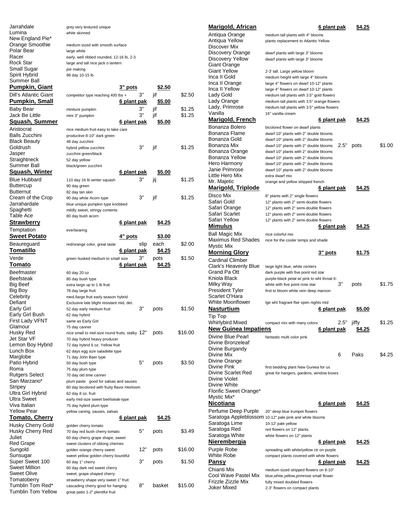| Jarrahdale                           | grey very textured unique                                                         |                    |          |               |                  |
|--------------------------------------|-----------------------------------------------------------------------------------|--------------------|----------|---------------|------------------|
| Lumina                               | white skinned                                                                     |                    |          |               |                  |
| New England Pie*                     |                                                                                   |                    |          |               |                  |
| Orange Smoothie<br>Polar Bear        | medium sized with smooth surface                                                  |                    |          |               |                  |
| Racer                                | large white<br>early, well ribbed rounded, 12-16 lb, 2-3                          |                    |          |               |                  |
| Rock Star                            | large and tall nice jack o lantern                                                |                    |          |               |                  |
| Small Sugar                          | pie making                                                                        |                    |          |               |                  |
| Spirit Hybrid                        | 98 day 10-15 lb                                                                   |                    |          |               |                  |
| Summer Ball                          |                                                                                   |                    |          |               |                  |
| <b>Pumpkin, Giant</b>                |                                                                                   | 3" pots            |          | <u>\$2.50</u> |                  |
| <b>Dill's Atlantic Giant</b>         | competitor type reaching 400 lbs +                                                |                    | 3"       | jif           | \$2.50           |
| <b>Pumpkin, Small</b>                |                                                                                   | 6 plant pak        |          | \$5.00        |                  |
| <b>Baby Bear</b><br>Jack Be Little   | miniture pumpkin                                                                  |                    | 3"<br>3" | jif<br>jif    | \$1.25<br>\$1.25 |
| Squash, Summer                       | mini 3" pumpkin                                                                   | 6 plant pak        |          | \$5.00        |                  |
| Aristocrat                           |                                                                                   |                    |          |               |                  |
| <b>Balls Zucchini</b>                | nice medium fruit easy to take care<br>productive 8-10" dark green                |                    |          |               |                  |
| <b>Black Beauty</b>                  | 48 day zucchini                                                                   |                    |          |               |                  |
| Goldrush                             | hybrid yellow zucchini                                                            |                    | 3"       | jif           | \$1.25           |
| Jasper                               | zucchini green/black                                                              |                    |          |               |                  |
| Straightneck                         | 52 day yellow                                                                     |                    |          |               |                  |
| Summer Ball                          | black/green zucchini                                                              |                    |          |               |                  |
| Squash, Winter                       |                                                                                   | <u>6 plant pak</u> |          | \$5.00        |                  |
| <b>Blue Hubbard</b>                  | 110 day 16 lb winter squash                                                       |                    | 3"       | jij           | \$1.25           |
| <b>Buttercup</b><br><b>Butternut</b> | 90 day green<br>82 day tan skin                                                   |                    |          |               |                  |
| Cream of the Crop                    | 90 day white Acorn type                                                           |                    | 3"       | jif           | \$1.25           |
| Jarrahardale                         | blue unique pumpkin type knobbed                                                  |                    |          |               |                  |
| Spaghetti                            | mildly sweet, stringy contents                                                    |                    |          |               |                  |
| Table Ace                            | 80 day bush acorn                                                                 |                    |          |               |                  |
| <b>Strawberry</b>                    |                                                                                   | <u>6 plant pak</u> |          | \$4.25        |                  |
| Temptation                           | everbearing                                                                       |                    |          |               |                  |
| <b>Sweet Potato</b>                  |                                                                                   | 4" pots            |          | <u>\$3.00</u> |                  |
| Beaureguard                          | red/orange color, great taste                                                     |                    | slip     | each          | \$2.00           |
| <u>Tomatillo</u>                     |                                                                                   | <u>6 plant pak</u> |          | \$4.25        |                  |
|                                      |                                                                                   |                    |          |               |                  |
| Verde                                | green husked medium to small size                                                 |                    | 3"       | pots          | \$1.50           |
| Tomato                               |                                                                                   | 6 plant pak        |          | \$4.25        |                  |
| Beefmaster                           | 60 day 20 oz                                                                      |                    |          |               |                  |
| Beefsteak                            | 80 day bush type                                                                  |                    |          |               |                  |
| Big Beef                             | extra large up to 1 lb fruit                                                      |                    |          |               |                  |
| Big Boy                              | 78 day large fruit                                                                |                    |          |               |                  |
| Celebrity<br>Defiant                 | med./large fruit early season hybrid<br>Exclusive late blight resistant mid, det. |                    |          |               |                  |
| Early Girl                           | 52 day early medium fruit                                                         |                    | 3"       | pots          | \$1.50           |
| Early Girl Bush                      | 62 day hybrid                                                                     |                    |          |               |                  |
| First Lady VFNT                      | same as Early Girl                                                                |                    |          |               |                  |
| Glamour                              | 75 day canner                                                                     |                    |          |               |                  |
| Husky Red                            | nice small to mid-size round fruits, stalky 12"                                   |                    |          | pots          | \$16.00          |
| Jet Star VF<br>Lemon Boy Hybrid      | 70 day hybrid heavy producer<br>72 day hybrid 6 oz. Yellow fruit                  |                    |          |               |                  |
| Lunch Box                            | 62 days egg size saladette type                                                   |                    |          |               |                  |
| Marglobe                             | 71 day John Baer type                                                             |                    |          |               |                  |
| Patio Hybrid                         | 50 day bush type                                                                  |                    | 5"       | pots          | \$3.50           |
| Roma                                 | 75 day plum type                                                                  |                    |          |               |                  |
| Rutgers Select                       | 70 day old time canner                                                            |                    |          |               |                  |
| San Marzano*<br>Stripey              | plum paste good for salsas and sauses                                             |                    |          |               |                  |
| Ultra Girl Hybrid                    | 80 day bicolored with fruity flavor Heirloom<br>62 day 8 oz. fruit                |                    |          |               |                  |
| Ultra Sweet                          | early mid-size sweet beefsteak-type                                               |                    |          |               |                  |
| Viva Italian                         | 75 day hybrid plum type                                                           |                    |          |               |                  |
| <b>Yellow Pear</b>                   | yellow caning, sauses, salsas                                                     |                    |          |               |                  |
| <b>Tomato, Cherry</b>                |                                                                                   | <u>6 plant pak</u> |          | <u>\$4.25</u> |                  |
| Husky Cherry Gold                    | golden cherry tomato                                                              |                    |          |               |                  |
| Husky Cherry Red                     | 70 day red bush cherry tomato                                                     |                    | 5"       | pots          | \$3.49           |
| Juliet<br>Red Grape                  | 60 day cherry grape shape, sweet                                                  |                    |          |               |                  |
| Sungold                              | sweet clusters of oblong cherries<br>golden orange cherry sweet                   |                    | 12"      | pots          | \$16.00          |
| Sunsugar                             | sweet yellow golden cherry bountiful                                              |                    |          |               |                  |
| Super Sweet 100                      | 60 day 1" cherry                                                                  |                    | 3"       | pots          | \$1.50           |
| <b>Sweet Million</b>                 | 60 day dark red sweet cherry                                                      |                    |          |               |                  |
| Sweet Olive                          | sweet, grape shaped cherry                                                        |                    |          |               |                  |
| Tomatoberry<br>Tumblin Tom Red*      | strawberry shape very sweet 1" fruit<br>cascading cherry good for hanging         |                    | 8"       | basket        | \$15.00          |

| <u>Marigold, African</u>              | <u>6 plant pak</u>                                                                         | \$4.25        |        |
|---------------------------------------|--------------------------------------------------------------------------------------------|---------------|--------|
| Antiqua Orange                        | medium tall plants with 4" blooms                                                          |               |        |
| Antiqua Yellow                        | plants replacement to Atlantis Yellow                                                      |               |        |
| Discover Mix<br>Discovery Orange      | dwarf plants with large 3" blooms                                                          |               |        |
| Discovery Yellow                      | dwarf plants with large 3" blooms                                                          |               |        |
| <b>Giant Orange</b>                   |                                                                                            |               |        |
| <b>Giant Yellow</b><br>Inca II Gold   | 2-3' tall. Large yellow bloom                                                              |               |        |
| Inca II Orange                        | medium height with large 4" blooms<br>large 4" flowers on dwarf 10-12" plants              |               |        |
| Inca II Yellow                        | large 4" flowers on dwarf 10-12" plants                                                    |               |        |
| Lady Gold                             | medium tall plants with 3.5" gold flowers                                                  |               |        |
| Lady Orange<br>Lady, Primrose         | medium tall plants with 3.5" orange flowers<br>medium tall plants with 3.5" yellow flowers |               |        |
| Vanilla                               | 16" vanilla-cream                                                                          |               |        |
| Marigold, French                      | <u>6 plant pak</u>                                                                         | \$4.25        |        |
| Bonanza Bolero                        | bicolored flower on dwarf plants                                                           |               |        |
| Bonanza Flame                         | dwarf 10" plants with 2" double blooms                                                     |               |        |
| Bonanza Gold                          | dwarf 10" plants with 2" double blooms                                                     |               |        |
| Bonanza Mix<br>Bonanza Orange         | 2.5"<br>dwarf 10" plants with 2" double blooms<br>dwarf 10" plants with 2" double blooms   | pots          | \$1.00 |
| Bonanza Yellow                        | dwarf 10" plants with 2" double blooms                                                     |               |        |
| Hero Harmony                          | dwarf 10" plants with 2" double blooms                                                     |               |        |
| Janie Primrose                        | dwarf 10" plants with 2" double blooms                                                     |               |        |
| Little Hero Mix<br>Mr. Majetic        | extra dwarf mix                                                                            |               |        |
| <u>Marigold, Triplode</u>             | orange and yellow stripped french<br>6 plant pak                                           | <u>\$4.25</u> |        |
| Disco Mix                             | 8" plants with 2" single flowers                                                           |               |        |
| Safari Gold                           | 12" plants with 2" semi-double flowers                                                     |               |        |
| Safari Orange                         | 12" plants with 2" semi-double flowers                                                     |               |        |
| Safari Scarlet                        | 12" plants with 2" semi-double flowers                                                     |               |        |
| Safari Yellow<br><b>Mimulus</b>       | 12" plants with 2" semi-double flowers                                                     |               |        |
|                                       | <u>6 plant pak</u>                                                                         | \$4.25        |        |
| Ball Magic Mix<br>Maximus Red Shades  | nice colorful mix<br>nice for the cooler temps and shade                                   |               |        |
| Mystic Mix                            |                                                                                            |               |        |
| <b>Morning Glory</b>                  | <u>3" pots</u>                                                                             | <u>\$1.75</u> |        |
| <b>Cardinal Climber</b>               |                                                                                            |               |        |
| Clark's Heavenly Blue                 | large light blue, white centers                                                            |               |        |
| Grand Pa Ott<br>Kniola Black          | dark purple with five point red star                                                       |               |        |
| Milky Way                             | purple-black petal w/ pink to wht throat 6-<br>3"<br>white with five point rose star       | pots          | \$1.75 |
| President Tyler                       | first to bloom white vein deep maroon                                                      |               |        |
| Scarlet O'Hara                        |                                                                                            |               |        |
| <b>White Moonflower</b>               | Ige wht fragrant flwr open nights mid                                                      |               |        |
| Nasturtium                            | 6 plant pak                                                                                | \$5.00        |        |
| Tip Top<br><b>Whirlybird Mixed</b>    | 2.5"<br>compact mix with many colors                                                       | jiffy         | \$1.25 |
| <b>New Guinea Impatiens</b>           | <u>6 plant pak</u>                                                                         | <u>\$4.25</u> |        |
| Divine Blue Pearl                     | fantastic multi color pink                                                                 |               |        |
| Divine Bronzeleaf                     |                                                                                            |               |        |
| Divine Burgandy                       |                                                                                            |               |        |
| Divine Mix                            | 6                                                                                          | Paks          | \$4.25 |
| Divine Orange<br>Divine Pink          | first bedding plant New Guniea for us                                                      |               |        |
| Divine Scarlet Red                    | great for hangers, gardens, window boxes                                                   |               |        |
| Divine Violet                         |                                                                                            |               |        |
| Divine White                          |                                                                                            |               |        |
| Florific Sweet Orange*<br>Mystic Mix* |                                                                                            |               |        |
| Nicotiana                             | <u>6 plant pak</u>                                                                         | <u>\$4.25</u> |        |
| Perfume Deep Purple                   | 20" deep blue trumpet flowers                                                              |               |        |
|                                       | Saratoga Appleblossom 10-12" pale pink and white blooms                                    |               |        |
| Saratoga Lime                         | 10-12' pale yellow                                                                         |               |        |
| Saratoga Red<br>Saratoga White        | red flowers on 12" plants                                                                  |               |        |
| <u>Nierembergia</u>                   | white flowers on 12" plants<br>6 plant pak                                                 | <u>\$4.25</u> |        |
| Purple Robe                           | spreading with white/yellow ctr on purple                                                  |               |        |
| White Robe                            | compact plants covered with white flowers                                                  |               |        |
| <b>Pansy</b>                          | 6 plant pak                                                                                | <u>\$4.25</u> |        |
| Chianti Mix                           | medium sized stripped flowers on 8-10"                                                     |               |        |
| Cool Wave Pastel Mix                  | blue, white, yellow, primrose small flower                                                 |               |        |
| Frizzle Zizzle Mix<br>Joker Mixed     | fully mixed doubled flowers<br>2-3" flowers on compact plants                              |               |        |
|                                       |                                                                                            |               |        |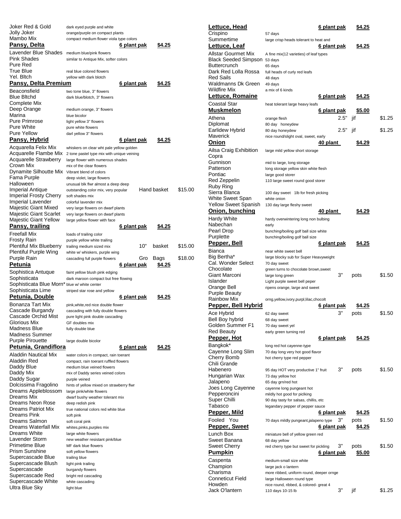| Joker Red & Gold                             | dark eyed purple and white                       |                    |               |         |
|----------------------------------------------|--------------------------------------------------|--------------------|---------------|---------|
| Jolly Joker                                  | orange/purple on compact plants                  |                    |               |         |
| Mambo Mix                                    | compact medium flower viola type colors          |                    |               |         |
| Pansy, Delta                                 |                                                  | <u>6 plant pak</u> | <u>\$4.25</u> |         |
| Lavender Blue Shades                         | medium blue/pink flowers                         |                    |               |         |
| Pink Shades                                  | similar to Antique Mix, softer colors            |                    |               |         |
| Pure Red                                     |                                                  |                    |               |         |
| True Blue                                    | real blue colored flowers                        |                    |               |         |
| Yel. Bltch                                   | yellow with dark blotch                          |                    |               |         |
| Pansy, Delta Premium                         |                                                  | 6 plant pak        | \$4.25        |         |
| Beaconsfield                                 | two tone blue, 3" flowers                        |                    |               |         |
| <b>Blue Bltchd</b>                           | dark blue/blotch, 3" flowers                     |                    |               |         |
| Complete Mix                                 |                                                  |                    |               |         |
| Deep Orange                                  | medium orange, 3" flowers                        |                    |               |         |
| Marina                                       | blue bicolor                                     |                    |               |         |
| <b>Pure Primrose</b>                         | light yellow 3" flowers                          |                    |               |         |
| <b>Pure White</b>                            | pure white flowers                               |                    |               |         |
| <b>Pure Yellow</b>                           | darl yellow 3" flowers                           |                    |               |         |
| Pansy, Hybrid                                |                                                  | 6 plant pak        | \$4.25        |         |
| Acquarella Felix Mix                         | whiskers on clear wht pale yellow golden         |                    |               |         |
| Acquarelle Flambe Mix                        | 2 tone pastel type mix with unique veining       |                    |               |         |
| Acquarelle Strawberry                        | large flower with numerous shades                |                    |               |         |
| Crown Mix                                    | mix of the clear flowers                         |                    |               |         |
| Dynamite Silhoutte Mix                       | Vibrant blend of colors                          |                    |               |         |
| Fama Purple                                  | deep violet, large flowers                       |                    |               |         |
| Halloween                                    | unusual blk flwr almost a deep deep              |                    |               |         |
| Imperial Antique                             | outstanding color mix, very popular              |                    | Hand basket   | \$15.00 |
| <b>Imperial Frosty Cherry</b>                | soft shades mix                                  |                    |               |         |
| Imperial Lavender                            | colorful lavender mix                            |                    |               |         |
| Majestic Giant Mixed                         | very large flowers on dwarf plants               |                    |               |         |
| Majestic Giant Scarlet                       | very large flowers on dwarf plants               |                    |               |         |
| Majestic Giant Yellow                        | large yellow flower with face                    |                    |               |         |
| Pansy, trailing                              |                                                  | <u>6 plant pak</u> | \$4.25        |         |
| Freefall Mix                                 | loads of trailing color                          |                    |               |         |
| <b>Frosty Rain</b>                           | purple yellow white trailing                     |                    |               |         |
| <b>Plentiful Mix Blueberry</b>               | trailing medium sized mix                        | 10"                | basket        | \$15.00 |
| Plentiful Purple Wing                        | white w/ whiskers, purple wing                   |                    |               |         |
| Purple Rain                                  | cascading full purple flowers                    | Gro                | Bags          | \$18.00 |
| Petunia                                      |                                                  | 6 plant pak        | \$4.25        |         |
|                                              | faint yellow blush pink edging                   |                    |               |         |
|                                              |                                                  |                    |               |         |
| Sophistica Antuque<br>Sophisticata           |                                                  |                    |               |         |
| Sophisticata Blue Morn* blue w/ white center | dark maroon compact but free flowing             |                    |               |         |
| Sophisticata Lime                            | striped star rose and yellow                     |                    |               |         |
| Petunia, Double                              |                                                  | <u>6 plant pak</u> | \$4.25        |         |
|                                              |                                                  |                    |               |         |
| Bonanza Tart Mix                             | pink, white, red nice double flower              |                    |               |         |
| Cascade Burgandy                             | cascading with fully double flowers              |                    |               |         |
| Cascade Orchid Mist                          | pure light pink double cascading                 |                    |               |         |
| Glorious Mix<br>Madness Blue                 | GF doubles mix                                   |                    |               |         |
| <b>Madness Summer</b>                        | fully double blue                                |                    |               |         |
|                                              |                                                  |                    |               |         |
| <b>Purple Pirouette</b>                      | large double bicolor                             |                    |               |         |
| Petunia, Grandiflora                         |                                                  | <u>6 plant pak</u> | \$4.25        |         |
| <b>Aladdin Nautical Mix</b>                  | water colors in compact, rain toerant            |                    |               |         |
| Aladdin Red                                  | compact, rain toerant ruffled flowers            |                    |               |         |
| Daddy Blue                                   | medium blue veined flowers                       |                    |               |         |
| Daddy Mix                                    | mix of Daddy series veined colors                |                    |               |         |
| Daddy Sugar                                  | purple veined                                    |                    |               |         |
| Dolcissima Fragolino                         | hints of yellow mixed on strawberry flwr         |                    |               |         |
| Dreams Appleblossom<br>Dreams Mix            | large pink/white flowers                         |                    |               |         |
| Dreams Neon Rose                             | dwarf bushy weather tolerant mix                 |                    |               |         |
| Dreams Patriot Mix                           | deep redish pink                                 |                    |               |         |
| Dreams Pink                                  | true national colors red white blue<br>soft pink |                    |               |         |
| Dreams Salmon                                | soft coral pink                                  |                    |               |         |
| Dreams Waterfall Mix                         | whites,pinks,purples mix                         |                    |               |         |
| Dreams White                                 | large white flowers                              |                    |               |         |
| Lavender Storm                               | new weather resistant pink/blue                  |                    |               |         |
| Primetime Blue                               | MF dark blue flowers                             |                    |               |         |
| <b>Prism Sunshine</b>                        | soft yellow flowers                              |                    |               |         |
| Supercascade Blue                            | trailing blue                                    |                    |               |         |
| Supercascade Blush                           | light pink trailing                              |                    |               |         |
| Supercascade                                 | burgandy flowers                                 |                    |               |         |
| Supercascade Red                             | bright red cascading                             |                    |               |         |
| Supercascade White                           | white cascading                                  |                    |               |         |
| Ultra Blue Sky                               | light blue                                       |                    |               |         |

| <u>Lettuce, Head</u>              |                                                             | 6 plant pak        |      | \$4.25        |        |
|-----------------------------------|-------------------------------------------------------------|--------------------|------|---------------|--------|
| Crispino                          | 57 days                                                     |                    |      |               |        |
| Summertime                        | large crisp heads tolerant to heat and                      |                    |      |               |        |
| <u>Lettuce, Leaf</u>              |                                                             | <u>6 plant pak</u> |      | \$4.25        |        |
| Allstar Gourmet Mix               | A fine mix(12 varieties) of leaf types                      |                    |      |               |        |
| Black Seeded Simpson 53 days      |                                                             |                    |      |               |        |
| Buttercrunch                      | 65 days                                                     |                    |      |               |        |
| Dark Red Lolla Rossa              | full heads of curly red leafs                               |                    |      |               |        |
| Red Sails<br>Waldmanns Dk Green   | 48 days<br>49 days                                          |                    |      |               |        |
| <b>Wildfire Mix</b>               | a mix of 6 kinds                                            |                    |      |               |        |
| Lettuce, Romaine                  |                                                             | 6 plant pak        |      | <u>\$4.25</u> |        |
| Coastal Star                      |                                                             |                    |      |               |        |
| <u>Muskmelon</u>                  | heat tolerant large heavy leafs                             | <u>6 plant pak</u> |      | <u>\$5.00</u> |        |
|                                   |                                                             |                    |      |               |        |
| Athena<br>Diplomat                | orange flesh                                                |                    | 2.5" | jif           | \$1.25 |
| Earlidew Hybrid                   | 80 day honeydew<br>80 day honeydew                          |                    | 2.5" | jif           | \$1.25 |
| Maverick                          | nice round/slight oval, sweet, early                        |                    |      |               |        |
| Onion                             |                                                             | 40 plant           |      | \$4.29        |        |
| Ailsa Craig Exhibition            | large mild yellow short storage                             |                    |      |               |        |
| Copra                             |                                                             |                    |      |               |        |
| Gunnison                          | mid to large, long storage                                  |                    |      |               |        |
| Patterson                         | long storage yellow skin white flesh                        |                    |      |               |        |
| Pontiac                           | large good storer                                           |                    |      |               |        |
| Red Zeppelin                      | 110 large sweet round good storer                           |                    |      |               |        |
| Ruby Ring                         |                                                             |                    |      |               |        |
| Sierra Blanca                     | 100 day sweet 1lb for fresh picking                         |                    |      |               |        |
| White Sweet Span                  | white onion                                                 |                    |      |               |        |
| <b>Yellow Sweet Spanish</b>       | 130 day large fleshy sweet                                  |                    |      |               |        |
| Onion, bunching                   |                                                             | 40 plant           |      | \$4.29        |        |
| Hardy White                       | hardy overwintering long non bulbing                        |                    |      |               |        |
| Nabechan                          | early                                                       |                    |      |               |        |
| Pearl Drop<br>Purplette           | bunching/boiling golf ball size white                       |                    |      |               |        |
| <u>Pepper, Bell</u>               | bunching/boiling golf ball size                             |                    |      | <u>\$4.25</u> |        |
|                                   |                                                             | <u>6 plant pak</u> |      |               |        |
| Bianca                            | near white sweet bell                                       |                    |      |               |        |
| Big Bertha*<br>Cal. Wonder Select | large blocky sub for Super Heavyweight<br>70 day sweet      |                    |      |               |        |
| Chocolate                         | green turns to chocolate brown, sweet                       |                    |      |               |        |
| Giant Marconi                     | large long green                                            |                    | 3"   | pots          | \$1.50 |
| Islander                          | Light purple sweet bell peper                               |                    |      |               |        |
| Orange Bell                       | ripens orange, large and sweet                              |                    |      |               |        |
| Purple Beauty                     |                                                             |                    |      |               |        |
| Rainbow Mix                       | orng,yellow,ivory,purpl,lilac,chocolt                       |                    |      |               |        |
| Pepper, Bell Hybrid               |                                                             | <u>6 plant pak</u> |      | \$4.25        |        |
| Ace Hybrid                        | 62 day sweet                                                |                    | 3"   | pots          | \$1.50 |
| Bell Boy hybrid                   | 68 day sweet                                                |                    |      |               |        |
| Golden Summer F1                  | 70 day sweet yel                                            |                    |      |               |        |
| <b>Red Beauty</b>                 | early green turning red                                     |                    |      |               |        |
| <u>Pepper, Hot</u>                |                                                             | 6 plant pak        |      | \$4.25        |        |
| Bangkok*                          | long red hot cayenne-type                                   |                    |      |               |        |
| Cayenne Long Slim                 | 70 day long very hot good flavor                            |                    |      |               |        |
| Cherry Bomb<br>Chili Grande       | hot cherry type red pepper                                  |                    |      |               |        |
| Habenero                          | 95 day HOT very productive 1" fruit                         |                    | 3"   | pots          | \$1.50 |
| Hungarian Wax                     | 73 day yellow hot                                           |                    |      |               |        |
| Jalapeno                          |                                                             |                    |      |               |        |
| Joes Long Cayenne                 | 65 day grn/red hot                                          |                    |      |               |        |
| Pepperoncini                      | cayenne long pungeant hot                                   |                    |      |               |        |
| Super Chilli                      | mildly hot good for piclking                                |                    |      |               |        |
| Tabasco                           | 90 day tasty for salsas, chillis, etc                       |                    |      |               |        |
|                                   | legandary pepper of pepper sauce                            |                    |      |               |        |
| <u>Pepper, Mild</u>               |                                                             | <u>6 plant pak</u> |      | <u>\$4.25</u> |        |
| Fooled You                        | 70 days mildly pungeant,jalapeno type                       |                    | 3"   | pots          | \$1.50 |
| <b>Pepper, Sweet</b>              |                                                             | <u>6 plant pak</u> |      | \$4.25        |        |
| Lunch Box                         | miniature bell of yellow green red                          |                    |      |               |        |
| Sweet Banana                      | 68 day yellow                                               |                    |      |               |        |
| Sweet Cherry                      | red cherry type but sweet for pickling                      |                    | 3"   | pots          | \$1.50 |
| <u>Pumpkin</u>                    |                                                             | <u>6 plant pak</u> |      | \$5.00        |        |
| Caspenta                          | medium-small size white                                     |                    |      |               |        |
| Champion                          | large jack o lantern                                        |                    |      |               |        |
| Charisma                          | more ribbed, uniform round, deeper ornge                    |                    |      |               |        |
| <b>Conneticut Field</b>           | large Halloween round type                                  |                    |      |               |        |
| Howden<br>Jack O'lantern          | nice round, ribbed, & colored- great 4<br>110 days 10-15 lb |                    | 3"   | jif           | \$1.25 |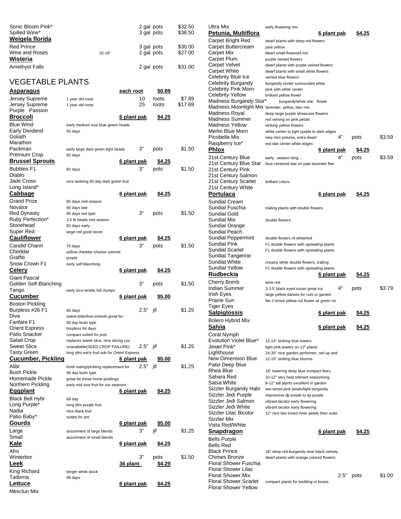| Sonic Bloom Pink*<br>Spilled Wine* |            | 2 gal pots<br>3 gal pots | \$32.50<br>\$36.50 |
|------------------------------------|------------|--------------------------|--------------------|
| Weigela florida                    |            |                          |                    |
| <b>Red Prince</b>                  |            | 3 gal pots               | \$30.00            |
| Wine and Roses                     | $10 - 18"$ | 2 gal pots               | \$27.00            |
| Wisteria                           |            |                          |                    |
| <b>Amethyst Falls</b>              |            | 2 gal pots               | \$31.00            |

# VEGETABLE PLANTS

| <u>Asparagus</u>                      |                                                                        | <u>each root</u>   |      | \$0.89        |         |
|---------------------------------------|------------------------------------------------------------------------|--------------------|------|---------------|---------|
| Jersey Supreme                        | 1 year old roots                                                       |                    | 10   | roots         | \$7.89  |
| Jersey Supreme                        | 1 year old roots                                                       |                    | 25   | roots         | \$17.69 |
| Purple Passion                        |                                                                        |                    |      |               |         |
| Broccoli                              |                                                                        | <u>6 plant pak</u> |      | <u>\$4.25</u> |         |
| Blue Wind                             | early medium size blue-green heads                                     |                    |      |               |         |
| Early Dividend                        | 55 days                                                                |                    |      |               |         |
| Goliath                               |                                                                        |                    |      |               |         |
| Marathon                              |                                                                        |                    |      |               |         |
| Packman                               | early large dark green tight heads                                     |                    | 3"   | pots          | \$1.50  |
| Premium Crop                          | 82 days                                                                |                    |      |               |         |
| <b>Brussel Sprouts</b>                |                                                                        | 6 plant pak        |      | \$4.25        |         |
| <b>Bubbles F1</b>                     | 82 days                                                                |                    | 3"   | pots          | \$1.50  |
| Diablo                                |                                                                        |                    |      |               |         |
| Jade Cross                            | nice tasteing 90 day dark green fruit                                  |                    |      |               |         |
| Long Island*                          |                                                                        |                    |      |               |         |
| <u>Cabbage</u>                        |                                                                        | <u>6 plant pak</u> |      | <u>\$4.25</u> |         |
| Grand Prize                           | 85 days mid-season                                                     |                    |      |               |         |
| Novator                               | 90 days late                                                           |                    |      |               |         |
| Red Dynasty                           | 85 days red type                                                       |                    | 3"   | pots          | \$1.50  |
| Ruby Perfection*<br>Stonehead         | 3.5 lb heads mid season                                                |                    |      |               |         |
| Super Red                             | 50 days early<br>large red good storer                                 |                    |      |               |         |
| Cauliflower                           |                                                                        | <u>6 plant pak</u> |      | <u>\$4.25</u> |         |
| Candid Charm                          |                                                                        |                    | 3"   |               |         |
| Cheddar                               | 75 days<br>yellow cheddar cheese colored                               |                    |      | pots          | \$1.50  |
| Graffiti                              | purple                                                                 |                    |      |               |         |
| Snow Crown F1                         | early self blanching                                                   |                    |      |               |         |
| <b>Celery</b>                         |                                                                        | <u>6 plant pak</u> |      | \$4.25        |         |
| Giant Pascal                          |                                                                        |                    |      |               |         |
| Golden Self-Blanching                 |                                                                        |                    | 3"   | pots          | \$1.50  |
| Tango                                 | early nice tender full clumps                                          |                    |      |               |         |
| <u>Cucumber</u>                       |                                                                        | <u>6 plant pak</u> |      | \$5.00        |         |
| Boston Pickling                       |                                                                        |                    |      |               |         |
| Burpless #26 F1                       | 60 days                                                                |                    | 2.5" | jif           | \$1.25  |
| Diva                                  | sweet, bitterfree, smooth, great for                                   |                    |      |               |         |
| Fanfare F1                            | 50 day bush type                                                       |                    |      |               |         |
| Orient Express                        | burpless 64 days                                                       |                    |      |               |         |
| Patio Snacker                         | compact suited for pots                                                |                    |      |               |         |
| Salad Crop                            | replaces sweet slice, nice slicing cuc                                 |                    |      |               |         |
| Sweet Slice                           | unavailable(SEED CROP FAILURE)                                         |                    | 2.5" | jif           | \$1.25  |
| Tasty Green                           | long slim early fruit sub for Oreint Express                           |                    |      |               |         |
| <u>Cucumber, Pickling</u>             |                                                                        | 6 plant pak        |      | \$5.00        |         |
| Alibi                                 | fresh eating/pickling replacement for                                  |                    | 2.5" | jif           | \$1.25  |
| <b>Bush Pickle</b><br>Homemade Pickle | 48 day bush type                                                       |                    |      |               |         |
| Northern Pickling                     | great for those home picklings<br>early mid size fruit for our seasons |                    |      |               |         |
| <b>Eggplant</b>                       |                                                                        | <u>6 plant pak</u> |      | \$4.25        |         |
| <b>Black Bell Hybr</b>                |                                                                        |                    |      |               |         |
| Long Purple*                          | 68 day<br>long slim purple fruit                                       |                    |      |               |         |
| Nadia                                 | nice black fruit                                                       |                    |      |               |         |
| Patio Baby*                           | suited for pot                                                         |                    |      |               |         |
| <u>Gourds</u>                         |                                                                        | 6 plant pak        |      | <u>\$5.00</u> |         |
| Large                                 | assortment of large blends                                             |                    | 3"   | jif           | \$1.25  |
| Small                                 | assortment of small blends                                             |                    |      |               |         |
| Kale                                  |                                                                        | <u>6 plant pak</u> |      | <u>\$4.25</u> |         |
| Afro                                  |                                                                        |                    |      |               |         |
| Winterbor                             |                                                                        |                    | 3"   | pots          | \$1.50  |
| <b>Leek</b>                           |                                                                        | <u>36 plant</u>    |      | \$4.29        |         |
| King Richard                          |                                                                        |                    |      |               |         |
| Tadorna                               | longer white stock<br>98 days                                          |                    |      |               |         |
| <u>Lettuce</u>                        |                                                                        | <u>6 plant pak</u> |      | <u>\$4.25</u> |         |
| Mesclun Mix                           |                                                                        |                    |      |               |         |
|                                       |                                                                        |                    |      |               |         |

| Ultra Mix                                         | early flowering mix                                                               |               |        |
|---------------------------------------------------|-----------------------------------------------------------------------------------|---------------|--------|
| Petunia, Multiflora                               | <u>6 plant pak</u>                                                                | 54.25         |        |
| Carpet Bright Red                                 | dwarf plants with deep red flowers                                                |               |        |
| Carpet Buttercream                                | pale yellow                                                                       |               |        |
| Carpet Mix                                        | dwarf small flowered mix                                                          |               |        |
| Carpet Plum                                       | purple veined flowers                                                             |               |        |
| Carpet Velvet<br>Carpet White                     | dwarf plants with purple veined flowers<br>dwarf plants with small white flowers  |               |        |
| Celebrity Blue Ice                                | veined blue flowers                                                               |               |        |
| Celebrity Burgandy                                | burgandy center surrounded white                                                  |               |        |
| Celebrity Pink Morn                               | pink with white center                                                            |               |        |
| Celebrity Yellow                                  | brilliant yellow flower                                                           |               |        |
| Madness Burgandy Star*                            | burgandy/white star flower                                                        |               |        |
| Madness Moonlight Mix lavender, yellow, lilac mix |                                                                                   |               |        |
| Madness Royal                                     | deep large purple showcase flowers                                                |               |        |
| Madness Summer                                    | red veining on pink petals                                                        |               |        |
| Madness Yellow<br>Merlin Blue Morn                | striking yellow flowers                                                           |               |        |
| Picobella Mix                                     | white center to light purple to dark edges<br>4"<br>new mini petunia, extra dwarf | pots          | \$3.59 |
| Raspberry Ice*                                    | red star center white edges                                                       |               |        |
| <b>Phlox</b>                                      | <u>6 plant pak</u>                                                                | \$4.25        |        |
| 21st Century Blue                                 | 4"                                                                                | pots          | \$3.59 |
| 21st Century Blue Star                            | earlyseason long<br>blue centered star on pale lavender flwr                      |               |        |
| 21st Century Pink                                 |                                                                                   |               |        |
| 21st Century Salmon                               |                                                                                   |               |        |
| 21st Century Scarlet                              | brilliant colors                                                                  |               |        |
| 21st Century White                                |                                                                                   |               |        |
| Portulaca                                         | 6 plant pak                                                                       | \$4.25        |        |
| <b>Sundial Cream</b>                              |                                                                                   |               |        |
| Sundial Fuschia                                   | trailing plants with double flowers                                               |               |        |
| <b>Sundial Gold</b>                               |                                                                                   |               |        |
| Sundial Mix                                       | double flowers                                                                    |               |        |
| Sundial Orange                                    |                                                                                   |               |        |
| Sundial Peach                                     |                                                                                   |               |        |
| Sundial Peppermint                                | double flowers of white/red                                                       |               |        |
| Sundial Pink<br>Sundial Scarlet                   | F1 double flowers with spreading plants                                           |               |        |
| Sundial Tangerine                                 | F1 double flowers with spreading plants                                           |               |        |
| Sundial White                                     | creamy white double flowers, trailing                                             |               |        |
| Sundial Yellow                                    | F1 double flowers with spreading plants                                           |               |        |
| Rudbeckia                                         | <u>6 plant pak</u>                                                                | <u>\$4.25</u> |        |
| Cherry Bomb                                       | wine red                                                                          |               |        |
| Indian Summer                                     | 4"<br>3-3.5' black eyed susan great cut                                           | pots          | \$3.79 |
| Irish Eyes                                        | large yellow daisies for cuts or garden                                           |               |        |
| Prairie Sun                                       | lite 2 toned yellow cut flower w/ green ctr                                       |               |        |
| Tiger Eyes                                        |                                                                                   |               |        |
| <u>Salpiglossis</u>                               | <u>6 plant pak</u>                                                                | <u>\$4.25</u> |        |
| <b>Bolero Hybrid Mix</b>                          |                                                                                   |               |        |
| Salvia                                            | <u>6 plant pak</u>                                                                | \$4.25        |        |
| Coral Nymph                                       |                                                                                   |               |        |
| <b>Evolution Violet Blue*</b>                     | 12-14" striking blue towers                                                       |               |        |
| Jewel Pink*                                       | light pink towers on 12" plants                                                   |               |        |
| Lighthouse                                        | 24-30" nice garden performer, red up and                                          |               |        |
| New Dimension Blue                                | 12-16" striking blue blooms                                                       |               |        |
| Patio Deep Blue                                   |                                                                                   |               |        |
| Rhea Blue                                         | 18" towering deep blue compact flwrs                                              |               |        |
| Sahara Red<br>Salsa White                         | 10-12" very heat tolerant seasonlong                                              |               |        |
| Sizzler Burgandy Halo                             | 8-12" tall plants excellent in garden<br>two toned pink petals/light burgandy     |               |        |
| Sizzler Jedi Purple                               | impressive dp purple to Igt purple                                                |               |        |
| Sizzler Jedi Salmon                               | vibrant bicolor early flowering                                                   |               |        |
| Sizzler Jedi White                                | vibrant bicolor early flowering                                                   |               |        |
| Sizzler Lilac Bicolor                             | 12" nice two toned inner petels then outer                                        |               |        |
| Sizzler Mix                                       |                                                                                   |               |        |
| Vista Red/White                                   |                                                                                   |               |        |
| Snapdragon                                        | 6 plant pak                                                                       | \$4.25        |        |
| <b>Bells Purple</b>                               |                                                                                   |               |        |
| <b>Bells Red</b>                                  |                                                                                   |               |        |
| <b>Black Prince</b>                               | 18" deep red-burgandy near black velvety                                          |               |        |
| Chimes Bronze                                     | dwarf plants with orange colored flowers                                          |               |        |
| Floral Shower Fuschia<br>Floral Shower Lilac      |                                                                                   |               |        |
| <b>Floral Shower Mix</b>                          | 2.5"                                                                              | pots          | \$1.00 |
| <b>Floral Shower Scarlet</b>                      | compact plants for bedding or boxes                                               |               |        |
|                                                   |                                                                                   |               |        |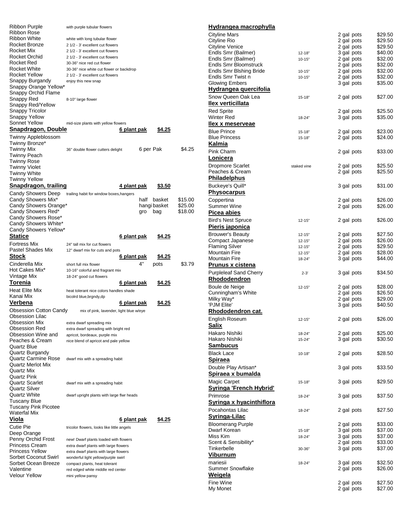| Ribbon Purple                               | with purple tubular flowers                                         |                    |               |         |
|---------------------------------------------|---------------------------------------------------------------------|--------------------|---------------|---------|
| Ribbon Rose<br><b>Ribbon White</b>          |                                                                     |                    |               |         |
| Rocket Bronze                               | white with long tubular flower<br>2 1/2 - 3' excellent cut flowers  |                    |               |         |
| Rocket Mix                                  | 2 1/2 - 3' excellent cut flowers                                    |                    |               |         |
| Rocket Orchid                               | 2 1/2 - 3' excellent cut flowers                                    |                    |               |         |
| Rocket Red                                  | 30-36" nice red cut flower                                          |                    |               |         |
| Rocket White<br><b>Rocket Yellow</b>        | 30-36" nice white cut flower or backdrop                            |                    |               |         |
| Snappy Burgandy                             | 2 1/2 - 3' excellent cut flowers<br>enjoy this new snap             |                    |               |         |
| Snappy Orange Yellow*                       |                                                                     |                    |               |         |
| Snappy Orchid Flame                         |                                                                     |                    |               |         |
| Snappy Red                                  | 8-10" large flower                                                  |                    |               |         |
| Snappy Red/Yellow<br>Snappy Tricolor        |                                                                     |                    |               |         |
| Snappy Yellow                               |                                                                     |                    |               |         |
| Sonnet Yellow                               | mid-size plants with yellow flowers                                 |                    |               |         |
| <u>Snapdragon, Double</u>                   |                                                                     | <u>6 plant pak</u> | <u>\$4.25</u> |         |
| Twinny Appleblossom                         |                                                                     |                    |               |         |
| Twinny Bronze*                              |                                                                     |                    |               |         |
| Twinny Mix                                  | 36" double flower cutters delight                                   |                    | 6 per Pak     | \$4.25  |
| Twinny Peach                                |                                                                     |                    |               |         |
| Twinny Rose<br><b>Twinny Violet</b>         |                                                                     |                    |               |         |
| Twinny White                                |                                                                     |                    |               |         |
| <b>Twinny Yellow</b>                        |                                                                     |                    |               |         |
| Snapdragon, trailing                        |                                                                     | <u>4 plant pak</u> | \$3.50        |         |
| Candy Showers Deep                          | trailing habit for window boxes, hangers                            |                    |               |         |
| Candy Showers Mix*                          |                                                                     | half               | basket        | \$15.00 |
| Candy Showers Orange*                       |                                                                     |                    | hangi basket  | \$25.00 |
| Candy Showers Red*<br>Candy Showers Rose*   |                                                                     | gro                | bag           | \$18.00 |
| Candy Showers White*                        |                                                                     |                    |               |         |
| Candy Showers Yellow*                       |                                                                     |                    |               |         |
| <b>Statice</b>                              |                                                                     | <u>6 plant pak</u> | \$4.25        |         |
| <b>Fortress Mix</b>                         | 24" tall mix for cut flowers                                        |                    |               |         |
| Pastel Shades Mix                           | 12" dwarf mix for cuts and pots                                     |                    |               |         |
|                                             |                                                                     |                    |               |         |
| Stock                                       |                                                                     | <u>6 plant pak</u> | <u>\$4.25</u> |         |
| Cinderella Mix                              | short full mix flower                                               | 4"                 | pots          | \$3.79  |
| Hot Cakes Mix*                              | 10-16" colorful and fragrant mix                                    |                    |               |         |
| Vintage Mix                                 | 18-24" good cut flowers                                             |                    |               |         |
| Torenia                                     |                                                                     | <u>6 plant pak</u> | \$4.25        |         |
| <b>Heat Elite Mix</b><br>Kanai Mix          | heat tolerant nice colors handles shade<br>bicolrd blue, brgndy, dp |                    |               |         |
| Verbena                                     |                                                                     | <u>6 plant pak</u> | \$4.25        |         |
| <b>Obsession Cotton Candy</b>               | mix of pink, lavender, light blue w/eye                             |                    |               |         |
| <b>Obsession Lilac</b>                      |                                                                     |                    |               |         |
| <b>Obsession Mix</b>                        | extra dwarf spreading mix                                           |                    |               |         |
| Obsession Red                               | extra dwarf spreading with bright red                               |                    |               |         |
| Obsession Wine and                          | apricot, bordeaux, purple mix                                       |                    |               |         |
| Peaches & Cream<br><b>Quartz Blue</b>       | nice blend of apricot and pale yellow                               |                    |               |         |
| Quartz Burgandy                             |                                                                     |                    |               |         |
| <b>Quartz Carmine Rose</b>                  | dwarf mix with a spreading habit                                    |                    |               |         |
| <b>Quartz Merlot Mix</b>                    |                                                                     |                    |               |         |
| Quartz Mix                                  |                                                                     |                    |               |         |
| Quartz Pink<br>Quartz Scarlet               | dwarf mix with a spreading habit                                    |                    |               |         |
| Quartz Silver                               |                                                                     |                    |               |         |
| Quartz White                                | dwarf upright plants with large flwr heads                          |                    |               |         |
| Tuscany Blue                                |                                                                     |                    |               |         |
| <b>Tuscany Pink Picotee</b>                 |                                                                     |                    |               |         |
| Waterfal Mix                                |                                                                     |                    |               |         |
| Viola<br><b>Cutie Pie</b>                   |                                                                     | <u>6 plant pak</u> | \$4.25        |         |
| Deep Orange                                 | tricolor flowers, looks like little angels                          |                    |               |         |
| Penny Orchid Frost                          | new! Dwarf plants loaded with flowers                               |                    |               |         |
| <b>Princess Cream</b>                       | extra dwarf plants with large flowers                               |                    |               |         |
| <b>Princess Yellow</b>                      | extra dwarf plants with large flowers                               |                    |               |         |
| Sorbet Coconut Swirl<br>Sorbet Ocean Breeze | wonderful light yellow/purple swirl                                 |                    |               |         |
| Valentine                                   | compact plants, heat tolerant<br>red edged white middle red center  |                    |               |         |
| Velour Yellow                               | mini yellow pansy                                                   |                    |               |         |

| Hydrangea macrophylla                      |                      |                          |                    |
|--------------------------------------------|----------------------|--------------------------|--------------------|
| <b>Cityline Mars</b>                       |                      | 2 gal pots               | \$29.50            |
| Cityline Rio                               |                      | 2 gal pots               | \$29.50            |
| Cityline Venice                            |                      | 2 gal pots               | \$29.50            |
| Endls Smr (Bailmer)<br>Endls Smr (Bailmer) | $12 - 18"$<br>10-15" | 3 gal pots<br>2 gal pots | \$40.00<br>\$32.00 |
| Endls Smr Bloomstruck                      |                      | 2 gal pots               | \$32.00            |
| Endls Smr Blshing Bride                    | $10 - 15"$           | 2 gal pots               | \$32.00            |
| Endls Smr Twist n                          | $10 - 15"$           | 2 gal pots               | \$32.00            |
| <b>Glowing Embers</b>                      |                      | 3 gal pots               | \$35.00            |
| Hydrangea quercifolia                      |                      |                          |                    |
| Snow Queen Oak Lea<br>llex verticillata    | $15 - 18"$           | 2 gal pots               | \$27.00            |
| <b>Red Sprite</b>                          |                      | 2 gal pots               | \$25.50            |
| <b>Winter Red</b>                          | 18-24"               | 3 gal pots               | \$35.00            |
| llex x meserveae                           |                      |                          |                    |
| <b>Blue Prince</b>                         | 15-18"               | 2 gal pots               | \$23.00            |
| <b>Blue Princess</b><br>Kalmia             | 15-18"               | 2 gal pots               | \$24.00            |
| Pink Charm                                 |                      |                          |                    |
| Lonicera                                   |                      | 2 gal pots               | \$33.00            |
| <b>Dropmore Scarlet</b>                    | staked vine          | 2 gal pots               | \$25.50            |
| Peaches & Cream                            |                      | 2 gal pots               | \$25.50            |
| <b>Philadelphus</b>                        |                      |                          |                    |
| Buckeye's Quill*                           |                      | 3 gal pots               | \$31.00            |
| <u>Physocarpus</u>                         |                      |                          |                    |
| Coppertina                                 |                      | 2 gal pots               | \$26.00            |
| Summer Wine                                |                      | 2 gal pots               | \$26.00            |
| Picea abies                                |                      |                          |                    |
| <b>Bird's Nest Spruce</b>                  | $12 - 15"$           | 2 gal pots               | \$26.00            |
| <u>Pieris japonica</u>                     |                      |                          |                    |
| <b>Brouwer's Beauty</b>                    | $12 - 15"$           | 2 gal pots               | \$27.50            |
| Compact Japanese<br>Flaming Silver         | 12-15"<br>12-15"     | 2 gal pots<br>2 gal pots | \$26.00<br>\$29.50 |
| Mountain Fire                              | 12-15"               | 2 gal pots               | \$28.00            |
| Mountain Fire                              | 18-24"               | 3 gal pots               | \$44.00            |
| <b>Prunus x cistena</b>                    |                      |                          |                    |
| <b>Purpleleaf Sand Cherry</b>              | $2 - 3'$             | 3 gal pots               | \$34.50            |
| Rhododendron                               |                      |                          |                    |
| Boule de Neige                             | $12 - 15"$           | 2 gal pots               | \$28.00            |
| Cunningham's White                         |                      | 2 gal pots               | \$26.50            |
| Milky Way*                                 |                      | 2 gal pots               | \$29.00            |
| 'PJM Elite'                                |                      | 3 gal pots               | \$40.50            |
| Rhododendron cat.                          |                      |                          |                    |
| English Roseum                             | $12 - 15"$           | 2 gal pots               | \$26.00            |
| Salix                                      |                      |                          |                    |
| Hakaro Nishiki<br>Hakaro Nishiki           | 18-24"<br>$15 - 24"$ | 2 gal pots               | \$25.00<br>\$30.50 |
| <b>Sambucus</b>                            |                      | 3 gal pots               |                    |
| <b>Black Lace</b>                          | $10 - 18"$           | 2 gal pots               | \$28.50            |
| <b>Spiraea</b>                             |                      |                          |                    |
| Double Play Artisan*                       |                      | 3 gal pots               | \$33.50            |
| Spiraea x bumalda                          |                      |                          |                    |
| Magic Carpet                               | 15-18"               | 3 gal pots               | \$29.50            |
| <b>Syringa 'French Hybrid'</b>             |                      |                          |                    |
| Primrose                                   | 18-24"               | 3 gal pots               | \$37.50            |
| Syringa x hyacinthiflora                   |                      |                          |                    |
| Pocahontas Lilac                           | 18-24"               | 2 gal pots               | \$27.50            |
| Syringa-Lilac                              |                      |                          |                    |
| <b>Bloomerang Purple</b>                   |                      | 2 gal pots               | \$33.00            |
| Dwarf Korean                               | 15-18"               | 3 gal pots               | \$37.00            |
| Miss Kim                                   | 18-24"               | 3 gal pots               | \$37.00            |
| Scent & Sensibility*                       |                      | 2 gal pots               | \$33.00            |
| Tinkerbelle                                | 30-36"               | 3 gal pots               | \$37.00            |
| Viburnum                                   |                      |                          |                    |
| mariesii                                   | 18-24"               | 3 gal pots               | \$32.50            |
| <b>Summer Snowflake</b>                    |                      | 2 gal pots               | \$26.00            |
| <u>Weigela</u>                             |                      |                          |                    |
| Fine Wine                                  |                      | 2 gal pots               | \$27.50            |
| My Monet                                   |                      | 2 gal pots               | \$27.00            |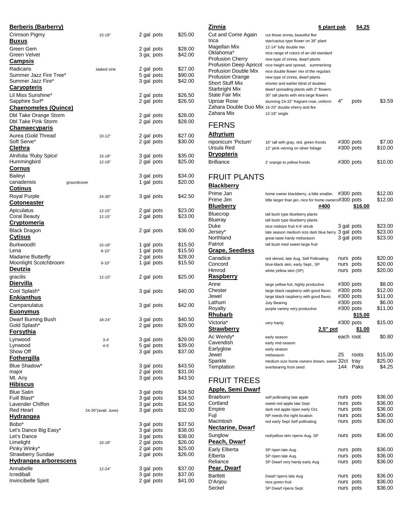| <b>Berberis (Barberry)</b>                         |                     |                          |                    |
|----------------------------------------------------|---------------------|--------------------------|--------------------|
| Crimson Pigmy<br><b>Buxus</b>                      | $15 - 18"$          | 2 gal pots               | \$25.00            |
| Green Gem                                          |                     | 2 gal pots               | \$28.00            |
| Green Velvet                                       |                     | 3 ga; pots               | \$42.00            |
| <u>Campsis</u>                                     |                     |                          |                    |
| Radicans                                           | staked vine         | 2 gal pots               | \$27.00            |
| Summer Jazz Fire Tree*<br>Summer Jazz Fire*        |                     | 5 gal pots<br>3 gal pots | \$90.00<br>\$42.00 |
| <b>Caryopteris</b>                                 |                     |                          |                    |
| Lil Miss Sunshine*                                 |                     | 2 gal pots               | \$26.50            |
| Sapphire Surf*                                     |                     | 2 gal pots               | \$26.50            |
| <u>Chaenomeles (Quince)</u>                        |                     |                          |                    |
| <b>Dbl Take Orange Storm</b>                       |                     | 2 gal pots               | \$28.00            |
| <b>Dbl Take Pink Storm</b><br><b>Chamaecyparis</b> |                     | 2 gal pots               | \$28.00            |
| Aurea (Gold Thread                                 | $10 - 12"$          | 2 gal pots               | \$27.00            |
| Soft Serve*                                        |                     | 2 gal pots               | \$30.00            |
| <b>Clethra</b>                                     |                     |                          |                    |
| Alnifolia 'Ruby Spice'                             | $15 - 18"$          | 3 gal pots               | \$35.00            |
| Hummingbird                                        | $12 - 18"$          | 2 gal pots               | \$25.00            |
| <u>Cornus</u>                                      |                     |                          |                    |
| Baileyi                                            |                     | 3 gal pots               | \$34.00            |
| canadensis                                         | groundcover         | 1 gal pots               | \$20.00            |
| <b>Cotinus</b>                                     |                     |                          |                    |
| Royal Purple<br><b>Cotoneaster</b>                 | 24-30"              | 3 gal pots               | \$42.50            |
| Apiculatus                                         | $12 - 15"$          | 2 gal pots               | \$23.00            |
| Coral Beauty                                       | $12 - 15"$          | 2 gal pots               | \$23.00            |
| <u>Cryptomeria</u>                                 |                     |                          |                    |
| Black Dragon                                       |                     | 2 gal pots               | \$36.00            |
| <u>Cytisus</u>                                     |                     |                          |                    |
| Burkwoodll                                         | $15 - 18"$          | 1 gal pots               | \$15.50            |
| Lena                                               | $6 - 10"$           | 1 gal pots               | \$15.50            |
| Madame Butterfly                                   |                     | 2 gal pots               | \$28.00            |
| Moonlight Scotchbroom<br>Deutzia                   | $6 - 10"$           | 1 gal pots               | \$15.50            |
| gracilis<br><u>Diervilla</u>                       | $12 - 15"$          | 2 gal pots               | \$25.00            |
| Cool Splash*                                       |                     | 3 gal pots               | \$40.00            |
| <u>Enkianthus</u>                                  |                     |                          |                    |
| Campanulatus                                       |                     | 3 gal pots               | \$42.00            |
| <b>Euonymus</b>                                    |                     |                          |                    |
| Dwarf Burning Bush                                 | 18-24"              | 3 gal pots               | \$40.50            |
| Gold Splash*                                       |                     | 2 gal pots               | \$29.00            |
| Forsythia                                          |                     |                          |                    |
| Lynwood                                            | $3 - 4'$            | 3 gal pots               | \$29.00            |
| Lynwood                                            | $4 - 5'$            | 5 gal pots               | \$39.00            |
| Show Off                                           |                     | 3 gal pots               | \$37.00            |
| <u>Fothergilla</u>                                 |                     |                          |                    |
| Blue Shadow*                                       |                     | 3 gal pots               | \$43.50<br>\$31.00 |
| major<br>Mt. Ariy                                  |                     | 2 gal pots<br>3 gal pots | \$43.50            |
| <b>Hibiscus</b>                                    |                     |                          |                    |
| <b>Blue Satin</b>                                  |                     | 3 gal pots               | \$34.50            |
| Fuill Blast*                                       |                     | 3 gal pots               | \$34.50            |
| Lavender Chiffon                                   |                     | 3 gal pots               | \$34.50            |
| <b>Red Heart</b>                                   | 24-30"(avail. June) | 3 gal pots               | \$32.00            |
| Hydrangea                                          |                     |                          |                    |
| Bobo*                                              |                     | 3 gal pots               | \$37.50            |
| Let's Dance Big Easy*<br>Let's Dance               |                     | 3 gal pots<br>3 gal pots | \$38.00<br>\$38.00 |
| Limelight                                          | $10 - 18"$          | 2 gal pots               | \$26.00            |
| Pinky Winky*                                       |                     | 2 gal pots               | \$25.00            |
| <b>Strawberry Sundae</b>                           |                     | 2 gal pots               | \$26.00            |
| Hydrangea arborescens                              |                     |                          |                    |
| Annabelle                                          | 12-24"              | 3 gal pots               | \$37.00            |
| Icrediball                                         |                     | 3 gal pots               | \$37.00            |
| Invincibelle Spirit                                |                     | 2 gal pots               | \$41.00            |

| Zinnia                                              | <u>6 plant pak</u>                                                                  |                        | \$4.25         |                    |
|-----------------------------------------------------|-------------------------------------------------------------------------------------|------------------------|----------------|--------------------|
| Cut and Come Again                                  | cut those zinnia, beautiful flwr                                                    |                        |                |                    |
| Inca                                                | star/cactus type flower on 36" plant                                                |                        |                |                    |
| Magellan Mix                                        | 12-14" fully double mix                                                             |                        |                |                    |
| Oklahoma*                                           | nice range of colors of an old standard                                             |                        |                |                    |
| <b>Profusion Cherry</b>                             | new type of zinnia, dwarf plants                                                    |                        |                |                    |
| Profusion Double Mix                                | Profusion Deep Apricot nice height and spread, summerlong                           |                        |                |                    |
| Profusion Orange                                    | nice double flower mix of the regulars<br>new type of zinnia, dwarf plants          |                        |                |                    |
| Short Stuff Mix                                     | shorter and earlier blind of doubles                                                |                        |                |                    |
| Starbright Mix                                      | dwarf spreading plants with 2" flowers                                              |                        |                |                    |
| State Fair Mix                                      | 30" tall plants with etra large flowers                                             |                        |                |                    |
| Uproar Rose                                         | stunning 24-32" fragrant rose, uniform                                              | 4"                     | pots           | \$3.59             |
| Zahara Double Duo Mix 16-20" double cherry and fire |                                                                                     |                        |                |                    |
| Zahara Mix                                          | 12-18" single                                                                       |                        |                |                    |
| <b>FERNS</b>                                        |                                                                                     |                        |                |                    |
| <u>Athyrium</u>                                     |                                                                                     |                        |                |                    |
| niponicum 'Pictum'                                  |                                                                                     |                        |                |                    |
| Ursula Red                                          | 16" tall with gray, red, green fronds<br>12" pink veining on silver foliage         | #300 pots<br>#300 pots |                | \$7.00<br>\$10.00  |
| <b>Dryopteris</b>                                   |                                                                                     |                        |                |                    |
| <b>Brilliance</b>                                   |                                                                                     | #300 pots              |                | \$10.00            |
|                                                     | 2' orange to yellow fronds                                                          |                        |                |                    |
| <b>FRUIT PLANTS</b>                                 |                                                                                     |                        |                |                    |
|                                                     |                                                                                     |                        |                |                    |
| <b>Blackberry</b>                                   |                                                                                     |                        |                |                    |
| Prime Jan                                           | home owner blackberry, a liitle smaller,                                            | #300 pots              |                | \$12.00            |
| Prime Jim                                           | little larger than jan, nice for home owners#300 pots                               |                        |                | \$12.00            |
| <b>Blueberry</b>                                    | #400                                                                                |                        | <u>\$16.00</u> |                    |
| Bluecrop                                            | tall bush type blueberry plants                                                     |                        |                |                    |
| Blueray<br>Duke                                     | tall bush type blueberry plants                                                     |                        |                | \$23.00            |
| Jersey*                                             | nice midsize fruit 4-6' shrub<br>late season medium size dark blue berry 3 gal pots | 3 gal pots             |                | \$23.00            |
| Northland                                           | great taste hardy midseason                                                         | 3 gal pots             |                | \$23.00            |
| Patriot                                             | tall bush med sweet large fruit                                                     |                        |                |                    |
| <b>Grape, Seedless</b>                              |                                                                                     |                        |                |                    |
| Canadice                                            | red skined, late Aug, Self Pollinating                                              | nurs                   | pots           | \$20.00            |
| Concord                                             | blue-black skin, early Sept., SP                                                    | nurs                   | pots           | \$20.00            |
| Himrod                                              | white yellow skin (SP)                                                              | nurs                   | pots           | \$20.00            |
| <b>Raspberry</b>                                    |                                                                                     |                        |                |                    |
| Anne                                                | large yellow fuit, highly productive                                                | #300 pots              |                | \$8.00             |
| Chester                                             | large black raspberry with good flavor,                                             | #300 pots              |                | \$12.00            |
| Jewel                                               | large black raspberry with good flavor,                                             | #300 pots              |                | \$11.00            |
| Lathum<br>Royalty                                   | July Bearing<br>purple variety very productive                                      | #300 pots<br>#300 pots |                | \$6.00<br>\$11.00  |
| Rhubarb                                             |                                                                                     |                        | \$15.00        |                    |
| Victoria*                                           | very hardy                                                                          | #300 pots              |                | \$15.00            |
| <u>Strawberry</u>                                   | 2 <u>.5" pot</u>                                                                    |                        | <u>\$1.00</u>  |                    |
| Ac Wendy*                                           | early season                                                                        | each root              |                | \$0.80             |
| Cavendish                                           | early mid-season                                                                    |                        |                |                    |
| Earlyglow                                           | early season                                                                        |                        |                |                    |
| Jewel                                               | midseason                                                                           | 25                     | roots          | \$15.00            |
| Sparkle                                             | medium size home owners dream, sweet 32ct                                           |                        | tray           | \$25.00            |
| Temptation                                          | everbearing from seed                                                               | 144                    | Paks           | \$4.25             |
| <b>FRUIT TREES</b>                                  |                                                                                     |                        |                |                    |
|                                                     |                                                                                     |                        |                |                    |
| <u> Apple, Semi Dwarf</u>                           |                                                                                     |                        |                |                    |
| Braeburn                                            | self pollinating late apple                                                         | nurs                   | pots           | \$36.00            |
| Cortland                                            | sweet red apple late Sept                                                           | nurs                   | pots           | \$36.00            |
| Empire<br>Fuji                                      | dark red apple ripen early Oct.<br>NP needs the right location                      | nurs<br>nurs           | pots<br>pots   | \$36.00<br>\$36.00 |
| Macintosh                                           | red early Sept Self pollinating                                                     | nurs                   | pots           | \$36.00            |
| Nectarine, Dwarf                                    |                                                                                     |                        |                |                    |
| Sunglow                                             | red/yellow skin ripens Aug. SP                                                      | nurs pots              |                | \$36.00            |
| <b>Peach, Dwarf</b>                                 |                                                                                     |                        |                |                    |
| Early Elberta                                       | SP ripen late Aug.                                                                  | nurs                   | pots           | \$36.00            |
| Elberta                                             | SP ripen late Aug.                                                                  | nurs                   | pots           | \$36.00            |
| Reliance                                            | SP Dwarf very hardy early Aug                                                       | nurs                   | pots           | \$36.00            |
| <u>Pear, Dwarf</u>                                  |                                                                                     |                        |                |                    |
| <b>Bartlett</b>                                     | Dwarf ripens late Aug                                                               | nurs                   | pots           | \$36.00            |
| D'Anjou                                             | nice green fruit                                                                    | nurs                   | pots           | \$36.00            |
| Seckel                                              | SP Dwarf ripens Sept.                                                               | nurs pots              |                | \$36.00            |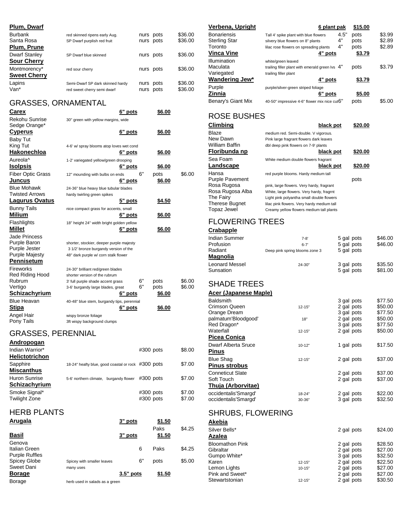| Plum, Dwarf          |                                  |           |         |
|----------------------|----------------------------------|-----------|---------|
| <b>Burbank</b>       | red skinned ripens early Aug.    | nurs pots | \$36.00 |
| Santa Rosa           | SP Dwarf purplish red fruit      | nurs pots | \$36.00 |
| Plum, Prune          |                                  |           |         |
| <b>Dwarf Stanley</b> | SP Dwarf blue skinned            | nurs pots | \$36.00 |
| <b>Sour Cherry</b>   |                                  |           |         |
| Montmorency*         | red sour cherry                  | nurs pots | \$36.00 |
| <b>Sweet Cherry</b>  |                                  |           |         |
| Lapins               | Semi-Dwarf SP dark skinned hardy | nurs pots | \$36.00 |
| Van*                 | red sweet cherry semi dwarf      | nurs pots | \$36.00 |

### GRASSES, ORNAMENTAL

| Carex                    | 6" pots                                    |    | \$6.00        |        |
|--------------------------|--------------------------------------------|----|---------------|--------|
| Rekohu Sunrise           | 30" green with yellow margins, wide        |    |               |        |
| Sedge Orange*            |                                            |    |               |        |
| <b>Cyperus</b>           | 6" pots                                    |    | \$6.00        |        |
| Baby Tut                 |                                            |    |               |        |
| King Tut                 | 4-6' w/ spray blooms atop loves wet cond   |    |               |        |
| Hakonechloa              | 6" pots                                    |    | \$6.00        |        |
| Aureola <sup>^</sup>     | 1-2' variegated yellow/green drooping      |    |               |        |
| <u>Isolpsis</u>          | 6" pots                                    |    | <u>\$6.00</u> |        |
| <b>Fiber Optic Grass</b> | 12" mounding with bulbs on ends            | 6" | pots          | \$6.00 |
| Juncus                   | 6" pots                                    |    | <u>\$6.00</u> |        |
| <b>Blue Mohawk</b>       | 24-36" blue heavy blue tubular blades      |    |               |        |
| <b>Twisted Arrows</b>    | hardy twirling green spikes                |    |               |        |
| <b>Lagurus Ovatus</b>    | 5" pots                                    |    | \$4.50        |        |
| <b>Bunny Tails</b>       | nice compact grass for accents, small      |    |               |        |
| <b>Milium</b>            | 6" pots                                    |    | <u>\$6.00</u> |        |
| Flashlights              | 18" height 24" width bright golden yellow  |    |               |        |
| <b>Millet</b>            | 6" pots                                    |    | \$6.00        |        |
| Jade Princess            |                                            |    |               |        |
| Purple Baron             | shorter, stockier, deeper purple majesty   |    |               |        |
| Purple Jester            | 3 1/2' bronze burgandy version of the      |    |               |        |
| <b>Purple Majesty</b>    | 48" dark purple w/ corn stalk flower       |    |               |        |
| Pennisetum               |                                            |    |               |        |
| Fireworks                | 24-30" brilliant red/green blades          |    |               |        |
| Red Riding Hood          | shorter version of the rubrum              |    |               |        |
| Rubrum                   | 3' full purple shade accent grass          | 6" | pots          | \$6.00 |
| Vertigo                  | 3-6' burgandy large blades, great          | 6" | pots          | \$6.00 |
| Schizachyrium            | 6" pots                                    |    | \$6.00        |        |
| <b>Blue Heavan</b>       | 40-48" blue stem, burgandy tips, perennial |    |               |        |
| Stipa                    | 6" pots                                    |    | \$6.00        |        |
| Angel Hair               | wispy bronze foliage                       |    |               |        |
| Pony Tails               | 3ft wispy background clumps                |    |               |        |

### GRASSES, PERENNIAL **Andropogan**

| Aliul vivuqdi i                          |                                                    |                            |                  |
|------------------------------------------|----------------------------------------------------|----------------------------|------------------|
| Indian Warrior*<br><b>Helictotrichon</b> |                                                    | $#300$ pots                | \$8.00           |
| Sapphire<br><b>Miscanthus</b>            | 18-24" heafty blue, good coastal or rock #300 pots |                            | \$7.00           |
| Huron Sunrise<br>Schizachyrium           | 5-6' northern climate, burgandy flower             | $\#300$ pots               | \$7.00           |
| Smoke Signal*<br><b>Twilight Zone</b>    |                                                    | $#300$ pots<br>$#300$ pots | \$7.00<br>\$7.00 |

# HERB PLANTS

| Arugala                                                 |                            | 3" pots     | \$1.50<br>Paks | \$4.25 |
|---------------------------------------------------------|----------------------------|-------------|----------------|--------|
| <b>Basil</b>                                            |                            | 3" pots     | \$1.50         |        |
| Genova<br>Italian Green<br><b>Purple Ruffles</b>        |                            | 6           | Paks           | \$4.25 |
| <b>Spicey Globe</b>                                     | Spicey with smaller leaves | 6"          | pots           | \$5.00 |
| Sweet Dani<br><b>Borage</b><br>$\overline{\phantom{a}}$ | many uses                  | $3.5"$ pots | \$1.50         |        |

Borage herb used in salads as a green

| <u>Verbena, Upright</u> | 6 plant pak                                       |      | \$15.00 |        |
|-------------------------|---------------------------------------------------|------|---------|--------|
| Bonariensis             | Tall 4' spike plant with blue flowers             | 4.5" | pots    | \$3.99 |
| Sterling Star           | silvery blue flowers on 8" plants                 | 4"   | pots    | \$2.89 |
| Toronto                 | lilac rose flowers on spreading plants            | 4"   | pots    | \$2.89 |
| Vinca Vine              | 4" pots                                           |      | \$3.79  |        |
| Illumination            | white/green leaved                                |      |         |        |
| Maculata                | trailing filler plant with emerald green lvs $4"$ |      | pots    | \$3.79 |
| Variegated              | trailing filler plant                             |      |         |        |
| Wandering Jew*          | 4" pots                                           |      | \$3.79  |        |
| Purple                  | purple/silver-green striped foliage               |      |         |        |
| Zinnia                  | 6" pots                                           |      | \$5.00  |        |
| Benary's Giant Mix      | 40-50" impressive 4-6" flower mix nice cut6"      |      | pots    | \$5.00 |
|                         |                                                   |      |         |        |

### ROSE BUSHES

| Climbing               | black pot                                  | \$20.00 |
|------------------------|--------------------------------------------|---------|
| Blaze                  | medium red. Semi-double. V vigorous.       |         |
| New Dawn               | Pink large fragrant flowers dark leaves    |         |
| William Baffin         | dbl deep pink flowers on 7-9' plants       |         |
| Floribunda np          | black pot                                  | \$20.00 |
| Sea Foam               | White medium double flowers fragrant       |         |
| Landscape              | black pot                                  | \$20.00 |
| Hansa                  | red purple blooms. Hardy medium tall       |         |
| <b>Purple Pavement</b> |                                            | pots    |
| Rosa Rugosa            | pink, large flowers. Very hardy, fragrant  |         |
| Rosa Rugosa Alba       | White, large flowers. Very hardy, fragrnt  |         |
| The Fairy              | Light pink polyantha small double flowers  |         |
| <b>Therese Bugnet</b>  | lilac pink flowers. Very hardy medium tall |         |
| <b>Topaz Jewel</b>     | Creamy yellow flowers medium tall plants   |         |

# FLOWERING TREES

### **Crabapple**

Stewartstonian

| Indian Summer              | $7-8'$                         | 5 gal pots               | \$46.00 |
|----------------------------|--------------------------------|--------------------------|---------|
| Profusion<br>Radiant       | $6 - 7'$                       | 5 gal pots<br>5 gal pots | \$46.00 |
| <u>Magnolia</u>            | Deep pink spring blooms zone 3 |                          |         |
| <b>Leonard Messel</b>      | 24-30"                         | 3 gal pots               | \$35.50 |
| Sunsation                  |                                | 5 gal pots               | \$81.00 |
|                            |                                |                          |         |
| <b>SHADE TREES</b>         |                                |                          |         |
| Acer (Japanese Maple)      |                                |                          |         |
| <b>Baldsmith</b>           |                                | 3 gal pots               | \$77.50 |
| <b>Crimson Queen</b>       | $12 - 15"$                     | 2 gal pots               | \$50.00 |
| Orange Dream               |                                | 3 gal pots               | \$77.50 |
| palmatum'Bloodgood'        | 18"                            | 2 gal pots               | \$50.00 |
| Red Dragon*                |                                | 3 gal pots               | \$77.50 |
| Waterfall                  | $12 - 15"$                     | 2 gal pots               | \$50.00 |
| <b>Picea Conica</b>        |                                |                          |         |
| <b>Dwarf Alberta Sruce</b> | $10 - 12"$                     | 1 gal pots               | \$17.50 |
| <b>Pinus</b>               |                                |                          |         |
| <b>Blue Shag</b>           | $12 - 15"$                     | 2 gal pots               | \$37.00 |
| <b>Pinus strobus</b>       |                                |                          |         |
| <b>Conneticut Slate</b>    |                                | 2 gal pots               | \$37.00 |
| Soft Touch                 |                                | 2 gal pots               | \$37.00 |
| Thuja (Arborvitae)         |                                |                          |         |
| occidentalis'Smargd'       | 18-24"                         | 2 gal pots               | \$22.00 |
| occidentalis'Smargd'       | 30-36"                         | 3 gal pots               | \$32.50 |
|                            |                                |                          |         |
| <b>SHRUBS, FLOWERING</b>   |                                |                          |         |
| Akebia                     |                                |                          |         |
| Silver Bells*              |                                | 2 gal pots               | \$24.00 |
| Azalea                     |                                |                          |         |
| <b>Bloomathon Pink</b>     |                                | 2 gal pots               | \$28.50 |
| Gibraltar                  |                                | 2 gal pots               | \$27.00 |
| Gumpo White*               |                                | 3 gal pots               | \$32.50 |
| Karen                      | $12 - 15"$                     | 2 gal pots               | \$22.50 |

Lemon Lights 10-15" 2 gal pots<br>
Pink and Sweet\* 2 gal pots<br>
Stewartstonian 12-15" 2 gal pots

Pink and Sweet\*<br>
Stewartstonian<br>
2 gal pots \$30.50<br>
30.50

2 gal pots \$22.50<br>2 gal pots \$27.00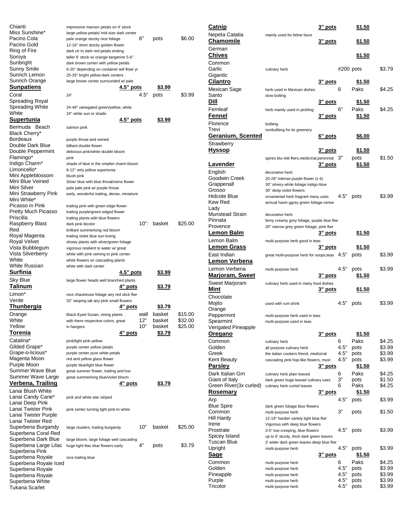| Chianti                            | impressive maroon petals on 4' stock                                    |             |               |                    |
|------------------------------------|-------------------------------------------------------------------------|-------------|---------------|--------------------|
| Miss Sunshine*                     | large yellow petals/ mid-size dark center                               |             |               |                    |
| Pacino Cola<br>Pacino Gold         | pale orange stocky nice foliage                                         | 6"          | pots          | \$6.00             |
| Ring of Fire                       | 12-16" short stocky golden flower<br>dark ctr to dark red petals ending |             |               |                    |
| Soroya                             | taller 6' stock w/ orange-tangerine 5-6"                                |             |               |                    |
| Sunbright                          | dark brown center with yellow petals                                    |             |               |                    |
| Sunny Smile                        | 6-20" depending on container will flowr yr                              |             |               |                    |
| Sunrich Lemon                      | 25-35" bright yellow dark centers                                       |             |               |                    |
| Sunrich Orange                     | large brown center surrounded w/ pale                                   |             |               |                    |
| Sunpatiens                         | <u>4.5" pots</u>                                                        |             | \$3.99        |                    |
| Coral                              | 24"                                                                     | 4.5"        | pots          | \$3.99             |
| Spreading Royal                    |                                                                         |             |               |                    |
| Spreading White<br>White           | 24-48" variegated green/yellow, white                                   |             |               |                    |
| Supertunia                         | 24" white sun or shade<br>4.5" pots                                     |             | \$3.99        |                    |
|                                    |                                                                         |             |               |                    |
| Bermuda<br>Beach<br>Black Cherry*  | salmon pink                                                             |             |               |                    |
| Bordeaux                           | purple throat and veined                                                |             |               |                    |
| Double Dark Blue                   | billiant double flower                                                  |             |               |                    |
| Double Peppermint                  | delicious pink/white double bloom                                       |             |               |                    |
| Flamingo*                          | pink                                                                    |             |               |                    |
| Indigo Charm*                      | shade of blue in the smaller charm bloom                                |             |               |                    |
| Limoncello*                        | 8-12" only yellow supertunia                                            |             |               |                    |
| Mini Appleblossom                  | blush pink                                                              |             |               |                    |
| Mini Blue Veined                   | Silver blue with blue throat/veins flower                               |             |               |                    |
| Mini Silver                        | pale pale pink w/ purple throat                                         |             |               |                    |
| Mini Strawberry Pink               | early, wonderful trailing, dense, miniature                             |             |               |                    |
| Mini White*                        |                                                                         |             |               |                    |
| Picasso in Pink                    | trailing pink with green edge flower                                    |             |               |                    |
| Pretty Much Picasso                | trailing purple/green edged flower                                      |             |               |                    |
| Priscilla                          | trailing plants with blue flowers                                       | 10":        | basket        | \$25.00            |
| Raspberry Blast<br>Red             | dark pink bicolor<br>brilliant summerlong red bloom                     |             |               |                    |
| Royal Magenta                      | trailing violet blue sun loving                                         |             |               |                    |
| Royal Velvet                       | showy plants with silver/green foliage                                  |             |               |                    |
| Vista Bubblegum                    | vigorous resilient to water w/ great                                    |             |               |                    |
| Vista Silverberry                  | white with pink veining to pink center                                  |             |               |                    |
| White                              | white flowers on cascading plants                                       |             |               |                    |
| White Russian                      | white with dark center                                                  |             |               |                    |
| Surfinia                           | <u>4.5" pots</u>                                                        |             | \$3.99        |                    |
| Sky Blue                           | large flower heads well branched plants                                 |             |               |                    |
| Talinum                            | 4" pots                                                                 |             | \$3.79        |                    |
| Limon*                             | nice chautreuse foliage airy red stick flwr                             |             |               |                    |
|                                    |                                                                         |             |               |                    |
| Verde                              | 32" wisping tall airy pink small flowers                                |             |               |                    |
| Thunbergia                         | 4" pots                                                                 |             | \$3.79        |                    |
|                                    |                                                                         |             | basket        |                    |
| Orange                             | Black-Eyed Susan, vining plants                                         | wall<br>12" | basket        | \$15.00            |
| White<br>Yellow                    | with there respective colors, great<br>in hangers                       | 10"         | basket        | \$32.00<br>\$25.00 |
| Torenia                            |                                                                         |             | \$3.79        |                    |
|                                    | <u>4" pots</u>                                                          |             |               |                    |
| Catalina*                          | pink/light pink-yellow                                                  |             |               |                    |
| Gilded Grape*<br>Grape-o-licious*  | purple center yellow petals<br>purple center pure white petals          |             |               |                    |
| Magenta Moon                       | red and yellow glass flower                                             |             |               |                    |
| Purple Moon                        | purple blue/light blue flower                                           |             |               |                    |
| Summer Wave Blue                   | great summer flower, trailing and low                                   |             |               |                    |
| Summer Wave Large                  | great summerlong blue/violet bloom                                      |             |               |                    |
| Verbena, Trailing                  | <u>4" pots</u>                                                          |             | <u>\$3.79</u> |                    |
| Lanai Blush White                  |                                                                         |             |               |                    |
| Lanai Candy Cane*                  | pink and white star striped                                             |             |               |                    |
| Lanai Deep Pink                    |                                                                         |             |               |                    |
| Lanai Twister Pink                 | pink center turning light pink to white                                 |             |               |                    |
| Lanai Twister Purple               |                                                                         |             |               |                    |
| Lanai Twister Red                  |                                                                         |             |               |                    |
| Superbena Burgandy                 | large clusters, trailing burgandy                                       | 10"         | basket        | \$25.00            |
| Superbena Coral Red                |                                                                         |             |               |                    |
| Superbena Dark Blue                | large bloom, large foliage well cascading                               | 4"          |               |                    |
| Superbena Large Lilac              | huge light lilac blue flowers early                                     |             | pots          | \$3.79             |
| Superbena Pink<br>Superbena Royale | nice trailing blue                                                      |             |               |                    |
| Superbena Royale Iced              |                                                                         |             |               |                    |
| Superbena Royale                   |                                                                         |             |               |                    |
| Superbena Royale                   |                                                                         |             |               |                    |
| Superbena White<br>Tukana Scarlet  |                                                                         |             |               |                    |

| <u>Catnip</u>            |                                               | 3 <u>" pots</u> |           | <u>\$1.50</u> |        |
|--------------------------|-----------------------------------------------|-----------------|-----------|---------------|--------|
| Nepeta Catatia           | mainly used for feline favor                  |                 |           |               |        |
| Chamomile                |                                               | 3" <u>pots</u>  |           | <u>\$1.50</u> |        |
| German                   |                                               |                 |           |               |        |
| <u>Chives</u>            |                                               |                 |           | <u>\$1.50</u> |        |
| Common                   |                                               |                 |           |               |        |
| Garlic                   | culinary herb                                 |                 | #200 pots |               | \$3.79 |
| Gigantic                 |                                               |                 |           |               |        |
| <u>Cilantro</u>          |                                               | 3" pots         |           | <u>\$1.50</u> |        |
| Mexican Sage             | herb used in Mexican dishes                   |                 | 6         | Paks          | \$4.25 |
| Santo                    | slow bolting                                  |                 |           |               |        |
| <u>Dill</u>              |                                               | 3" <u>pots</u>  |           | \$1.50        |        |
| Fernleaf                 | herb mainly used in pickling                  |                 | 6"        | Paks          | \$4.25 |
| F <u>ennel</u>           |                                               | <u>3" pots</u>  |           | <u>\$1.50</u> |        |
|                          |                                               |                 |           |               |        |
| Florence                 | bulbing                                       |                 |           |               |        |
| Trevi                    | nonbulbing for its greenery                   |                 |           |               |        |
| <u>Geranium, Scented</u> |                                               | <u>6" pots</u>  |           | <u>\$6.00</u> |        |
| Strawberry               |                                               |                 |           |               |        |
| <u>Hyssop</u>            |                                               | <u>3" pots</u>  |           | <u>\$1.50</u> |        |
|                          | spires blu-vlet flwrs, medicinal, perennial   |                 | 3"        | pots          | \$1.50 |
| Lavender                 |                                               | 3" pots         |           | <u>\$1.50</u> |        |
| English                  | decorative herb                               |                 |           |               |        |
| Goodwin Creek            | 20-28" intense purple flower (z 6)            |                 |           |               |        |
| Grappenall               | 30" silvery white foliage indigo-blue         |                 |           |               |        |
| Grosso                   | 30" deep violet flowers                       |                 |           |               |        |
| Hidcote Blue             | ornamental herb fragrant many uses            |                 | 4.5"      | pots          | \$3.99 |
| Kew Red                  | annual havin ggrey green foliage cerise       |                 |           |               |        |
| Lady                     |                                               |                 |           |               |        |
| Munstead Strain          | decorative herb                               |                 |           |               |        |
| Pinnata                  | ferny creamy grey foliage, purple blue flwr   |                 |           |               |        |
| Provence                 | 20" narrow grey green foliage, pink flwr      |                 |           |               |        |
| <u>Lemon Balm</u>        |                                               | 3" pots         |           | <u>\$1.50</u> |        |
| Lemon Balm               | multi-purpose herb good in teas               |                 |           |               |        |
| Lem <u>on Grass</u>      |                                               | <u>3" pots</u>  |           | <u>\$1.50</u> |        |
| East Indian              | great multi-purpose herb for soups, teas 4.5" |                 |           | pots          | \$3.99 |
| Lemon Verbena            |                                               |                 |           |               |        |
| Lemon Verbena            |                                               |                 | 4.5"      |               |        |
|                          | multi-purpose herb                            |                 |           | pots          | \$3.99 |
| <u> Marjoram, Sweet</u>  |                                               | 3" pots         |           | <u>\$1.50</u> |        |
| Sweet Marjoram           | culinary herb used in many food dishes        |                 |           |               |        |
| Mint                     |                                               | <u>3" pots</u>  |           | <u>\$1.50</u> |        |
| Chocolate                |                                               |                 |           |               |        |
| Mojito                   | used with rum drink                           |                 | 4.5"      | pots          | \$3.99 |
| Orange                   |                                               |                 |           |               |        |
| Peppermint               | multi-purpose herb used in teas               |                 |           |               |        |
| Spearmint                | multi-purpose used in teas                    |                 |           |               |        |
| Verigated Pineapple      |                                               |                 |           |               |        |
| <u>Oregano</u>           |                                               | 3" pots         |           | \$1.50        |        |
| Common                   | culinary herb                                 |                 | 6         | Paks          | \$4.25 |
| Golden                   | all purpose culinary herb                     |                 | 4.5"      | pots          | \$3.99 |
| Greek                    | the italian cookers friend, medicinal         |                 | 4.5"      | pots          | \$3.99 |
| Kent Beauty              | cascading pink hop-like flowers, must         |                 | 4.5"      | pots          | \$3.99 |
| Parsley                  |                                               | 3" pots         |           | <u>\$1.50</u> |        |
| Dark Italian Grn         | culinary herb plain leaved                    |                 | 6         | Paks          | \$4.25 |
| Giant of Italy           | dark green huge leaved culinary uses          |                 | 3"        | pots          | \$1.50 |
| Green River(3x curled)   | culinary herb curled leaves                   |                 | 6         | Paks          | \$4.25 |
| <u>Rosemary</u>          |                                               | <u>3" pots</u>  |           | <u>\$1.50</u> |        |
| Arp                      |                                               |                 | 4.5"      | pots          | \$3.99 |
| <b>Blue Spire</b>        | dark green foliage blue flowers               |                 |           |               |        |
| Common                   | multi-purpose herb                            |                 | 3"        | pots          | \$1.50 |
| Hill Hardy               | 12-18" hardier variety light blue flwr        |                 |           |               |        |
| Irene                    | Vigorous with deep blue flowers               |                 |           |               |        |
| Prostrate                | 3-5" low creeping, blue flowers               |                 | 4.5"      | pots          | \$3.99 |
| Spicey Island            | up to 6' sturdy, thick dark green leaves      |                 |           |               |        |
| Tuscan Blue              | 3' wider dark green leaves deep blue flwr     |                 |           |               |        |
| Upright                  | multi-purpose herb                            |                 | 4.5"      | pots          | \$3.99 |
| <u>Sage</u>              |                                               | 3" pots         |           | <u>\$1.50</u> |        |
| Common                   | multi-purpose herb                            |                 | 6         | Paks          | \$4.25 |
| Golden                   | multi-purpose herb                            |                 | 4.5"      | pots          | \$3.99 |
| Pineapple                | multi-purpose herb                            |                 | 4.5"      | pots          | \$3.99 |
| Purple                   | multi-purpose herb                            |                 | 4.5"      | pots          | \$3.99 |
| Tricolor                 |                                               |                 | 4.5"      |               | \$3.99 |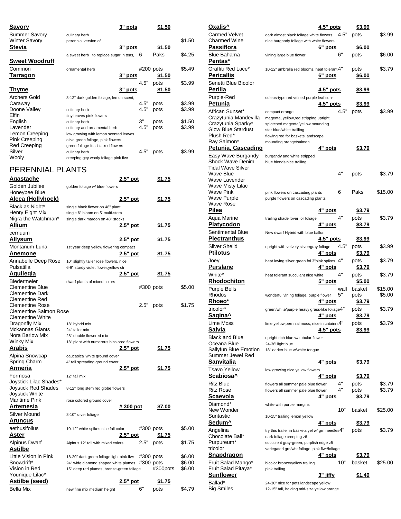| <u>Savory</u>         |                                         | 3" pots |             | \$1.50 |        |
|-----------------------|-----------------------------------------|---------|-------------|--------|--------|
| Summer Savory         | culinary herb                           |         |             |        |        |
| <b>Winter Savory</b>  | perennial version of                    |         |             |        | \$1.50 |
| Stevia                |                                         | 3" pots |             | \$1.50 |        |
|                       | a sweet herb to replace sugar in teas,  |         | 6           | Paks   | \$4.25 |
| <b>Sweet Woodruff</b> |                                         |         |             |        |        |
| Common                | ornamental herb                         |         | $#200$ pots |        | \$5.49 |
| Tarragon              |                                         | 3" pots |             | \$1.50 |        |
|                       |                                         |         | 4.5"        | pots   | \$3.99 |
| <u>Thyme</u>          |                                         | 3" pots |             | \$1.50 |        |
| <b>Archers Gold</b>   | 8-12" dark golden foliage, lemon scent, |         |             |        |        |
| Caraway               |                                         |         | 4.5"        | pots   | \$3.99 |
| Doone Valley          | culinary herb                           |         | 4.5"        | pots   | \$3.99 |
| Elfin                 | tiny leaves pink flowers                |         |             |        |        |
| English               | culinary herb                           |         | 3"          | pots   | \$1.50 |
| Lavender              | culinary and ornamental herb            |         | 4.5"        | pots   | \$3.99 |
| Lemon Creeping        | low growing with lemon scented leaves   |         |             |        |        |
| <b>Pink Creeping</b>  | olive green foliage, pink flowers       |         |             |        |        |
| <b>Red Creeping</b>   | green foliage fuschia-red flowers       |         |             |        |        |
| Silver                | culinary herb                           |         | 4.5"        | pots   | \$3.99 |
| Wooly                 | creeping gey wooly foliage pink flwr    |         |             |        |        |
|                       |                                         |         |             |        |        |

## PERENNIAL PLANTS

| Agastache                             | 2.5" pot                                  |             | \$1.75        |        |
|---------------------------------------|-------------------------------------------|-------------|---------------|--------|
| Golden Jubilee                        | golden foliage w/ blue flowers            |             |               |        |
| Honeybee Blue                         |                                           |             |               |        |
| <u> Alcea (Hollyhock)</u>             | $2.5"$ pot                                |             | \$1.75        |        |
| Black as Night*                       | single black flower on 48" plant          |             |               |        |
| Henry Eight Mix                       | single 6" bloom on 5' multi-stem          |             |               |        |
| Nigra the Watchman*                   | single dark maroon on 48" stocks          |             |               |        |
| Allium                                | 2.5" pot                                  |             | \$1.75        |        |
| cernuum                               |                                           |             |               |        |
| <b>Allysum</b>                        | $2.5"$ pot                                |             | \$1.75        |        |
| Montanum Luna                         | 1st year deep yellow flowering compact    |             |               |        |
| Anemone                               | $2.5"$ pot                                |             | <u>\$1.75</u> |        |
| Annabelle Deep Rose                   | 10" slightly taller rose flowers, nice    |             |               |        |
| Pulsatilla                            | 6-9" sturdy violet flower, yellow ctr     |             |               |        |
| <b>Aquilegia</b>                      | <u>2.5" pot</u>                           |             | <u>\$1.75</u> |        |
| Biedermeier                           | dwarf plants of mixed colors              |             |               |        |
| <b>Clementine Blue</b>                |                                           |             | #300 pots     | \$5.00 |
| <b>Clementine Dark</b>                |                                           |             |               |        |
| Clementine Red                        |                                           |             |               |        |
| <b>Clementine Rose</b>                |                                           | 2.5"        | pots          | \$1.75 |
| <b>Clementine Salmon Rose</b>         |                                           |             |               |        |
| Clementine White                      |                                           |             |               |        |
| Dragonfly Mix                         | 18" hybrid mix                            |             |               |        |
| Mckannas Giants                       | 24" taller mix                            |             |               |        |
| Nora Barlow Mix                       | 28" double flowered mix                   |             |               |        |
| Winky Mix                             | 18" plant with numerous bicolored flowers |             |               |        |
| Arabis                                | 2.5" pot                                  |             | \$1.75        |        |
| Alpina Snowcap                        | caucasica 'white ground cover             |             |               |        |
| Spring Charm                          | 4" tall spreading ground cover            |             |               |        |
| Armeria                               | 2.5" pot                                  |             | \$1.75        |        |
| Formosa                               | 12" tall mix                              |             |               |        |
| Joystick Lilac Shades*                |                                           |             |               |        |
| Joystick Red Shades<br>Joystick White | 8-12" long stem red globe flowers         |             |               |        |
| <b>Maritime Pink</b>                  | rose colored ground cover                 |             |               |        |
| Artemesia                             | <u># 300 pot</u>                          |             | \$7.00        |        |
| Silver Mound                          |                                           |             |               |        |
|                                       | 8-10" silver foliage                      |             |               |        |
| <u>Aruncus</u>                        |                                           |             |               |        |
| aethusifolius                         | 10-12" white spikes nice fall color       |             | #300 pots     | \$5.00 |
| Aster                                 | 2.5" pot                                  |             | <u>\$1.75</u> |        |
| <b>Alpinus Dwarf</b>                  | Alpinus 12" tall with mixed colors        | 2.5"        | pots          | \$1.75 |
| <b>Astilbe</b>                        |                                           |             |               |        |
| Little Vision in Pink                 | 18-20" dark green foliage light pink flwr |             | #300 pots     | \$6.00 |
| Snowdrift*                            | 24" wide diamond shaped white plumes      | $#300$ pots |               | \$6.00 |
| Vision in Red                         | 15" deep red plumes, bronze-green foliage |             | #300pots      | \$6.00 |
| Younique Lilac*                       |                                           |             |               |        |
| <u>Astilbe (seed)</u>                 | 2.5" pot                                  |             | <u>\$1.75</u> |        |
| <b>Bella Mix</b>                      | new fine mix medium height                | 6"          | pots          | \$4.79 |

| Oxalis^                                                           | $4.5"$ pots                                                                             |      | <u>\$3.99</u>  |         |
|-------------------------------------------------------------------|-----------------------------------------------------------------------------------------|------|----------------|---------|
| Carmed Velvet                                                     | dark almost black foliage white flowers                                                 | 4.5" | pots           | \$3.99  |
| Charmed Wine                                                      | nice burgandy foliage with white flowers                                                |      |                |         |
| <u>Passiflora</u>                                                 | 6" pots                                                                                 |      | <u>\$6.00</u>  |         |
| Blue Bahama<br>Pentas*                                            | vining large blue flower                                                                | 6"   | pots           | \$6.00  |
| Graffiti Red Lace*                                                | 10-12" umbrella red blooms, heat tolerant 4"                                            |      | pots           | \$3.79  |
| <u>Pericallis</u>                                                 | 6" pots                                                                                 |      | <u>\$6.00</u>  |         |
| Senetti Blue Bicolor                                              |                                                                                         |      |                |         |
| Perilla                                                           | 4.5" pots                                                                               |      | <u>\$3.99</u>  |         |
| Purple-Red                                                        | coleus-type red veined purple leaf sun-                                                 |      |                |         |
| Petunia                                                           | $4.5"$ pots                                                                             |      | \$3.99         |         |
| African Sunset*                                                   | compact orange                                                                          | 4.5" | pots           | \$3.99  |
| Crazytunia Mandevilla                                             | magenta, yellow, red stripping upright                                                  |      |                |         |
| Crazytunia Sparky*<br>Glow Blue Stardust                          | splotched magenta/yellow mounding<br>star blue/white trailling                          |      |                |         |
| Plush Red*                                                        | flowing red.for baskets.landscape                                                       |      |                |         |
| Ray Salmon*                                                       | mounding orange/salmon                                                                  |      |                |         |
| <u> Petunia, Cascading</u>                                        | <u>4" pots</u>                                                                          |      | <u>\$3.79</u>  |         |
| Easy Wave Burgandy<br>Shock Wave Denim                            | burgandy and white stripped<br>blue blends nice trailing                                |      |                |         |
| Tidal Wave Silver                                                 |                                                                                         |      |                |         |
| Wave Blue                                                         |                                                                                         | 4"   | pots           | \$3.79  |
| Wave Lavender                                                     |                                                                                         |      |                |         |
| Wave Misty Lilac<br>Wave Pink                                     | pink flowers on cascading plants                                                        | 6    | Paks           | \$15.00 |
| Wave Purple                                                       | purple flowers on cascading plants                                                      |      |                |         |
| Wave Rose                                                         |                                                                                         |      |                |         |
| Pilea                                                             | 4" pots                                                                                 |      | <u>\$3.79</u>  |         |
| Aqua Marine                                                       | trailing shade lover for foliage                                                        | 4"   | pots           | \$3.79  |
| <u>Platycodon</u>                                                 | 4 <u>" pots</u>                                                                         |      | <u>\$3.79</u>  |         |
| Sentimental Blue<br><b>Plectranthus</b>                           | New dwarf Hybrid with blue ballon<br>4.5" pots                                          |      | <u>\$3.99</u>  |         |
| Silver Sheild                                                     | upright with velvety silver/gray foliage                                                | 4.5" | pots           | \$3.99  |
| Ptilotus                                                          | <u>4" pots</u>                                                                          |      | <u>\$3.79</u>  |         |
| Joey                                                              | heat loving silver green fol 3"pink spikes 4"                                           |      | pots           | \$3.79  |
| <u>Purslane</u>                                                   | 4" <u>pots</u>                                                                          |      | <u>\$3.79</u>  |         |
|                                                                   |                                                                                         |      |                |         |
| White*                                                            | heat tolerant succulant nice white                                                      | 4"   | pots           | \$3.79  |
| <u>Rhodochiton</u>                                                | 5" pots                                                                                 |      | \$5.00         |         |
| Purple Bells                                                      |                                                                                         | wall | basket         | \$15.00 |
| Rhodos                                                            | wonderful vining foliage, purple flower                                                 | 5"   | pots           | \$5.00  |
| <u>Rhoeo*</u>                                                     | 4" pots                                                                                 |      | <u>\$3.79</u>  |         |
| tricolor*                                                         | green/white/purple heavy grass-like foliage4"                                           |      | pots<br>\$3.79 | \$3.79  |
| Sagina^                                                           | 4" pots                                                                                 |      |                | \$3.79  |
| Lime Moss<br><u>Salvia</u>                                        | lime yellow pernnial moss, nice in cntainrs4"<br>4.5" pots                              |      | pots<br>\$3.99 |         |
| Black and Blue                                                    | upright rich blue w/ tubular flower                                                     |      |                |         |
| Oceana Blue                                                       | 24-36' light blue                                                                       |      |                |         |
| Sallyfun Blue Emotion<br>Summer Jewel Red                         | 18" darker blue w/white tongue                                                          |      |                |         |
| <u>Sanvitalia</u>                                                 | 4" pots                                                                                 |      | <u>\$3.79</u>  |         |
| Tsavo Yellow                                                      | low growing nice yellow flowers                                                         |      |                |         |
| Scabiosa^                                                         | 4" pots                                                                                 |      | <u>\$3.79</u>  |         |
| Ritz Blue                                                         | flowers all summer pale blue flower                                                     | 4"   | pots           | \$3.79  |
| Ritz Rose                                                         | flowers all summer pale blue flower                                                     | 4"   | pots           | \$3.79  |
| Scaevola                                                          | <u>4" pots</u>                                                                          |      | <u>\$3.79</u>  |         |
| Diamond*<br>New Wonder                                            | white with purple margins                                                               | 10"  | basket         | \$25.00 |
| Suntastic                                                         | 10-15" trailing lemon yellow                                                            |      |                |         |
| <u>Sedum^</u>                                                     | <u>4" pots</u>                                                                          |      | <u>\$3.79</u>  |         |
|                                                                   | try this trailer in baskets yel w/ grn needles4"                                        |      | pots           | \$3.79  |
| Angelina<br>Chocolate Ball*                                       | dark foliage creeping z6                                                                |      |                |         |
|                                                                   | succulent gray-green, purplish edge z5<br>variegated grn/wht foliage, pink flwr/foliage |      |                |         |
|                                                                   | 4" pots                                                                                 |      | <u>\$3.79</u>  |         |
| Purpureum*<br>tricolor<br><u>Snapdragon</u><br>Fruit Salad Mango* | bicolor bronze/yellow trailing                                                          | 10"  | basket         | \$25.00 |
| Fruit Salad Pitaya*                                               | pink trailing                                                                           |      |                |         |
| Sunflower<br>Ballad*                                              | 3" jiffy<br>24-30" nice for pots.landscape yellow                                       |      | <u>\$1.49</u>  |         |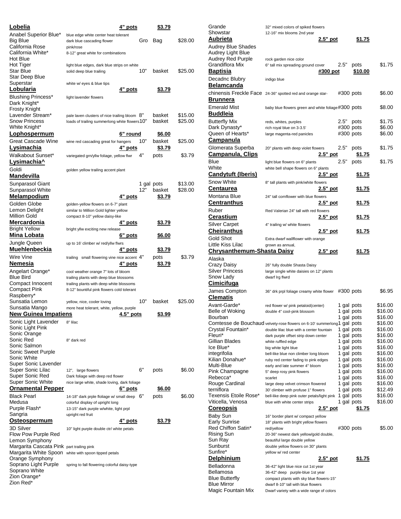| Lobelia                                                     | 4" pots                                                                                |           | <u>\$3.79</u>    |         |
|-------------------------------------------------------------|----------------------------------------------------------------------------------------|-----------|------------------|---------|
| Anabel Superior Blue*                                       | blue edge white center heat tolerant                                                   |           |                  |         |
| <b>Big Blue</b><br>California Rose                          | dark blue cascading flower<br>pink/rose                                                | Gro       | Bag              | \$28.00 |
| California White*                                           | 8-12" great white for combinations                                                     |           |                  |         |
| Hot Blue                                                    |                                                                                        |           |                  |         |
| Hot Tiger<br>Star Blue                                      | light blue edges, dark blue strips on white<br>solid deep blue trailing                | 10"       | basket           | \$25.00 |
| Star Deep Blue                                              |                                                                                        |           |                  |         |
| Superstar                                                   | white w/ eyes & blue tips                                                              |           |                  |         |
| <u>Lobularia</u>                                            | <u>4" pots</u>                                                                         |           | <u>\$3.79</u>    |         |
| Blushing Princess*<br>Dark Knight*                          | light lavender flowers                                                                 |           |                  |         |
| Frosty Knight                                               |                                                                                        |           |                  |         |
| Lavender Stream*                                            | pale laven clusters of nice trailing bloom $8"$                                        |           | basket           | \$15.00 |
| <b>Snow Princess</b>                                        | loads of trailing summerlong white flowers 10"                                         |           | basket           | \$25.00 |
| White Knight*<br>Lophospermum                               |                                                                                        | 6" round  | <u>\$6.00</u>    |         |
| Great Cascade Wine                                          | wine red cascading great for hangers                                                   | 10"       | basket           | \$25.00 |
| <u>Lysimachia</u>                                           | 4" pots                                                                                |           | \$3.79           |         |
| Walkabout Sunset*                                           | variegated grn/yllw foliage, yellow flwr                                               | 4"        | pots             | \$3.79  |
| Lysimachia^                                                 |                                                                                        |           |                  |         |
| Goldi                                                       | golden yellow trailing accent plant                                                    |           |                  |         |
| <u>Mandevilla</u>                                           |                                                                                        |           |                  |         |
| Sunparasol Giant                                            |                                                                                        | 12"       | 1 gal pots       | \$13.00 |
| Sunparasol White<br>Melampodium                             | 4" pots                                                                                |           | basket<br>\$3.79 | \$28.00 |
| Golden Globe                                                | golden-yellow flowers on 6-7" plant                                                    |           |                  |         |
| Lemon Delight                                               | similar to Million Gold lighter yellow                                                 |           |                  |         |
| <b>Million Gold</b>                                         | compact 8-10" yellow daisy-like                                                        |           |                  |         |
| Mercardonia                                                 | 4 <u>" pots</u>                                                                        |           | <u>\$3.79</u>    |         |
| <b>Bright Yellow</b><br><u>Mina Lobata</u>                  | bright yllw exciting new release<br>6" pots                                            |           | <u>\$6.00</u>    |         |
| Jungle Queen                                                | up to 16' climber w/ red/yllw flwrs                                                    |           |                  |         |
| Muehlenbeckia                                               | <u>4" pots</u>                                                                         |           | <u>\$3.79</u>    |         |
| Wire Vine                                                   | small flowering vine nice accent 4"<br>trailing                                        |           | pots             | \$3.79  |
| <u>Nemesia</u>                                              | 4" pots                                                                                |           | <u>\$3.79</u>    |         |
| Angelart Orange*                                            | cool weather orange 7" lots of bloom                                                   |           |                  |         |
| <b>Blue Bird</b>                                            | trailing plants with deep blue blossoms                                                |           |                  |         |
| Compact Innocent<br>Compact Pink                            | trailing plants with deep white blossoms<br>8-12" bountiful pink flowers cold tolerant |           |                  |         |
| Raspberry*                                                  |                                                                                        |           |                  |         |
| Sunsatia Lemon                                              | yellow, nice, cooler loving                                                            | 10"       | basket           | \$25.00 |
| Sunsatia Mango<br><b>New Guinea Impatiens</b>               | more heat tolerant, white, yellow, purple                                              | 4.5" pots | <u>\$3.99</u>    |         |
| Sonic Light Lavender                                        | 8" lilac                                                                               |           |                  |         |
| Sonic Light Pink                                            |                                                                                        |           |                  |         |
| Sonic Orange                                                |                                                                                        |           |                  |         |
| Sonic Red<br>Sonic Salmon                                   | 8" dark red                                                                            |           |                  |         |
| Sonic Sweet Purple                                          |                                                                                        |           |                  |         |
| Sonic White                                                 |                                                                                        |           |                  |         |
| Super Sonic Lavender                                        |                                                                                        | 6"        |                  |         |
| Super Sonic Lilac<br>Super Sonic Red                        | 12", large flowers<br>Dark foliage with deep red flower                                |           | pots             | \$6.00  |
| Super Sonic White                                           | nice large white, shade loving, dark foliage                                           |           |                  |         |
| <b>Ornamental Pepper</b>                                    | 6" pots                                                                                |           | <u>\$6.00</u>    |         |
| <b>Black Pearl</b>                                          | 14-18" dark prple floliage w/ small deep $6"$                                          |           | pots             | \$6.00  |
| Medusa<br>Purple Flash*                                     | colorful display of upright long<br>13-15" dark purple w/white, light prpl             |           |                  |         |
| Sangria                                                     | upright red fruit                                                                      |           |                  |         |
| Osteospermum                                                | 4" pots                                                                                |           | <u>\$3.79</u>    |         |
| 3D Silver                                                   | 10" light purple double ctr/ white petals                                              |           |                  |         |
| Flow Pow Purple Red                                         |                                                                                        |           |                  |         |
| Lemon Symphony<br>Margarita Cascata Pink part trailing pink |                                                                                        |           |                  |         |
| Margarita White Spoon                                       | white with spoon tipped petals                                                         |           |                  |         |
| Orange Symphony                                             |                                                                                        |           |                  |         |
| Soprano Light Purple<br>Soprano White                       | spring to fall flowering colorful daisy-type                                           |           |                  |         |
| Zion Orange*                                                |                                                                                        |           |                  |         |
| Zion Red*                                                   |                                                                                        |           |                  |         |

| Grande                                                                  | 32" mixed colors of spiked flowers                                              |                 |                          |               |                    |
|-------------------------------------------------------------------------|---------------------------------------------------------------------------------|-----------------|--------------------------|---------------|--------------------|
| Showstar                                                                | 12-16" mix blooms 2nd year                                                      |                 |                          |               |                    |
| Aubrieta                                                                |                                                                                 | <u>2.5" pot</u> |                          | \$1.75        |                    |
| Audrey Blue Shades                                                      |                                                                                 |                 |                          |               |                    |
| Audrey Light Blue                                                       |                                                                                 |                 |                          |               |                    |
| Audrey Red Purple<br>Grandiflora Mix                                    | rock garden nice color<br>6" tall mix spreading ground cover                    |                 | 2.5"                     | pots          | \$1.75             |
| <u>Baptisia</u>                                                         |                                                                                 | #300 pot        |                          | \$10.00       |                    |
|                                                                         |                                                                                 |                 |                          |               |                    |
| Decadnc Blubry                                                          | indigo blue                                                                     |                 |                          |               |                    |
| <u>Belamcanda</u>                                                       |                                                                                 |                 |                          |               |                    |
| chinensis Freckle Face 24-36" spotted red and orange star-              |                                                                                 |                 | #300 pots                |               | \$6.00             |
| <u>Brunnera</u>                                                         |                                                                                 |                 |                          |               |                    |
| Emerald Mist                                                            | baby blue flowers green and white foliage#300 pots                              |                 |                          |               | \$8.00             |
| Buddleia                                                                |                                                                                 |                 |                          |               |                    |
| <b>Butterfly Mix</b>                                                    | reds, whites, purples                                                           |                 | 2.5"                     | pots          | \$1.75             |
| Dark Dynasty*                                                           | rich royal blue on 3-3.5'                                                       |                 | #300 pots                |               | \$6.00             |
| Queen of Hearts*                                                        | large magenta-red panicles                                                      |                 | #300 pots                |               | \$6.00             |
| <u>Campanula</u>                                                        |                                                                                 |                 |                          |               |                    |
| Glomerata Superba                                                       | 20" plants with deep violet flowers                                             |                 | 2.5"                     | pots          | \$1.75             |
| Campanula, Clips                                                        |                                                                                 | 2.5" pot        |                          | <u>\$1.75</u> |                    |
| Blue                                                                    | light blue flowers on 6" plants                                                 |                 | 2.5"                     | pots          | \$1.75             |
| White                                                                   | white bell shape flowers on 6" plants                                           |                 |                          |               |                    |
| Candytuft (Iberis)                                                      |                                                                                 | <u>2.5" pot</u> |                          | <u>\$1.75</u> |                    |
| <b>Snow White</b>                                                       | 8" tall plants with pink/white flowers                                          |                 |                          |               |                    |
| Centaurea                                                               |                                                                                 | 2.5" pot        |                          | <u>\$1.75</u> |                    |
| Montana Blue                                                            | 24" tall cornflower with blue flowers                                           |                 |                          |               |                    |
| <u>Centranthus</u>                                                      |                                                                                 | <u>2.5" pot</u> |                          | <u>\$1.75</u> |                    |
| Ruber                                                                   | Red Valerian 24" tall with red flowers                                          |                 |                          |               |                    |
| <u>Cerastium</u>                                                        |                                                                                 | <u>2.5" pot</u> |                          | <u>\$1.75</u> |                    |
| Silver Carpet                                                           | 4" trailing w/ white flowers                                                    |                 |                          |               |                    |
| Cheiranthus                                                             |                                                                                 | <u>2.5" pot</u> |                          | <u>\$1.75</u> |                    |
| Gold Shot                                                               | Extra dwarf wallflower with orange                                              |                 |                          |               |                    |
| Little Kiss Lilac                                                       | grown as annual,                                                                |                 |                          |               |                    |
| <u> Chrysanthemum-Shasta Daisy</u>                                      |                                                                                 | 2.5" pot        |                          | <u>\$1.75</u> |                    |
|                                                                         |                                                                                 |                 |                          |               |                    |
| Alaska                                                                  |                                                                                 |                 |                          |               |                    |
|                                                                         | 26" fully double Shasta Daisy                                                   |                 |                          |               |                    |
|                                                                         | large single white daisies on 12" plants                                        |                 |                          |               |                    |
| Crazy Daisy<br>Silver Princess<br>Snow Lady                             | dwarf Irg flwrd                                                                 |                 |                          |               |                    |
| <u>Cimicifuga</u>                                                       |                                                                                 |                 |                          |               |                    |
| James Compton                                                           | 36" drk prpl foliage creamy white flower                                        |                 | $#300$ pots              |               | \$6.95             |
| Clematis                                                                |                                                                                 |                 |                          |               |                    |
| Avant-Garde*                                                            | red flower w/ pink petaloid(center)                                             |                 | 1 gal pots               |               | \$16.00            |
| Belle of Woking                                                         | double 4" cool-pink blossom                                                     |                 | 1 gal pots               |               | \$16.00            |
| Bourban                                                                 |                                                                                 |                 | 1 gal pots               |               | \$16.00            |
| Comtesse de Bouchaud velvety-rose flowers on 6-10' summerlong1 gal pots |                                                                                 |                 |                          |               | \$16.00            |
| Crystal Fountain*                                                       | double lilac blue with a center fountain                                        |                 | 1 gal pots               |               | \$16.00            |
| Fleuri*                                                                 | dark purple offset strip down center                                            |                 | 1 gal pots               |               | \$16.00            |
|                                                                         | white ruffled edge                                                              |                 | 1 gal pots               |               | \$16.00            |
| Gillian Blades<br>lce Blue*                                             | big white light blue                                                            |                 | 1 gal pots               |               | \$16.00            |
| integrifolia<br>Kilian Donahue*                                         | bell-like blue non climber long bloom<br>ruby red center fading to pink edges   |                 | 1 gal pots<br>1 gal pots |               | \$16.00<br>\$16.00 |
| Multi-Blue                                                              | early and late summer 4" bloom                                                  |                 | 1 gal pots               |               | \$16.00            |
| Pink Champagne                                                          | 5" deep rosy pink flowers                                                       |                 | 1 gal pots               |               | \$16.00            |
| Rebecca*                                                                | scarlet                                                                         |                 | 1 gal pots               |               | \$16.00            |
|                                                                         | large deep velvet crimson flowered                                              |                 | 1 gal pots               |               | \$16.00            |
|                                                                         | 30' climber with profuse 1" flowers                                             |                 | 1 gal pots               |               | \$12.49            |
| Rouge Cardinal<br>terniflora<br>Texensis Etoile Rose*                   | bell-like deep pink outer petals/light pink                                     |                 | 1 gal pots               |               | \$16.00            |
| Viticella, Venosa                                                       | blue with white center strips                                                   |                 | 1 gal pots               |               | \$16.00            |
| <u>Coreopsis</u>                                                        |                                                                                 | 2.5" pot        |                          | <u>\$1.75</u> |                    |
| Baby Sun                                                                | 16" border plant w/ compact yellow                                              |                 |                          |               |                    |
|                                                                         | 18" plants with bright yellow flowers                                           |                 |                          |               | \$5.00             |
| Early Sunrise<br>Red Chiffon Satin*<br>Rising Sun                       | red/yellow<br>20-36" newest dark yellow/gold double,                            |                 | #300 pots                |               |                    |
| Sun Ray                                                                 | beautiful large double yellow                                                   |                 |                          |               |                    |
| Sunburst                                                                | double yellow flowers on 30" plants                                             |                 |                          |               |                    |
|                                                                         | yellow w/ red center                                                            |                 |                          |               |                    |
|                                                                         |                                                                                 | 2.5" pot        |                          | <u>\$1.75</u> |                    |
|                                                                         | 36-42" light blue nice cut 1st year                                             |                 |                          |               |                    |
| Sunfire*<br><u>Delphinium</u><br>Belladonna<br>Bellamosa                | 36-42" deep purple-blue 1st year                                                |                 |                          |               |                    |
| Blue Butterfly                                                          | compact plants with sky blue flowers-15"                                        |                 |                          |               |                    |
| Blue Mirror<br>Magic Fountain Mix                                       | dwarf 8-10" tall with blue flowers<br>Dwarf variety with a wide range of colors |                 |                          |               |                    |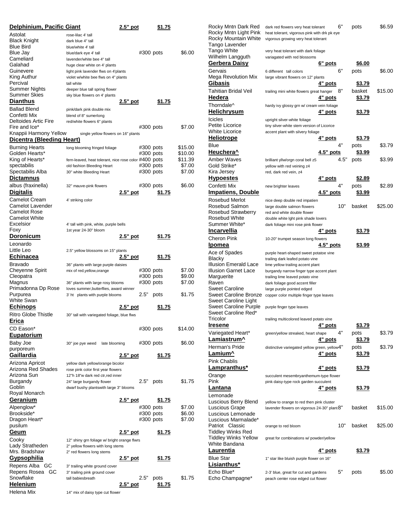| Delphinium, Pacific Giant              |                                                       | 2.5" pot   |                        | \$1.75        |                  |
|----------------------------------------|-------------------------------------------------------|------------|------------------------|---------------|------------------|
| Astolat                                | rose-lilac 4' tall                                    |            |                        |               |                  |
| <b>Black Knight</b>                    | dark blue 4" tall                                     |            |                        |               |                  |
| <b>Blue Bird</b>                       | blue/white 4' tall                                    |            |                        |               |                  |
| Blue Jay                               | blue/dark eye 4' tall                                 |            | #300 pots              |               | \$6.00           |
| Cameliard                              | lavender/white bee 4" tall                            |            |                        |               |                  |
| Galahad                                | huge clear white on 4' plants                         |            |                        |               |                  |
| Guinevere                              | light pink lavender flws on 4'plants                  |            |                        |               |                  |
| King Authur<br>Percival                | violet w/white bee flws on 4" plants                  |            |                        |               |                  |
| Summer Nights                          | tall white<br>deeper blue tall spring flower          |            |                        |               |                  |
| Summer Skies                           | sky blue flowers on 4' plants                         |            |                        |               |                  |
| <b>Dianthus</b>                        |                                                       | 2.5" pot   |                        | \$1.75        |                  |
| <b>Ballad Blend</b>                    | pink/dark pink double mix                             |            |                        |               |                  |
| Confetti Mix                           | blend of 8" sumerlong                                 |            |                        |               |                  |
| Deltoides Artic Fire                   | red/white flowers 6" plants                           |            |                        |               |                  |
| Fire and Ice*                          |                                                       |            | #300 pots              |               | \$7.00           |
| Knappii Harmony Yellow                 | single yellow flowers on 16" plants                   |            |                        |               |                  |
| Dicentra (Bleeding Heart)              |                                                       |            |                        |               |                  |
| Burning Hearts                         | long blooming fringed foliage                         |            | #300 pots              |               | \$15.00          |
| Golden Hearts*                         |                                                       |            | #300 pots              |               | \$10.00          |
| King of Hearts*                        | fern-leaved, heat tolerant, nice rose color #400 pots |            |                        |               | \$11.39          |
| spectabilis                            | old fashion Bleeding Heart                            |            | #300 pots              |               | \$7.00           |
| Spectabilis Alba                       | 30" white Bleeding Heart                              |            | #300 pots              |               | \$7.00           |
| Dictamnus                              |                                                       |            |                        |               |                  |
| albus (fraxinella)                     | 32" mauve-pink flowers                                |            | #300 pots              |               | \$6.00           |
| <b>Digitalis</b>                       |                                                       | 2.5" pot   |                        | \$1.75        |                  |
| <b>Camelot Cream</b>                   | 4' striking color                                     |            |                        |               |                  |
| <b>Camelot Lavender</b>                |                                                       |            |                        |               |                  |
| <b>Camelot Rose</b>                    |                                                       |            |                        |               |                  |
| <b>Camelot White</b>                   |                                                       |            |                        |               |                  |
| Excelsior                              | 4' tall with pink, white, purple bells                |            |                        |               |                  |
| Foxy                                   | 1st year 24-30" bloom                                 | 2.5" pot   |                        |               |                  |
| <b>Doronicum</b>                       |                                                       |            |                        | \$1.75        |                  |
| Leonardo                               |                                                       |            |                        |               |                  |
| Little Leo                             | 2.5" yellow blossoms on 15" plants                    |            |                        |               |                  |
| <b>Echinacea</b>                       |                                                       | 2.5" pot   |                        | <u>\$1.75</u> |                  |
| Bravado                                | 36" plants with large purple daisies                  |            |                        |               |                  |
| Cheyenne Spirit<br>Cleopatra           | mix of red, yellow, orange                            |            | #300 pots<br>#300 pots |               | \$7.00<br>\$9.00 |
| Magnus                                 | 36" plants with large rosy blooms                     |            | #300 pots              |               | \$7.00           |
| Primadonna Dp Rose                     | loves summer, butterflies, award winner               |            |                        |               |                  |
| Purpurea                               | 3' ht plants with purple blooms                       |            | 2.5"                   | pots          | \$1.75           |
| <b>White Swan</b>                      |                                                       |            |                        |               |                  |
| <b>Echinops</b>                        |                                                       | $2.5"$ pot |                        | \$1.75        |                  |
| Ritro Globe Thistle                    | 30" tall with variegated foliage, blue flws           |            |                        |               |                  |
| Erica                                  |                                                       |            |                        |               |                  |
| CD Eason*                              |                                                       |            | #300 pots              |               | \$14.00          |
| <u>Eupatorium</u>                      |                                                       |            |                        |               |                  |
| Baby Joe                               | 30" joe pye weed<br>late blooming                     |            | #300 pots              |               | \$6.00           |
| purporeum                              |                                                       |            |                        |               |                  |
| <u>Gaillardia</u>                      |                                                       | 2.5" pot   |                        | <u>\$1.75</u> |                  |
| Arizona Apricot                        | yellow dark yellow/orange bicolor                     |            |                        |               |                  |
| Arizona Red Shades                     | rose pink color first year flowers                    |            |                        |               |                  |
| Arizona Sun                            | 12"h 18"w dark red ctr, red inner                     |            |                        |               |                  |
| Burgandy                               | 24" large burgandy flower                             |            | 2.5"                   | pots          | \$1.75           |
| Goblin                                 | dwarf bushy plantswith large 3" blooms                |            |                        |               |                  |
| Royal Monarch                          |                                                       |            |                        |               |                  |
| <b>Geranium</b>                        |                                                       | 2.5" pot   |                        | <u>\$1.75</u> |                  |
| Alpenglow*                             |                                                       |            | #300 pots              |               | \$7.00           |
| Brookside*                             |                                                       |            | #300 pots              |               | \$6.00           |
| Dragon Heart*                          |                                                       |            | #300 pots              |               | \$7.00           |
| pusilum                                |                                                       |            |                        |               |                  |
| <u>Geum</u>                            |                                                       | 2.5" pot   |                        | <u>\$1.75</u> |                  |
| Cooky                                  | 12" shiny grn foliage w/ bright orange flwrs          |            |                        |               |                  |
| Lady Stratheden                        | 2" yellow flowers with long stems                     |            |                        |               |                  |
| Mrs. Bradshaw                          | 2" red flowers long stems                             | 2.5" pot   |                        |               |                  |
| <u>Gypsophilia</u>                     |                                                       |            |                        | <u>\$1.75</u> |                  |
| Repens Alba GC                         | 3" trailing white ground cover                        |            |                        |               |                  |
| <b>GC</b><br>Repens Rosea<br>Snowflake | 3" trailing pink ground cover<br>tall babiesbreath    |            | 2.5"                   | pots          | \$1.75           |
| <b>Helenium</b>                        |                                                       | 2.5" pot   |                        | \$1.75        |                  |
| Helena Mix                             | 14" mix of daisy type cut flower                      |            |                        |               |                  |
|                                        |                                                       |            |                        |               |                  |

| Rocky Mntn Dark Red             | dark red flowers very heat tolerant                                        |                  | 6"   | pots          | \$6.59  |
|---------------------------------|----------------------------------------------------------------------------|------------------|------|---------------|---------|
| Rocky Mntn Light Pink           | heat tolerant, vigorous pink with drk pk eye                               |                  |      |               |         |
| Rocky Mountain White            | vigorous growing very heat tolerant                                        |                  |      |               |         |
| Tango Lavender                  |                                                                            |                  |      |               |         |
| Tango White                     | very heat tolerant with dark foliage                                       |                  |      |               |         |
| Wilhelm Langguth                | variagated with red blossoms                                               |                  |      |               |         |
| <u>Gerbera Daisy</u>            |                                                                            | 6" pots          |      | \$6.00        |         |
| Gervais                         | 6 different tall colors                                                    |                  | 6"   | pots          | \$6.00  |
| Mega Revolution Mix             | large vibrant flowers on 12" plants                                        |                  |      |               |         |
| Gibasis                         |                                                                            | <u>4" pots</u>   |      | <u>\$3.79</u> |         |
| Tahitian Bridal Veil            | trailing mini white flowers great hanger                                   |                  | 8"   | basket        | \$15.00 |
| Hedera                          |                                                                            | 4" pots          |      | \$3.79        |         |
| Thorndale <sup>^</sup>          |                                                                            |                  |      |               |         |
|                                 | hardy ivy glossy grn w/ cream vein foliage                                 |                  |      |               |         |
| <b>Helichrysum</b>              |                                                                            | 4" pots          |      | <u>\$3.79</u> |         |
| <b>Icicles</b>                  | upright silver-white foliage                                               |                  |      |               |         |
| Petite Licorice                 | tiny silver-white stem version of Licorice                                 |                  |      |               |         |
| <b>White Licorice</b>           | accent plant with silvery foliage                                          |                  |      |               |         |
| <b>Heliotrope</b>               |                                                                            | <u>4" pots</u>   |      | <u>\$3.79</u> |         |
| Blue                            |                                                                            |                  | 4"   | pots          | \$3.79  |
| Heuchera <sup>^</sup>           |                                                                            | $4.5"$ pots      |      | \$3.99        |         |
| Amber Waves                     | brilliant yllw/orgn coral bell z5                                          |                  | 4.5" | pots          | \$3.99  |
| Gold Strike*                    | yellow with red veining z4                                                 |                  |      |               |         |
| Kira Jersey                     | red, dark red vein, z4                                                     |                  |      |               |         |
| <b>Hypoestes</b>                |                                                                            | 4" pots          |      | <u>\$2.89</u> |         |
|                                 |                                                                            |                  | 4"   |               |         |
| Confetti Mix                    | new brighter leaves                                                        |                  |      | pots          | \$2.89  |
| <b>Impatiens, Double</b>        |                                                                            | 4.5" pots        |      | \$3.99        |         |
| Rosebud Merlot                  | nice deep double red impatien                                              |                  |      |               |         |
| Rosebud Salmon                  | large double salmon flowers                                                |                  | 10"  | basket        | \$25.00 |
| Rosebud Strawberry              | red and white double flower                                                |                  |      |               |         |
| Rosebud White                   | double white Ight pink shade lovers                                        |                  |      |               |         |
| Summer White*                   | dark foliage mini rose pink flower                                         |                  |      |               |         |
| <b>Incarvellia</b>              |                                                                            | 4" pots          |      | \$3.79        |         |
| Cheron Pink                     | 10-20" trumpet season long flowers                                         |                  |      |               |         |
| <b>Ipomea</b>                   |                                                                            | <u>4.5" pots</u> |      | \$3.99        |         |
| Ace of Spades                   | purple heart-shaped sweet potatoe vine                                     |                  |      |               |         |
|                                 |                                                                            |                  |      |               |         |
|                                 |                                                                            |                  |      |               |         |
| Blacky<br>Illusion Emerald Lace | trailing dark leafed potato vine                                           |                  |      |               |         |
| Illusion Garnet Lace            | lime yellow trailing accent plant                                          |                  |      |               |         |
|                                 | burgandy narrow finger type accent plant                                   |                  |      |               |         |
| Marguerite<br>Raven             | trailing lime leaved potato vine                                           |                  |      |               |         |
| <b>Sweet Caroline</b>           | dark foilage good accent filler                                            |                  |      |               |         |
| <b>Sweet Caroline Bronze</b>    | large purple pointed edged<br>copper color multiple finger type leaves     |                  |      |               |         |
| Sweet Caroline Light            |                                                                            |                  |      |               |         |
| <b>Sweet Caroline Purple</b>    | purple finger type leaves                                                  |                  |      |               |         |
| Sweet Caroline Red*             |                                                                            |                  |      |               |         |
| Tricolor                        | trailing multicolored leaved potato vine                                   |                  |      |               |         |
| <u>Iresene</u>                  |                                                                            | <u>4" pots</u>   |      | <u>\$3.79</u> |         |
|                                 | green/yellow streaked, heart shape                                         |                  | 4"   | pots          | \$3.79  |
| Variegated Heart*               |                                                                            |                  |      |               |         |
| <u>Lamiastrum^</u>              |                                                                            | 4" pots          |      | <u>\$3.79</u> |         |
| Herman's Pride                  | distinctive variegated yellow green, yellow4"                              |                  |      | pots          | \$3.79  |
| Lamium <sup>^</sup>             |                                                                            | 4" pots          |      | \$3.79        |         |
| Pink Chablis                    |                                                                            |                  |      |               |         |
| Lampranthus*                    |                                                                            | <u>4" pots</u>   |      | <u>\$3.79</u> |         |
| Orange                          | succulent mesembryanthemum-type flower                                     |                  |      |               |         |
| Pink                            | pink daisy-type rock garden succulent                                      |                  |      |               |         |
| <u>Lantana</u>                  |                                                                            | <u>4" pots</u>   |      | <u>\$3.79</u> |         |
| Lemonade                        |                                                                            |                  |      |               |         |
| Luscious Berry Blend            | yellow to orange to red then pink cluster                                  |                  |      |               |         |
| Luscious Grape                  | lavender flowers on vigorous 24-30" plant $8$ "                            |                  |      | basket        | \$15.00 |
| Luscious Lemonade               |                                                                            |                  |      |               |         |
| Luscious Marmalade*             |                                                                            |                  |      |               |         |
| Patriot Classic                 | orange to red bloom                                                        |                  | 10"  | basket        | \$25.00 |
| Tiddley Winks Red               |                                                                            |                  |      |               |         |
| <b>Tiddley Winks Yellow</b>     | great for combinations w/ powder/yellow                                    |                  |      |               |         |
| White Bandana                   |                                                                            |                  |      |               |         |
| <u>Laurentia</u>                |                                                                            | <u>4" pots</u>   |      | <u>\$3.79</u> |         |
| <b>Blue Star</b>                | 1" star like bluish purple flower on 16"                                   |                  |      |               |         |
| Lisianthus*                     |                                                                            |                  |      |               |         |
| Echo Blue*                      |                                                                            |                  | 5"   |               |         |
| Echo Champagne*                 | 2-3' blue, great for cut and gardens<br>peach center rose edged cut flower |                  |      | pots          | \$5.00  |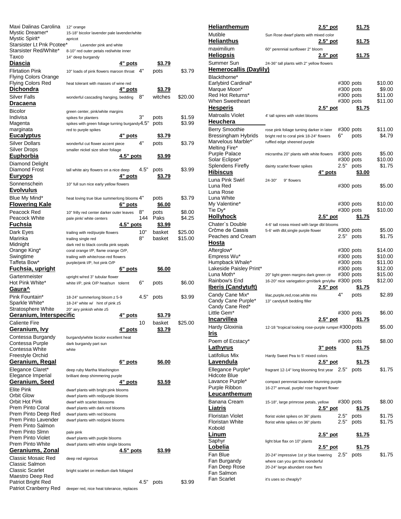| Maxi Dalinas Carolina<br>Mystic Dreamer*<br>Mystic Spirit* | 12" orange<br>15-18" bicolor lavender pale lavender/white<br>apricot               |                       |                  |
|------------------------------------------------------------|------------------------------------------------------------------------------------|-----------------------|------------------|
| Starsister Lt Pnk Pcotee*<br>Starsister Red/White*         | Lavender pink and white                                                            |                       |                  |
| Тахсо                                                      | 8-10" red outer petals red/white inner<br>14" deep burgandy                        |                       |                  |
| <b>Diascia</b>                                             | 4" pots                                                                            | <u>\$3.79</u>         |                  |
| <b>Flirtation Pink</b>                                     | 4"<br>10" loads of pink flowers maroon throat                                      | pots                  | \$3.79           |
| <b>Flying Colors Orange</b>                                |                                                                                    |                       |                  |
| Flying Colors Red                                          | heat tolerant with masses of wine red                                              |                       |                  |
| <b>Dichondra</b>                                           | 4" pots                                                                            | \$3.79                |                  |
| Silver Falls                                               | 8"<br>wonderful cascading hanging, bedding                                         | witches               | \$20.00          |
| Dracaena                                                   |                                                                                    |                       |                  |
| <b>Bicolor</b>                                             | green center, pink/white margins                                                   |                       |                  |
| Indivisa                                                   | 3"<br>spikes for planters                                                          | pots                  | \$1.59           |
| Magenta                                                    | spikes with green foliage turning burgandy $4.5"$                                  | pots                  | \$3.99           |
| marginata<br><u>Eucalyptus</u>                             | red to purple spikes<br>4" pots                                                    | \$3.79                |                  |
|                                                            | 4"                                                                                 |                       |                  |
| Silver Dollars<br><b>Silver Drops</b>                      | wonderful cut flower accent piece<br>smaller nickel size silver foliage            | pots                  | \$3.79           |
| <b>Euphorbia</b>                                           | 4.5" pots                                                                          | \$3.99                |                  |
| Diamond Delight                                            |                                                                                    |                       |                  |
| Diamond Frost                                              | 4.5"<br>tall white airy flowers on a nice deep                                     | pots                  | \$3.99           |
| <u>Euryops</u>                                             | 4" pots                                                                            | \$3.79                |                  |
| Sonnenschein                                               |                                                                                    |                       |                  |
| <b>Evolvulus</b>                                           | 10" full sun nice early yellow flowers                                             |                       |                  |
| Blue My Mind*                                              |                                                                                    |                       | \$3.79           |
| <b>Flowering Kale</b>                                      | heat loving true blue summerlong blooms 4"<br>6" pots                              | pots<br><u>\$6.00</u> |                  |
|                                                            |                                                                                    |                       |                  |
| Peacock Red<br>Peacock White                               | 8"<br>10" frilly red center darker outer leaves<br>144<br>pale pink/ white centers | pots<br>Paks          | \$8.00<br>\$4.25 |
| <u>Fuchsia</u>                                             | $4.5"$ pots                                                                        | <u>\$3.99</u>         |                  |
| Dark Eyes                                                  | 10"                                                                                | basket                | \$25.00          |
| Marinka                                                    | trailing with red/purple flowers<br>8"<br>trailing single red                      | basket                | \$15.00          |
| Midnight                                                   | dark red to black corolla pink sepals                                              |                       |                  |
| Orange King*                                               | coral orange I/P, flame orange O/P,                                                |                       |                  |
| Swingtime                                                  | trailing with white/rose-red flowers                                               |                       |                  |
|                                                            |                                                                                    |                       |                  |
| Taffeta Bow*                                               | purple/pink I/P, hot pink O/P                                                      |                       |                  |
| <u>Fuchsia, upright</u>                                    | 6" pots                                                                            | \$6.00                |                  |
| Gartenmeister                                              | upright w/red 3" tubular flower                                                    |                       |                  |
| Hot Pink White*                                            | 6"<br>white I/P, pink O/P heat/sun tolernt                                         | pots                  | \$6.00           |
| Gaura^                                                     |                                                                                    |                       |                  |
| Pink Fountain*                                             | 4.5"<br>18-24" summerlong bloom z 5-9                                              | pots                  | \$3.99           |
| Sparkle White*                                             | 18-24" white w/ hint of pink z5                                                    |                       |                  |
| Stratosphere White                                         | 20" airy pinkish white z5                                                          |                       |                  |
| Geranium, Interspecific                                    | 4" pots                                                                            | <u>\$3.79</u>         |                  |
| <b>Caliente Fire</b>                                       | 10                                                                                 | basket                | \$25.00          |
| <u>Geranium, Ivy</u>                                       | 4" pots                                                                            | <u>\$3.79</u>         |                  |
| Contessa Burgandy                                          | burgandy/white bicolor excellent heat                                              |                       |                  |
| Contessa Purple                                            | dark burgandy part sun                                                             |                       |                  |
| Contessa White                                             | white                                                                              |                       |                  |
| Freestyle Orchid<br>Geranium, Regal                        |                                                                                    | <u>\$6.00</u>         |                  |
|                                                            | 6" pots                                                                            |                       |                  |
| Elegance Claret*<br>Elegance Imperial                      | deep ruby Martha Washington<br>brilliant deep shimmering purple                    |                       |                  |
| Geranium, Seed                                             | 4" pots                                                                            | \$3.59                |                  |
| Elite Pink                                                 | dwarf plants with bright pink blooms                                               |                       |                  |
| Orbit Glow                                                 | dwarf plants with red/purple blooms                                                |                       |                  |
| Orbit Hot Pink                                             | dwarf with scarlet blossoms                                                        |                       |                  |
| Prem Pinto Coral                                           | dwarf plants with dark red blooms                                                  |                       |                  |
| Prem Pinto Deep Red                                        | dwarf plants with red blooms                                                       |                       |                  |
| Prem Pinto Lavender                                        | dwarf plants with red/pink blooms                                                  |                       |                  |
| Prem Pinto Salmon<br>Prem Pinto Slmn                       |                                                                                    |                       |                  |
| Prem Pinto Violet                                          | pale pink<br>dwarf plants with purple blooms                                       |                       |                  |
| Prem Pinto White                                           | dwarf plants with white single blooms                                              |                       |                  |
| <u>Geraniums, Zonal</u>                                    | 4.5" pots                                                                          | <u>\$3.99</u>         |                  |
| Classic Mosaic Red                                         | deep red vigorous                                                                  |                       |                  |
| Classic Salmon                                             |                                                                                    |                       |                  |
| <b>Classic Scarlet</b>                                     | bright scarlet on medium dark foliaged                                             |                       |                  |
| Maestro Deep Red<br>Patriot Bright Red                     | 4.5"                                                                               | pots                  | \$3.99           |

| <b>Helianthemum</b>                          | 2 <u>.5" pot</u>                                                                           | \$1.75                                       |
|----------------------------------------------|--------------------------------------------------------------------------------------------|----------------------------------------------|
| Mutible                                      | Sun Rose dwarf plants with mixed color                                                     |                                              |
| <b>Helianthus</b>                            | $2.5"$ pot                                                                                 | \$1.75                                       |
| maximilium                                   | 60" perennial sunflower 2" bloom                                                           |                                              |
| <u>Heliopsis</u>                             | 2.5" pot                                                                                   | \$1.75                                       |
| Summer Sun                                   | 24-36" tall plants with 2" yellow flowers                                                  |                                              |
| <b>Hemerocallis (Daylily)</b>                |                                                                                            |                                              |
| Blackthorne*<br>Earlybird Cardinal*          |                                                                                            | \$10.00<br>#300 pots                         |
| Marque Moon*                                 |                                                                                            | #300 pots<br>\$9.00                          |
| Red Hot Returns*                             |                                                                                            | \$11.00<br>#300 pots                         |
| When Sweetheart                              |                                                                                            | \$11.00<br>#300 pots                         |
| <b>Hesperis</b>                              | 2.5" pot                                                                                   | \$1.75                                       |
| Matroalis Violet                             | 4' tall spires with violet blooms                                                          |                                              |
| Heuchera                                     |                                                                                            |                                              |
| <b>Berry Smoothie</b><br>Bressingham Hybrids | rose pink foliage turning darker in later<br>6"<br>bright red to coral pink 18-24" flowers | \$11.00<br>#300 pots<br>\$4.79<br>pots       |
| Marvelous Marble*`                           | ruffled edge sheened purple                                                                |                                              |
| Melting Fire*                                |                                                                                            |                                              |
| Purple Palace                                | micrantha 20" plants with white flowers                                                    | \$5.00<br>#300 pots                          |
| Solar Eclipse*<br>Splendens Firefly          | 2.5"<br>dainty scarlet flower spikes                                                       | \$10.00<br>#300 pots<br>\$1.75<br>pots       |
| <b>Hibiscus</b>                              | 4" pots                                                                                    | \$3.00                                       |
| Luna Pink Swirl                              | 24-30"<br>9" flowers                                                                       |                                              |
| Luna Red                                     |                                                                                            | #300 pots<br>\$5.00                          |
| Luna Rose                                    |                                                                                            |                                              |
| Luna White                                   |                                                                                            |                                              |
| My Valentine*<br>Tie Dy*                     |                                                                                            | \$10.00<br>#300 pots<br>\$10.00<br>#300 pots |
| <u>Hollyhock</u>                             | 2.5" pot                                                                                   | \$1.75                                       |
| Chater`s Double                              | 4-6' tall rosea mixed with large dbl blooms                                                |                                              |
| Crčme de Cassis                              | 5-6' with dbl, single purple flower                                                        | \$5.00<br>#300 pots                          |
| Peaches and Cream                            | 2.5"                                                                                       | \$1.75<br>pots                               |
| <u>Hosta</u>                                 |                                                                                            |                                              |
| Afterglow*<br>Empress Wu*                    |                                                                                            | \$14.00<br>#300 pots<br>\$10.00<br>#300 pots |
| Humpback Whale*                              |                                                                                            | \$11.00<br>#300 pots                         |
| Lakeside Paisley Print*                      |                                                                                            | \$12.00<br>#300 pots                         |
| Luna Moth*                                   | 20" light green margins dark green ctr                                                     | \$15.00<br>#300 pots                         |
| Rainbow's End<br><b>Iberis (Candytuft)</b>   | 16-20" nice variegation grn/dark grn/yllw #300 pots<br>$2.5"$ pot                          | \$12.00                                      |
| Candy Cane Mix*                              | 4"                                                                                         | <u>\$1.75</u><br>\$2.89                      |
| Candy Cane Purple*                           | lilac, purple, red, rose, white mix<br>13" candytuft bedding filler                        | pots                                         |
| Candy Cane Red*                              |                                                                                            |                                              |
| Little Gem <sup>*</sup>                      |                                                                                            | \$6.00<br>#300 pots                          |
| <u>Incarvillea</u>                           | <u>2.5" pot</u>                                                                            | <u>\$1.75</u>                                |
| Hardy Gloxinia                               | 12-18 "tropical looking rose-purple rumpet #300 pots                                       | \$5.00                                       |
| Iris                                         |                                                                                            |                                              |
| Poem of Ecstacy*<br><b>Lathyrus</b>          | <u>3" pots</u>                                                                             | \$8.00<br>#300 pots<br>\$1.75                |
| Latifolius Mix                               | Hardy Sweet Pea to 5' mixed colors                                                         |                                              |
| <u>Lavendula</u>                             | 2.5" pot                                                                                   | <u>\$1.75</u>                                |
| Ellegance Purple*                            | 2.5"<br>fragrant 12-14" long blooming first year                                           | \$1.75<br>pots                               |
| Hidcote Blue                                 |                                                                                            |                                              |
| Lavance Purple*                              | compact perennial lavander stunning purple                                                 |                                              |
| Purple Ribbon<br>Leucanthemum                | 16-27" annual, purple/ rose fragrant flower                                                |                                              |
| Banana Cream                                 |                                                                                            |                                              |
| Liatris                                      | 15-18", large primrose petals, yellow<br>$2.5"$ pot                                        | \$8.00<br>#300 pots<br><u>\$1.75</u>         |
| Floristan Violet                             | 2.5"<br>florist violet spikes on 36" plants                                                | \$1.75<br>pots                               |
| Floristan White                              | 2.5"<br>florist white spikes on 36" plants                                                 | \$1.75<br>pots                               |
| Kobold                                       |                                                                                            |                                              |
| Linum                                        | <u>2.5" pot</u>                                                                            | <u>\$1.75</u>                                |
| Saphyr<br>Lobelia                            | light blue flax on 10" plants<br>2.5" pot                                                  |                                              |
| Fan Blue                                     | 2.5"                                                                                       | <u>\$1.75</u><br>\$1.75                      |
| Fan Burgandy                                 | 20-24" impressive 1st yr blue towering<br>where can you get this wonderful                 | pots                                         |
| Fan Deep Rose                                | 20-24" large abundant rose flwrs                                                           |                                              |
| Fan Salmon                                   |                                                                                            |                                              |
| Fan Scarlet                                  | it's uses so cheaply?                                                                      |                                              |

it's uses so cheaply?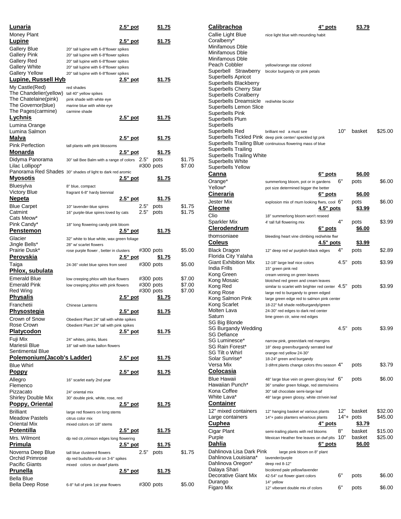| <u>Lunaria</u>                                             |                                                                                  | <u>2.5" pot</u> |           | <u>\$1.75</u> |        |
|------------------------------------------------------------|----------------------------------------------------------------------------------|-----------------|-----------|---------------|--------|
| Money Plant                                                |                                                                                  |                 |           |               |        |
| <u>Lupine</u>                                              |                                                                                  | 2.5" pot        |           | <u>\$1.75</u> |        |
| Gallery Blue                                               | 20" tall lupine with 6-8"flower spikes                                           |                 |           |               |        |
| <b>Gallery Pink</b>                                        | 20" tall lupine with 6-8"flower spikes                                           |                 |           |               |        |
| Gallery Red                                                | 20" tall lupine with 6-8"flower spikes                                           |                 |           |               |        |
| Gallery White<br>Gallery Yellow                            | 20" tall lupine with 6-8"flower spikes<br>20" tall lupine with 6-8"flower spikes |                 |           |               |        |
| Lupine, Russell Hyb                                        |                                                                                  | 2.5" pot        |           | \$1.75        |        |
| My Castle(Red)                                             | red shades                                                                       |                 |           |               |        |
| The Chandelier(yellow)                                     | tall 40" yellow spikes                                                           |                 |           |               |        |
| The Chatelaine(pink)                                       | pink shade with white eye                                                        |                 |           |               |        |
| The Governor(blue)                                         | marine blue with white eye                                                       |                 |           |               |        |
| The Pages(carmine)                                         | carmine shade                                                                    |                 |           |               |        |
| Lychnis                                                    |                                                                                  | <u>2.5" pot</u> |           | \$1.75        |        |
| Lumina Orange                                              |                                                                                  |                 |           |               |        |
| Lumina Salmon                                              |                                                                                  |                 |           |               |        |
| Malva                                                      |                                                                                  | 2.5" pot        |           | <u>\$1.75</u> |        |
| Pink Perfection                                            | tall plants with pink blossoms                                                   |                 |           |               |        |
| <u>Monarda</u>                                             |                                                                                  | 2.5" pot        |           | <u>\$1.75</u> |        |
| Didyma Panorama                                            | 30" tall Bee Balm with a range of colors                                         |                 | 2.5"      | pots          | \$1.75 |
| Lilac Lollipop*                                            |                                                                                  |                 | #300 pots |               | \$7.00 |
| Panorama Red Shades 30" shades of light to dark red aromic |                                                                                  |                 |           |               |        |
| <u>Myosotis</u>                                            |                                                                                  | <u>2.5" pot</u> |           | <u>\$1.75</u> |        |
| Bluesylva                                                  | 8" blue, compact                                                                 |                 |           |               |        |
| Victory Blue                                               | fragrant 6-8" hardy biennial                                                     |                 |           |               |        |
| <u>Nepeta</u>                                              |                                                                                  | 2.5" pot        |           | <u>\$1.75</u> |        |
| Blue Carpet                                                | 10" lavender-blue spires                                                         |                 | 2.5"      | pots          | \$1.75 |
| Catmint<br>Cats Meow*                                      | 16" purple-blue spires loved by cats                                             |                 | 2.5"      | pots          | \$1.75 |
| Pink Candy*                                                | 18" long flowering candy pink bloom                                              |                 |           |               |        |
| Pe <u>nstemon</u>                                          |                                                                                  | $2.5"$ pot      |           | \$1.75        |        |
| Glacier                                                    | 32" white to blue white, wax green foliage                                       |                 |           |               |        |
| Jingle Bells*                                              | 28" w/ scarlet flowers                                                           |                 |           |               |        |
| Prairie Dusk*                                              | rose purple flower, better in clusters                                           |                 | #300 pots |               | \$5.00 |
| Perovskia                                                  |                                                                                  | $2.5"$ pot      |           | <u>\$1.75</u> |        |
| Taiga                                                      | 24-36" violet blue spires from seed                                              |                 | #300 pots |               | \$5.00 |
| <u>Phlox, subulata</u>                                     |                                                                                  |                 |           |               |        |
| Emerald Blue                                               | low creeping phlox with blue flowers                                             |                 | #300 pots |               | \$7.00 |
| Emerald Pink                                               | low creeping phlox with pink flowers                                             |                 | #300 pots |               | \$7.00 |
| Red Wing                                                   |                                                                                  |                 | #300 pots |               | \$7.00 |
| Physalis                                                   |                                                                                  | 2.5" pot        |           | <u>\$1.75</u> |        |
| Franchetii                                                 | <b>Chinese Lanterns</b>                                                          |                 |           |               |        |
| <u>Physostegia</u>                                         |                                                                                  | 2.5" pot        |           | <u>\$1.75</u> |        |
| Crown of Snow                                              | Obedient Plant 24" tall with white spikes                                        |                 |           |               |        |
| Rose Crown                                                 | Obedient Plant 24" tall with pink spikes                                         |                 |           |               |        |
| <b>Platycodon</b>                                          |                                                                                  | 2.5" pot        |           | <u>\$1.75</u> |        |
| Fuji Mix                                                   | 24" whites, pinks, blues                                                         |                 |           |               |        |
| Mariesii Blue                                              | 18" tall with blue ballon flowers                                                |                 |           |               |        |
| Sentimental Blue                                           |                                                                                  |                 |           |               |        |
| <u> Polemonium(Jacob's Ladder)</u>                         |                                                                                  | 2.5" pot        |           | <u>\$1.75</u> |        |
| <b>Blue Whirl</b>                                          |                                                                                  |                 |           |               |        |
| <u>Poppy</u>                                               |                                                                                  | 2.5" pot        |           | <u>\$1.75</u> |        |
| Allegro                                                    | 16" scarlet early 2nd year                                                       |                 |           |               |        |
| Flemenco<br>Pizzacato                                      |                                                                                  |                 |           |               |        |
| Shirley Double Mix                                         | 24" oriental mix<br>30" double pink, white, rose, red                            |                 |           |               |        |
| <u> Poppy, Oriental</u>                                    |                                                                                  | 2.5" pot        |           | <u>\$1.75</u> |        |
| <b>Brilliant</b>                                           |                                                                                  |                 |           |               |        |
| Meadow Pastels                                             | large red flowers on long stems<br>citrus color mix                              |                 |           |               |        |
| Oriental Mix                                               | mixed colors on 18" stems                                                        |                 |           |               |        |
| Potentilla                                                 |                                                                                  | <u>2.5" pot</u> |           | <u>\$1.75</u> |        |
| Mrs. Wilmont                                               | dp red ctr, crimson edges long flowering                                         |                 |           |               |        |
| <u>Primula</u>                                             |                                                                                  | 2.5" pot        |           | <u>\$1.75</u> |        |
| Noverna Deep Blue                                          | tall blue clustered flowers                                                      |                 | 2.5"      | pots          | \$1.75 |
| Orchid Primrose                                            | dp red buds/blu-viol on 3-6" spikes                                              |                 |           |               |        |
| Pacific Giants                                             | mixed colors on dwarf plants                                                     |                 |           |               |        |
| Prunella                                                   |                                                                                  | 2.5" pot        |           | <u>\$1.75</u> |        |
| Bella Blue                                                 |                                                                                  |                 |           |               |        |
| Bella Deep Rose                                            | 6-8" full of pink 1st year flowers                                               |                 | #300 pots |               | \$5.00 |

| <u>Calibrachoa</u>                               | 4" pots                                                                                                                   |      | <u>\$3.79</u> |         |
|--------------------------------------------------|---------------------------------------------------------------------------------------------------------------------------|------|---------------|---------|
| Callie Light Blue                                | nice light blue with mounding habit                                                                                       |      |               |         |
| Coralberry*                                      |                                                                                                                           |      |               |         |
| Minifamous Dble<br>Minifamous Dble               |                                                                                                                           |      |               |         |
| Minifamous Dble                                  |                                                                                                                           |      |               |         |
| Peach Cobbler                                    | yellow/orange star colored                                                                                                |      |               |         |
| Superbell Strawberry                             | bicolor burgandy ctr pink petals                                                                                          |      |               |         |
| Superbells Apricot<br>Superbells Blackberry      |                                                                                                                           |      |               |         |
| Superbells Cherry Star                           |                                                                                                                           |      |               |         |
| Superbells Coralberry                            |                                                                                                                           |      |               |         |
| Superbells Dreamsicle                            | red/white bicolor                                                                                                         |      |               |         |
| Superbells Lemon Slice<br>Superbells Pink        |                                                                                                                           |      |               |         |
| Superbells Plum                                  |                                                                                                                           |      |               |         |
| Superbells                                       |                                                                                                                           |      |               |         |
| Superbells Red                                   | brilliant red a must see                                                                                                  | 10"  | basket        | \$25.00 |
|                                                  | Superbells Tickled Pink deep pink center/ speckled lgt pnk<br>Superbells Trailing Blue continuious flowering mass of blue |      |               |         |
| Superbells Trailing                              |                                                                                                                           |      |               |         |
| Superbells Trailing White                        |                                                                                                                           |      |               |         |
| Superbells White                                 |                                                                                                                           |      |               |         |
| Superbells Yellow<br>Canna                       | 6" pots                                                                                                                   |      | <u>\$6.00</u> |         |
| Orange*                                          | summerlong bloom, pot or in gardens                                                                                       | 6"   | pots          | \$6.00  |
| Yellow*                                          | pot size determined bigger the better                                                                                     |      |               |         |
| Cineraria                                        | 6 <u>" pots</u>                                                                                                           |      | <u>\$6.00</u> |         |
| Jester Mix                                       | explosion mix of mum looking flwrs, cool 6"                                                                               |      | pots          | \$6.00  |
| Cleome                                           | 4.5" pots                                                                                                                 |      | <u>\$3.99</u> |         |
| Clio                                             | 18" summerlong bloom won't reseed                                                                                         |      |               |         |
| Sparkler Mix                                     | 4' tall full flowering mix                                                                                                | 4"   | pots          | \$3.99  |
| <u>Clerodendrum</u>                              | <u>6" pots</u>                                                                                                            |      | <u>\$6.00</u> |         |
| thomsoniaee<br><u>Coleus</u>                     | bleeding heart vine climbing red/white flwr<br>4.5" pots                                                                  |      | <u>\$3.99</u> |         |
| Black Dragon                                     | 12" deep red w/ purplish-black edges                                                                                      | 4"   | pots          | \$2.89  |
| Florida City Yalaha                              |                                                                                                                           |      |               |         |
| Giant Exhibition Mix                             | 12-18" large leaf nice colors                                                                                             | 4.5" | pots          | \$3.99  |
| India Frills                                     | 15" green pink red                                                                                                        |      |               |         |
| Kong Green<br>Kong Mosaic                        | cream veining on green leaves<br>blotched red green and cream leaves                                                      |      |               |         |
| Kong Red                                         | similar to scarlet with brighter red center 4.5"                                                                          |      | pots          | \$3.99  |
| Kong Rose                                        | large red to burgandy to green edged                                                                                      |      |               |         |
| Kong Salmon Pink<br>Kong Scarlet                 | large green edge red to salmon pink center                                                                                |      |               |         |
| Molten Lava                                      | 18-22" full shade red/burgandy/green<br>24-30" red edges to dark red center                                               |      |               |         |
| Saturn                                           | lime green ctr, wine red edges                                                                                            |      |               |         |
| SG Big Blonde                                    |                                                                                                                           |      |               |         |
| <b>SG Burgandy Wedding</b><br>SG Defiance        |                                                                                                                           | 4.5" | pots          | \$3.99  |
| SG Luminesce*                                    | narrow pink, green/dark red marrgins                                                                                      |      |               |         |
| SG Rain Forest*                                  | 18" deep green/burgandy serrated leaf                                                                                     |      |               |         |
| SG Tilt o Whirl                                  | orange red yellow 24-30"                                                                                                  |      |               |         |
| Solar Sunrise*<br>Versa Mix                      | 18-24" green and burgandy<br>3 difrnt plants change colors thru season 4"                                                 |      | pots          | \$3.79  |
| Colocasia                                        |                                                                                                                           |      |               |         |
| Blue Hawaii                                      | 48" large blue vein on green glossy leaf $6"$                                                                             |      | pots          | \$6.00  |
| Hawaiian Punch*                                  | 36" smaller green foliage, red stems/veins                                                                                |      |               |         |
| Kona Coffee                                      | 30" tall chocolate semi-large leaf                                                                                        |      |               |         |
| White Lava*<br><u>Container</u>                  | 48" large green glossy, white ctr/vein leaf                                                                               |      |               |         |
| 12" mixed containers                             | 12" hanging basket w/ various plants                                                                                      | 12"  | basket        | \$32.00 |
| Large containers                                 | 14"+ patio planters w/various plants                                                                                      | 14"+ | pots          | \$45.00 |
| <u>Cuphea</u>                                    | 4" pots                                                                                                                   |      | <u>\$3.79</u> |         |
| Cigar Plant                                      | semi-trailing plants with red blooms                                                                                      | 8"   | basket        | \$15.00 |
| Purple                                           | Mexican Heather fine leaves on dwf plts                                                                                   | 10"  | basket        | \$25.00 |
| Dahlia                                           | 6" pots                                                                                                                   |      | <u>\$6.00</u> |         |
| Dahlinova Lisa Dark Pink<br>Dahlinova Louisiana* | large pink bloom on 8" plant<br>lavender/purple                                                                           |      |               |         |
| Dahlinova Oregon*                                | deep red 8-12"                                                                                                            |      |               |         |
| Dalaya Shari                                     | bicolored pale yellow/lavender                                                                                            |      |               |         |
| Decorative Giant Mix                             | 42-54" cut flower giant colors                                                                                            | 6"   | pots          | \$6.00  |
| Durango<br>Figaro Mix                            | 14" yellow<br>12" viberant double mix of colors                                                                           | 6"   | pots          | \$6.00  |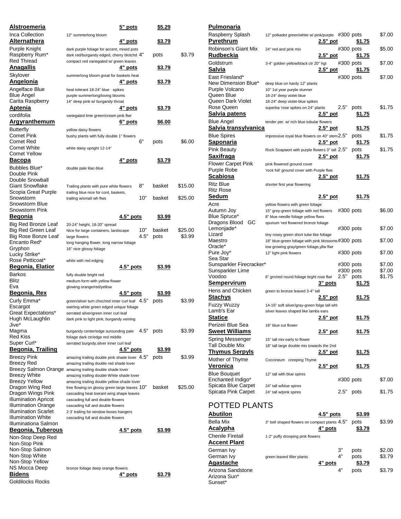| <u>Alstroemeria</u>                         | <u>5" pots</u>                                                                       |      | \$5.29         |         |
|---------------------------------------------|--------------------------------------------------------------------------------------|------|----------------|---------|
| Inca Collection                             | 12" summerlong bloom                                                                 |      |                |         |
| Alternathera                                | 4" pots                                                                              |      | \$3.79         |         |
| Purple Knight                               | dark purple foliage for accent, mixed pots                                           |      |                |         |
| Raspberry Rum*<br>Red Thread                | dark red/burgandy edged, cherry blotchd 4"<br>compact red variegated w/ green leaves |      | pots           | \$3.79  |
| <u>Anagallis</u>                            | 4" <u>pots</u>                                                                       |      | <u>\$3.79</u>  |         |
| Skylover                                    | summerlong bloom great for baskets heat                                              |      |                |         |
| <u>Angelonia</u>                            | 4" <u>pots</u>                                                                       |      | <u>\$3.79</u>  |         |
| Angelface Blue                              | heat tolerant 18-24" blue spikes                                                     |      |                |         |
| <b>Blue Angel</b>                           | purple summerlong/loving blooms                                                      |      |                |         |
| Carita Raspberry                            | 14" deep pink w/ burgandy throat                                                     |      |                |         |
| Aptenia                                     | <u>4" pots</u>                                                                       |      | <u> \$3.79</u> |         |
| cordifolia                                  | variegated lime green/cream pink flwr                                                |      |                |         |
| <u>Argyranthemum</u>                        | 6" pots                                                                              |      | <u>\$6.00</u>  |         |
| Butterfly<br>Comet Pink                     | yellow daisy flowers<br>bushy plants with fully double 1" flowers                    |      |                |         |
| Comet Red                                   |                                                                                      | 6"   | pots           | \$6.00  |
| Comet White                                 | white daisy upright 12-14"                                                           |      |                |         |
| <b>Comet Yellow</b>                         |                                                                                      |      |                |         |
| Bacopa                                      | 4 <u>" pots</u>                                                                      |      | \$3.79         |         |
| Bubbles Blue*                               | double pale lilac-blue                                                               |      |                |         |
| Double Pink<br>Double Snowball              |                                                                                      |      |                |         |
| <b>Giant Snowflake</b>                      | Trailing plants with pure white flowers                                              | 8"   | basket         | \$15.00 |
| Scopia Great Purple                         | trailing blue nice for cont, baskets,                                                |      |                |         |
| Snowstorm                                   | trailing w/small wh flws                                                             | 10"  | basket         | \$25.00 |
| Snowstorm Blue                              |                                                                                      |      |                |         |
| Snowstorm Pink<br>Begonia                   | $4.5"$ pots                                                                          |      |                |         |
|                                             |                                                                                      |      | <u> \$3.99</u> |         |
| Big Red Bronze Leaf<br>Big Red Green Leaf   | 20-24" height, 18-20" spread<br>Nice for large containers, landscape                 | 10"  | basket         | \$25.00 |
| Big Rose Bonze Leaf                         | large flowers                                                                        | 4.5" | pots           | \$3.99  |
| Encanto Red*                                | long hanging flower, long narrow foliage                                             |      |                |         |
| Gryphon                                     | 16" nice glossy foliage                                                              |      |                |         |
|                                             |                                                                                      |      |                |         |
| Lucky Strike*                               |                                                                                      |      |                |         |
| Rose Petticoat*                             | white with red edging                                                                |      |                |         |
| <u>Begonia, Elatior</u>                     | 4.5" pots                                                                            |      | \$3.99         |         |
| <b>Barkos</b><br><b>Blitz</b>               | fully double bright red<br>medium form with yellow flower                            |      |                |         |
| Eva                                         | glowing orange/red/yellow                                                            |      |                |         |
| <u>Begonia, Rex</u>                         | $4.5"$ pots                                                                          |      | \$3.99         |         |
| Curly Emma*                                 | green/silver turn choc/red inner curl leaf 4.5"                                      |      | pots           | \$3.99  |
| Escargot                                    | swirling white green edged unique foliage                                            |      |                |         |
| Great Expectations*                         | serrated silver/green inner curl leaf                                                |      |                |         |
| Hugh McLaughlin<br>Jive*                    | dark pink to light pink, burgandy veining                                            |      |                |         |
| Magma                                       | burgandy center/edge surounding pale                                                 | 4.5" | pots           | \$3.99  |
| Red Kiss                                    | foliage dark ctr/edge red middle                                                     |      |                |         |
| Super Curl*                                 | serrated burgndy, silver inner curl leaf                                             |      |                |         |
| Begonia, Trailing                           | 4.5" pots                                                                            |      | \$3.99         |         |
| Breezy Pink                                 | amazing trailing double pink shade lover $4.5"$                                      |      | pots           | \$3.99  |
| Breezy Red<br>Breezy Salmon Orange          | amazing trailing double red shade lover<br>amazing trailing double shade lover       |      |                |         |
| Breezy White                                | amazing trailing double White shade lover                                            |      |                |         |
| <b>Breezy Yellow</b>                        | amazing trailing double yellow shade lover                                           |      |                |         |
| Dragon Wing Red                             | free flowing on glossy green large leaves 10"                                        |      | basket         | \$25.00 |
| Dragon Wings Pink                           | cascading heat toerant wing shape leaves                                             |      |                |         |
| Illumination Apricot<br>Illumination Orange | cascading full and double flowers<br>cascading full and double flowers               |      |                |         |
| Illumination Scarlet                        | 2-3' trailing for window boxes hangers                                               |      |                |         |
| Illumination White                          | cascading full and double flowers                                                    |      |                |         |
| Illuminationa Salmon                        |                                                                                      |      |                |         |
| <b>Begonia, Tuberous</b>                    | 4.5" pots                                                                            |      | <u>\$3.99</u>  |         |
| Non-Stop Deep Red                           |                                                                                      |      |                |         |
| Non-Stop Pink<br>Non-Stop Salmon            |                                                                                      |      |                |         |
| Non-Stop White                              |                                                                                      |      |                |         |
| Non-Stop Yellow                             |                                                                                      |      |                |         |
| NS Mocca Deep<br><b>Bidens</b>              | bronze foliage deep orange flowers<br><u>4" pots</u>                                 |      | <u>\$3.79</u>  |         |

| <b>Pulmonaria</b>                        |                                                        |                  |             |               |        |
|------------------------------------------|--------------------------------------------------------|------------------|-------------|---------------|--------|
| Raspberry Splash<br><u>Pyrethrum</u>     | 12" polkadot green/white w/ pink/purple #300 pots      | 2.5" pot         |             | <u>\$1.75</u> | \$7.00 |
| Robinson's Giant Mix<br><u>Rudbeckia</u> | 24" red and pink mix                                   | <u>2.5" pot</u>  | $#300$ pots | <u>\$1.75</u> | \$5.00 |
| Goldstrum<br>Salvia                      | 3-4" golden yellow/black ctr 20" hgt                   | 2.5" pot         | #300 pots   | <u>\$1.75</u> | \$7.00 |
| East Friesland*                          |                                                        |                  | #300 pots   |               | \$7.00 |
| New Dimension Blue*                      | deep blue on hardy 12" plants                          |                  |             |               |        |
| Purple Volcano<br>Queen Blue             | 10" 1st year purple stunner<br>18-24" deep violet-blue |                  |             |               |        |
| Queen Dark Violet                        | 18-24" deep violet-blue spikes                         |                  |             |               |        |
| Rose Queen                               | superba 'rose spikes on 24" plants                     |                  | 2.5"        | pots          | \$1.75 |
| <u>Salvia patens</u>                     |                                                        | <u>2.5" p</u> ot |             | <u>\$1.75</u> |        |
| Blue Angel                               | tender per. w/ rich blue tubular flowers               |                  |             |               |        |
| Salvia transylvanica                     |                                                        | 2.5" pot         |             | <u>\$1.75</u> |        |
| <b>Blue Spires</b>                       | impressive royal blue flowers on 40" stem 2.5"         |                  |             | pots          | \$1.75 |
| <u>Saponaria</u>                         |                                                        | 2.5" pot         |             | <u>\$1.75</u> |        |
| <b>Pink Beauty</b>                       | Rock Soapwort with purple flowers 3" tall 2.5"         |                  |             | pots          | \$1.75 |
| Saxifraga                                |                                                        | 2.5" pot         |             | <u>\$1.75</u> |        |
| <b>Flower Carpet Pink</b>                |                                                        |                  |             |               |        |
| Purple Robe                              | pink flowered ground cover                             |                  |             |               |        |
| Scabiosa                                 | 'rock foil' ground cover with Purple flws              | <u>2.5" pot</u>  |             | <u>\$1.75</u> |        |
|                                          |                                                        |                  |             |               |        |
| <b>Ritz Blue</b><br><b>Ritz Rose</b>     | shorter first year flowering                           |                  |             |               |        |
| <u>Sedum</u>                             |                                                        | $2.5"$ pot       |             | <u>\$1.75</u> |        |
| Acre                                     | yellow flowers with green foliage                      |                  |             |               |        |
| Autumn Joy                               | 15" grey-green foliage with red flowers                |                  | #300 pots   |               | \$6.00 |
| Blue Spruce*<br>GC                       | 8" blue needle foliage yellow flwrs                    |                  |             |               |        |
| Dragons Blood<br>Lemonjade*              | spurium 'red flowered bronze foliage                   |                  | #300 pots   |               | \$7.00 |
| Lizard                                   | tiny rosey green short tube like foliage               |                  |             |               |        |
| Maestro                                  | 18" blue-green foliage with pink blossoms #300 pots    |                  |             |               | \$7.00 |
| Oracle*                                  | low growing gray/green foliage, yllw flwr              |                  |             |               |        |
| Pure Joy*                                | 12" light pink flowers                                 |                  | #300 pots   |               | \$7.00 |
| Sea Star                                 |                                                        |                  |             |               |        |
| Sunsparkler Firecracker*                 |                                                        |                  | #300 pots   |               | \$7.00 |
| Sunsparkler Lime                         |                                                        |                  | #300 pots   |               | \$7.00 |
| Voodoo                                   | 6" grn/red round foliage brght rose flwr               |                  | 2.5"        | pots          | \$1.75 |
| <u>Sempervirum</u>                       |                                                        | 3" pots          |             | \$1.75        |        |
| Hens and Chicken                         | green to bronze leaved 3-4" tall                       |                  |             |               |        |
| Stachys                                  |                                                        | 2.5" pot         |             | <u>\$1.75</u> |        |
| <b>Fuzzy Wuzzy</b>                       | 14-16" soft silver/gray-green folge tall wht           |                  |             |               |        |
| Lamb's Ear                               | silver leaves shaped like lambs ears                   |                  |             |               |        |
| <b>Statice</b>                           |                                                        | 2.5" pot         |             | <u>\$1.75</u> |        |
| Perizeii Blue Sea                        | 18" blue cut flower                                    |                  |             |               |        |
| <b>Sweet Williams</b>                    |                                                        | 2.5" pot         |             | <u>\$1.75</u> |        |
| Spring Messenger                         | 15" tall mix early to flower                           |                  |             |               |        |
| Tall Double Mix                          | 18" tall large double mix towards the 2nd              |                  |             |               |        |
| <u>Thymus Serpyls</u>                    |                                                        | <u>2.5" pot</u>  |             | <u>\$1.75</u> |        |
| Mother of Thyme                          | Coccineum creeping Thyme                               |                  |             |               |        |
| Veronica                                 |                                                        | 2.5" pot         |             | <u>\$1.75</u> |        |
| <b>Blue Bouquet</b>                      | 12" tall with blue spires                              |                  |             |               |        |
| Enchanted Indigo*                        |                                                        |                  | #300 pots   |               | \$7.00 |
| Spicata Blue Carpet                      | 24" tall w/blue spires                                 |                  |             |               |        |
| Spicata Pink Carpet                      | 24" tall w/pink spires                                 |                  | 2.5"        | pots          | \$1.75 |
|                                          |                                                        |                  |             |               |        |

# POTTED PLANTS

| Abutilon                                     |                                               | $4.5"$ pots | \$3.99         |        |
|----------------------------------------------|-----------------------------------------------|-------------|----------------|--------|
| Bella Mix                                    | 3" bell shaped flowers on compact plants 4.5" |             | pots           | \$3.99 |
| Acalypha                                     |                                               | 4" pots     | \$3.79         |        |
| Chenile Firetail<br>Accent Plant             | 1-2" puffy drooping pink flowers              |             |                |        |
| German Ivy                                   |                                               | 3"<br>4"    | pots           | \$2.00 |
| German Ivy<br>Aqastache                      | green leaved filler plants                    | 4" pots     | pots<br>\$3.79 | \$3.79 |
| Arizona Sandstone<br>Arizona Sun*<br>Sunset* |                                               | 4"          | pots           | \$3.79 |